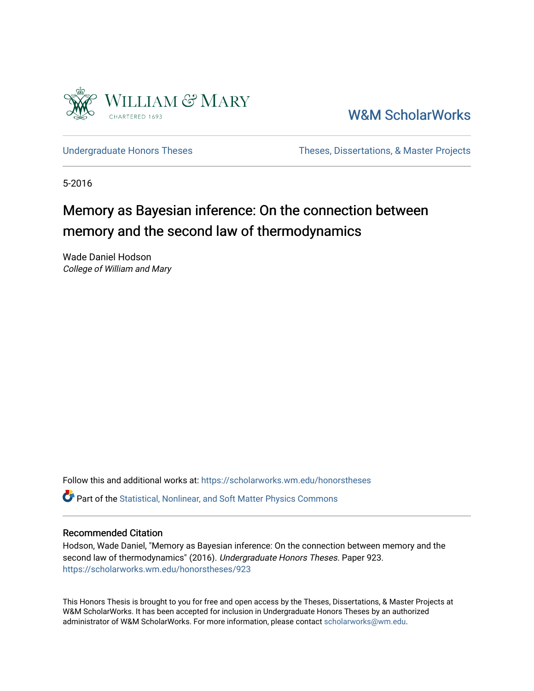

[W&M ScholarWorks](https://scholarworks.wm.edu/) 

[Undergraduate Honors Theses](https://scholarworks.wm.edu/honorstheses) Theses Theses, Dissertations, & Master Projects

5-2016

# Memory as Bayesian inference: On the connection between memory and the second law of thermodynamics

Wade Daniel Hodson College of William and Mary

Follow this and additional works at: [https://scholarworks.wm.edu/honorstheses](https://scholarworks.wm.edu/honorstheses?utm_source=scholarworks.wm.edu%2Fhonorstheses%2F923&utm_medium=PDF&utm_campaign=PDFCoverPages) 

Part of the [Statistical, Nonlinear, and Soft Matter Physics Commons](http://network.bepress.com/hgg/discipline/1266?utm_source=scholarworks.wm.edu%2Fhonorstheses%2F923&utm_medium=PDF&utm_campaign=PDFCoverPages) 

## Recommended Citation

Hodson, Wade Daniel, "Memory as Bayesian inference: On the connection between memory and the second law of thermodynamics" (2016). Undergraduate Honors Theses. Paper 923. [https://scholarworks.wm.edu/honorstheses/923](https://scholarworks.wm.edu/honorstheses/923?utm_source=scholarworks.wm.edu%2Fhonorstheses%2F923&utm_medium=PDF&utm_campaign=PDFCoverPages) 

This Honors Thesis is brought to you for free and open access by the Theses, Dissertations, & Master Projects at W&M ScholarWorks. It has been accepted for inclusion in Undergraduate Honors Theses by an authorized administrator of W&M ScholarWorks. For more information, please contact [scholarworks@wm.edu.](mailto:scholarworks@wm.edu)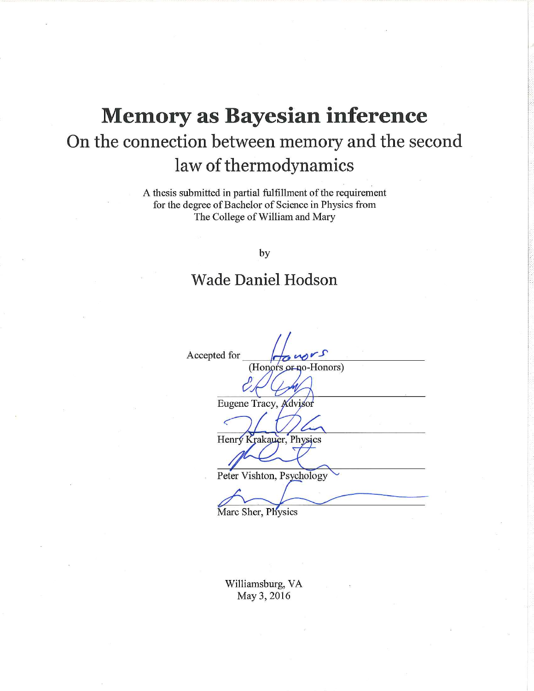# **Memory as Bayesian inference** On the connection between memory and the second law of thermodynamics

A thesis submitted in partial fulfillment of the requirement for the degree of Bachelor of Science in Physics from The College of William and Mary

by

## **Wade Daniel Hodson**

Accepted for (Honors or no-Honors) Eugene Tracy, Advisor Henry Krakauer, Physics Peter Vishton, Psychology

Marc Sher, Physics

Williamsburg, VA May 3, 2016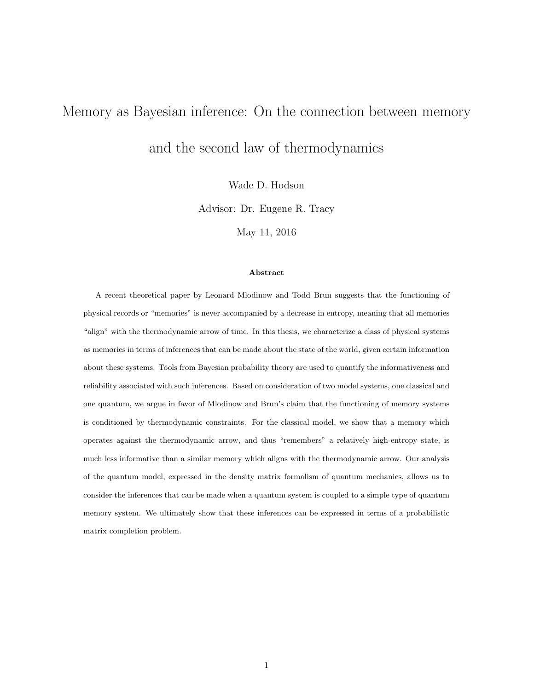# Memory as Bayesian inference: On the connection between memory

and the second law of thermodynamics

Wade D. Hodson

Advisor: Dr. Eugene R. Tracy

May 11, 2016

#### Abstract

A recent theoretical paper by Leonard Mlodinow and Todd Brun suggests that the functioning of physical records or "memories" is never accompanied by a decrease in entropy, meaning that all memories "align" with the thermodynamic arrow of time. In this thesis, we characterize a class of physical systems as memories in terms of inferences that can be made about the state of the world, given certain information about these systems. Tools from Bayesian probability theory are used to quantify the informativeness and reliability associated with such inferences. Based on consideration of two model systems, one classical and one quantum, we argue in favor of Mlodinow and Brun's claim that the functioning of memory systems is conditioned by thermodynamic constraints. For the classical model, we show that a memory which operates against the thermodynamic arrow, and thus "remembers" a relatively high-entropy state, is much less informative than a similar memory which aligns with the thermodynamic arrow. Our analysis of the quantum model, expressed in the density matrix formalism of quantum mechanics, allows us to consider the inferences that can be made when a quantum system is coupled to a simple type of quantum memory system. We ultimately show that these inferences can be expressed in terms of a probabilistic matrix completion problem.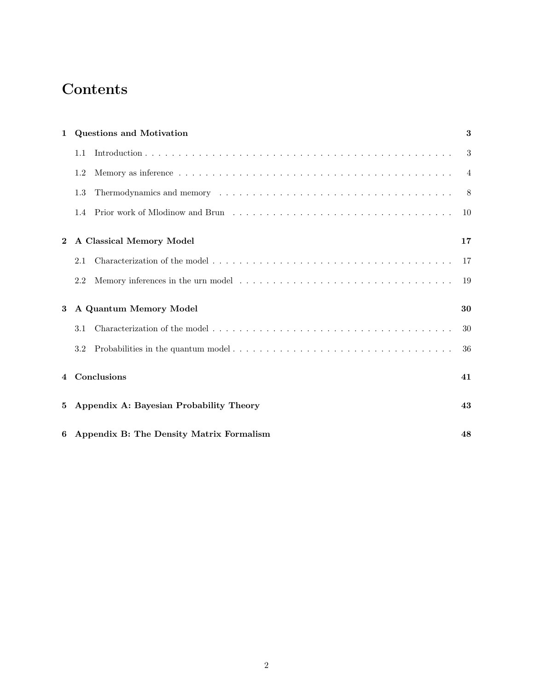# Contents

| $\mathbf{1}$                                 | <b>Questions and Motivation</b>          |                          |                |
|----------------------------------------------|------------------------------------------|--------------------------|----------------|
|                                              | 1.1                                      |                          | 3              |
|                                              | 1.2                                      |                          | $\overline{4}$ |
|                                              | 1.3                                      |                          | 8              |
|                                              | $1.4^{\circ}$                            |                          | 10             |
| $\overline{2}$                               |                                          | A Classical Memory Model | 17             |
|                                              | 2.1                                      |                          | 17             |
|                                              | 2.2                                      |                          | 19             |
| 3                                            | A Quantum Memory Model                   |                          | 30             |
|                                              | 3.1                                      |                          | 30             |
|                                              | 3.2                                      |                          | 36             |
|                                              | 4 Conclusions                            |                          | 41             |
| Appendix A: Bayesian Probability Theory<br>5 |                                          | 43                       |                |
| 6                                            | Appendix B: The Density Matrix Formalism |                          |                |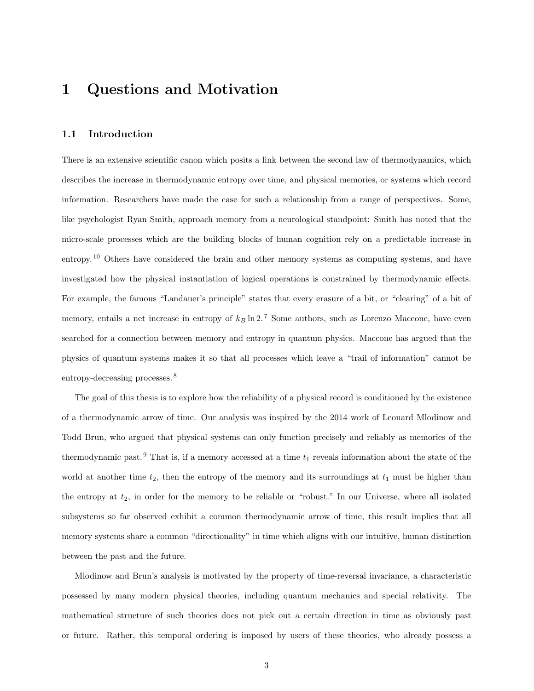## 1 Questions and Motivation

## 1.1 Introduction

There is an extensive scientific canon which posits a link between the second law of thermodynamics, which describes the increase in thermodynamic entropy over time, and physical memories, or systems which record information. Researchers have made the case for such a relationship from a range of perspectives. Some, like psychologist Ryan Smith, approach memory from a neurological standpoint: Smith has noted that the micro-scale processes which are the building blocks of human cognition rely on a predictable increase in entropy.<sup>10</sup> Others have considered the brain and other memory systems as computing systems, and have investigated how the physical instantiation of logical operations is constrained by thermodynamic effects. For example, the famous "Landauer's principle" states that every erasure of a bit, or "clearing" of a bit of memory, entails a net increase in entropy of  $k_B \ln 2$ . <sup>7</sup> Some authors, such as Lorenzo Maccone, have even searched for a connection between memory and entropy in quantum physics. Maccone has argued that the physics of quantum systems makes it so that all processes which leave a "trail of information" cannot be entropy-decreasing processes. <sup>8</sup>

The goal of this thesis is to explore how the reliability of a physical record is conditioned by the existence of a thermodynamic arrow of time. Our analysis was inspired by the 2014 work of Leonard Mlodinow and Todd Brun, who argued that physical systems can only function precisely and reliably as memories of the thermodynamic past.<sup>9</sup> That is, if a memory accessed at a time  $t_1$  reveals information about the state of the world at another time  $t_2$ , then the entropy of the memory and its surroundings at  $t_1$  must be higher than the entropy at  $t_2$ , in order for the memory to be reliable or "robust." In our Universe, where all isolated subsystems so far observed exhibit a common thermodynamic arrow of time, this result implies that all memory systems share a common "directionality" in time which aligns with our intuitive, human distinction between the past and the future.

Mlodinow and Brun's analysis is motivated by the property of time-reversal invariance, a characteristic possessed by many modern physical theories, including quantum mechanics and special relativity. The mathematical structure of such theories does not pick out a certain direction in time as obviously past or future. Rather, this temporal ordering is imposed by users of these theories, who already possess a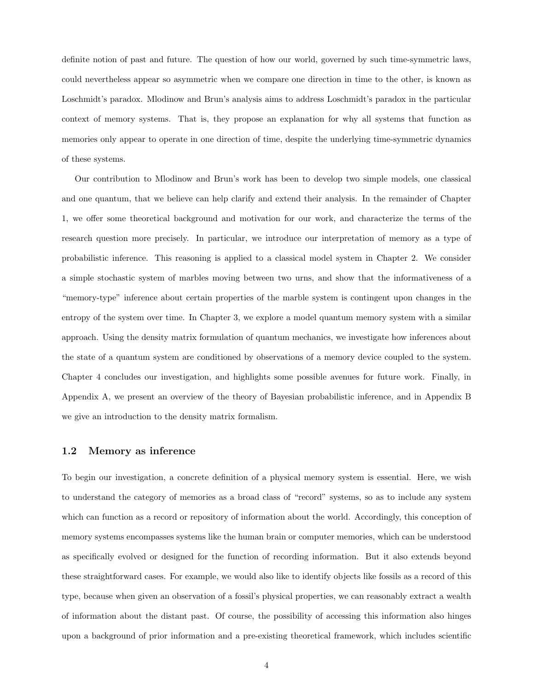definite notion of past and future. The question of how our world, governed by such time-symmetric laws, could nevertheless appear so asymmetric when we compare one direction in time to the other, is known as Loschmidt's paradox. Mlodinow and Brun's analysis aims to address Loschmidt's paradox in the particular context of memory systems. That is, they propose an explanation for why all systems that function as memories only appear to operate in one direction of time, despite the underlying time-symmetric dynamics of these systems.

Our contribution to Mlodinow and Brun's work has been to develop two simple models, one classical and one quantum, that we believe can help clarify and extend their analysis. In the remainder of Chapter 1, we offer some theoretical background and motivation for our work, and characterize the terms of the research question more precisely. In particular, we introduce our interpretation of memory as a type of probabilistic inference. This reasoning is applied to a classical model system in Chapter 2. We consider a simple stochastic system of marbles moving between two urns, and show that the informativeness of a "memory-type" inference about certain properties of the marble system is contingent upon changes in the entropy of the system over time. In Chapter 3, we explore a model quantum memory system with a similar approach. Using the density matrix formulation of quantum mechanics, we investigate how inferences about the state of a quantum system are conditioned by observations of a memory device coupled to the system. Chapter 4 concludes our investigation, and highlights some possible avenues for future work. Finally, in Appendix A, we present an overview of the theory of Bayesian probabilistic inference, and in Appendix B we give an introduction to the density matrix formalism.

### 1.2 Memory as inference

To begin our investigation, a concrete definition of a physical memory system is essential. Here, we wish to understand the category of memories as a broad class of "record" systems, so as to include any system which can function as a record or repository of information about the world. Accordingly, this conception of memory systems encompasses systems like the human brain or computer memories, which can be understood as specifically evolved or designed for the function of recording information. But it also extends beyond these straightforward cases. For example, we would also like to identify objects like fossils as a record of this type, because when given an observation of a fossil's physical properties, we can reasonably extract a wealth of information about the distant past. Of course, the possibility of accessing this information also hinges upon a background of prior information and a pre-existing theoretical framework, which includes scientific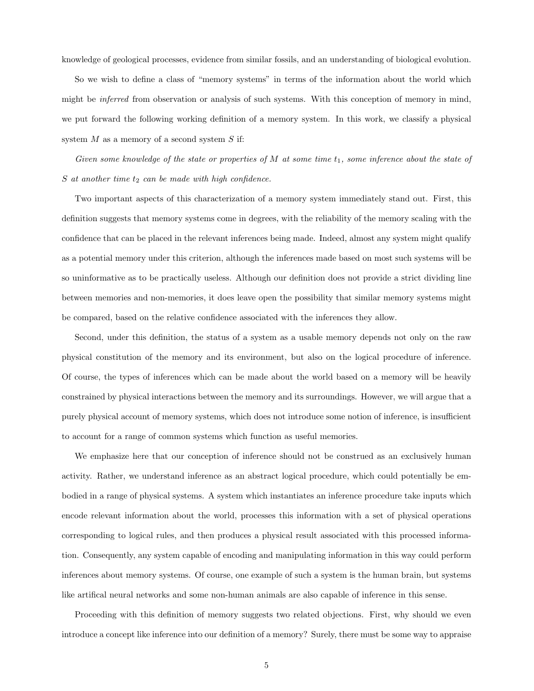knowledge of geological processes, evidence from similar fossils, and an understanding of biological evolution.

So we wish to define a class of "memory systems" in terms of the information about the world which might be inferred from observation or analysis of such systems. With this conception of memory in mind, we put forward the following working definition of a memory system. In this work, we classify a physical system  $M$  as a memory of a second system  $S$  if:

Given some knowledge of the state or properties of  $M$  at some time  $t_1$ , some inference about the state of  $S$  at another time  $t_2$  can be made with high confidence.

Two important aspects of this characterization of a memory system immediately stand out. First, this definition suggests that memory systems come in degrees, with the reliability of the memory scaling with the confidence that can be placed in the relevant inferences being made. Indeed, almost any system might qualify as a potential memory under this criterion, although the inferences made based on most such systems will be so uninformative as to be practically useless. Although our definition does not provide a strict dividing line between memories and non-memories, it does leave open the possibility that similar memory systems might be compared, based on the relative confidence associated with the inferences they allow.

Second, under this definition, the status of a system as a usable memory depends not only on the raw physical constitution of the memory and its environment, but also on the logical procedure of inference. Of course, the types of inferences which can be made about the world based on a memory will be heavily constrained by physical interactions between the memory and its surroundings. However, we will argue that a purely physical account of memory systems, which does not introduce some notion of inference, is insufficient to account for a range of common systems which function as useful memories.

We emphasize here that our conception of inference should not be construed as an exclusively human activity. Rather, we understand inference as an abstract logical procedure, which could potentially be embodied in a range of physical systems. A system which instantiates an inference procedure take inputs which encode relevant information about the world, processes this information with a set of physical operations corresponding to logical rules, and then produces a physical result associated with this processed information. Consequently, any system capable of encoding and manipulating information in this way could perform inferences about memory systems. Of course, one example of such a system is the human brain, but systems like artifical neural networks and some non-human animals are also capable of inference in this sense.

Proceeding with this definition of memory suggests two related objections. First, why should we even introduce a concept like inference into our definition of a memory? Surely, there must be some way to appraise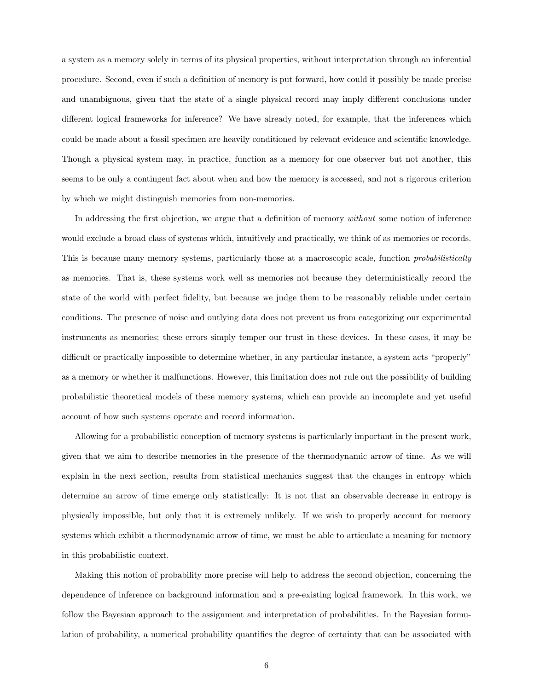a system as a memory solely in terms of its physical properties, without interpretation through an inferential procedure. Second, even if such a definition of memory is put forward, how could it possibly be made precise and unambiguous, given that the state of a single physical record may imply different conclusions under different logical frameworks for inference? We have already noted, for example, that the inferences which could be made about a fossil specimen are heavily conditioned by relevant evidence and scientific knowledge. Though a physical system may, in practice, function as a memory for one observer but not another, this seems to be only a contingent fact about when and how the memory is accessed, and not a rigorous criterion by which we might distinguish memories from non-memories.

In addressing the first objection, we argue that a definition of memory *without* some notion of inference would exclude a broad class of systems which, intuitively and practically, we think of as memories or records. This is because many memory systems, particularly those at a macroscopic scale, function *probabilistically* as memories. That is, these systems work well as memories not because they deterministically record the state of the world with perfect fidelity, but because we judge them to be reasonably reliable under certain conditions. The presence of noise and outlying data does not prevent us from categorizing our experimental instruments as memories; these errors simply temper our trust in these devices. In these cases, it may be difficult or practically impossible to determine whether, in any particular instance, a system acts "properly" as a memory or whether it malfunctions. However, this limitation does not rule out the possibility of building probabilistic theoretical models of these memory systems, which can provide an incomplete and yet useful account of how such systems operate and record information.

Allowing for a probabilistic conception of memory systems is particularly important in the present work, given that we aim to describe memories in the presence of the thermodynamic arrow of time. As we will explain in the next section, results from statistical mechanics suggest that the changes in entropy which determine an arrow of time emerge only statistically: It is not that an observable decrease in entropy is physically impossible, but only that it is extremely unlikely. If we wish to properly account for memory systems which exhibit a thermodynamic arrow of time, we must be able to articulate a meaning for memory in this probabilistic context.

Making this notion of probability more precise will help to address the second objection, concerning the dependence of inference on background information and a pre-existing logical framework. In this work, we follow the Bayesian approach to the assignment and interpretation of probabilities. In the Bayesian formulation of probability, a numerical probability quantifies the degree of certainty that can be associated with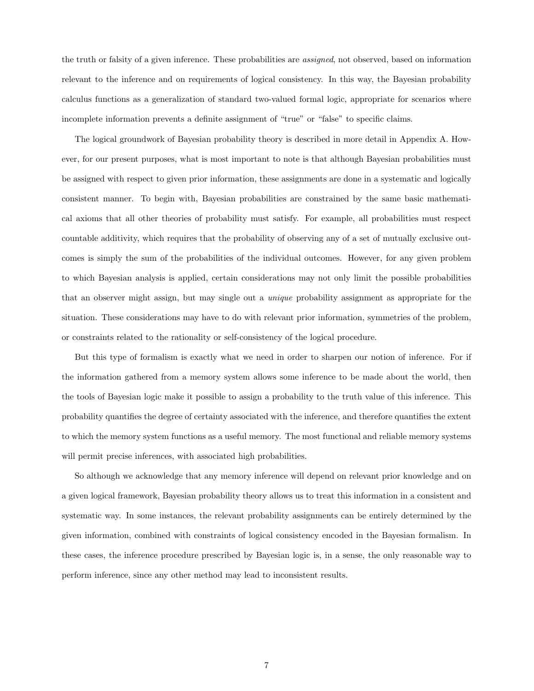the truth or falsity of a given inference. These probabilities are assigned, not observed, based on information relevant to the inference and on requirements of logical consistency. In this way, the Bayesian probability calculus functions as a generalization of standard two-valued formal logic, appropriate for scenarios where incomplete information prevents a definite assignment of "true" or "false" to specific claims.

The logical groundwork of Bayesian probability theory is described in more detail in Appendix A. However, for our present purposes, what is most important to note is that although Bayesian probabilities must be assigned with respect to given prior information, these assignments are done in a systematic and logically consistent manner. To begin with, Bayesian probabilities are constrained by the same basic mathematical axioms that all other theories of probability must satisfy. For example, all probabilities must respect countable additivity, which requires that the probability of observing any of a set of mutually exclusive outcomes is simply the sum of the probabilities of the individual outcomes. However, for any given problem to which Bayesian analysis is applied, certain considerations may not only limit the possible probabilities that an observer might assign, but may single out a unique probability assignment as appropriate for the situation. These considerations may have to do with relevant prior information, symmetries of the problem, or constraints related to the rationality or self-consistency of the logical procedure.

But this type of formalism is exactly what we need in order to sharpen our notion of inference. For if the information gathered from a memory system allows some inference to be made about the world, then the tools of Bayesian logic make it possible to assign a probability to the truth value of this inference. This probability quantifies the degree of certainty associated with the inference, and therefore quantifies the extent to which the memory system functions as a useful memory. The most functional and reliable memory systems will permit precise inferences, with associated high probabilities.

So although we acknowledge that any memory inference will depend on relevant prior knowledge and on a given logical framework, Bayesian probability theory allows us to treat this information in a consistent and systematic way. In some instances, the relevant probability assignments can be entirely determined by the given information, combined with constraints of logical consistency encoded in the Bayesian formalism. In these cases, the inference procedure prescribed by Bayesian logic is, in a sense, the only reasonable way to perform inference, since any other method may lead to inconsistent results.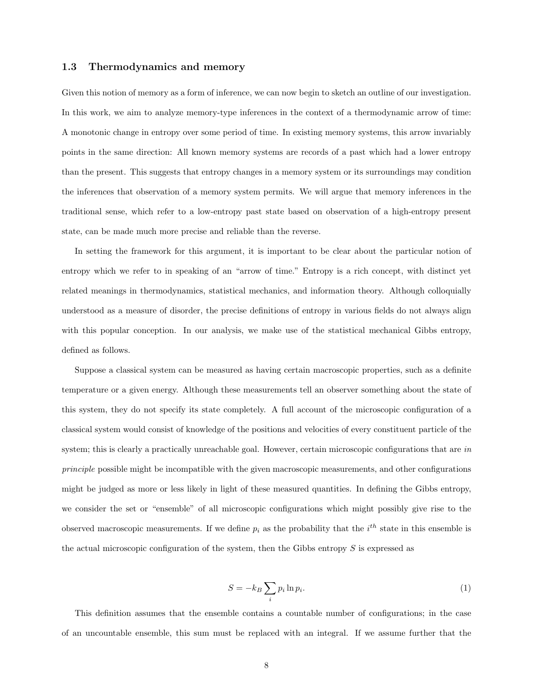#### 1.3 Thermodynamics and memory

Given this notion of memory as a form of inference, we can now begin to sketch an outline of our investigation. In this work, we aim to analyze memory-type inferences in the context of a thermodynamic arrow of time: A monotonic change in entropy over some period of time. In existing memory systems, this arrow invariably points in the same direction: All known memory systems are records of a past which had a lower entropy than the present. This suggests that entropy changes in a memory system or its surroundings may condition the inferences that observation of a memory system permits. We will argue that memory inferences in the traditional sense, which refer to a low-entropy past state based on observation of a high-entropy present state, can be made much more precise and reliable than the reverse.

In setting the framework for this argument, it is important to be clear about the particular notion of entropy which we refer to in speaking of an "arrow of time." Entropy is a rich concept, with distinct yet related meanings in thermodynamics, statistical mechanics, and information theory. Although colloquially understood as a measure of disorder, the precise definitions of entropy in various fields do not always align with this popular conception. In our analysis, we make use of the statistical mechanical Gibbs entropy, defined as follows.

Suppose a classical system can be measured as having certain macroscopic properties, such as a definite temperature or a given energy. Although these measurements tell an observer something about the state of this system, they do not specify its state completely. A full account of the microscopic configuration of a classical system would consist of knowledge of the positions and velocities of every constituent particle of the system; this is clearly a practically unreachable goal. However, certain microscopic configurations that are in principle possible might be incompatible with the given macroscopic measurements, and other configurations might be judged as more or less likely in light of these measured quantities. In defining the Gibbs entropy, we consider the set or "ensemble" of all microscopic configurations which might possibly give rise to the observed macroscopic measurements. If we define  $p_i$  as the probability that the  $i^{th}$  state in this ensemble is the actual microscopic configuration of the system, then the Gibbs entropy  $S$  is expressed as

$$
S = -k_B \sum_{i} p_i \ln p_i.
$$
 (1)

This definition assumes that the ensemble contains a countable number of configurations; in the case of an uncountable ensemble, this sum must be replaced with an integral. If we assume further that the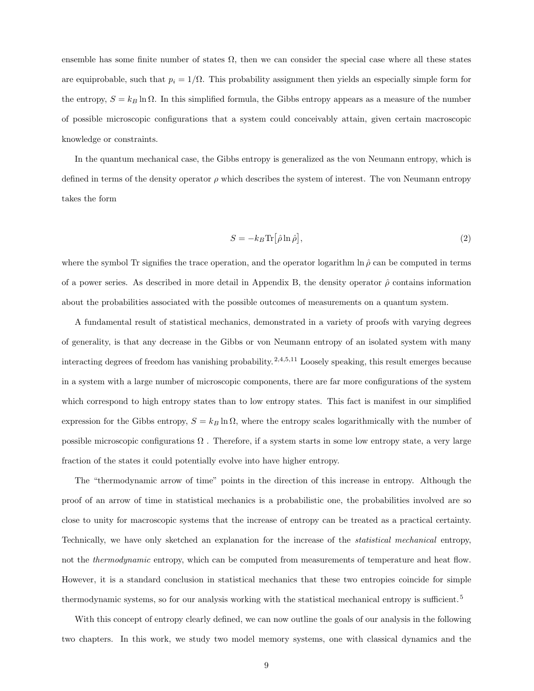ensemble has some finite number of states  $\Omega$ , then we can consider the special case where all these states are equiprobable, such that  $p_i = 1/\Omega$ . This probability assignment then yields an especially simple form for the entropy,  $S = k_B \ln \Omega$ . In this simplified formula, the Gibbs entropy appears as a measure of the number of possible microscopic configurations that a system could conceivably attain, given certain macroscopic knowledge or constraints.

In the quantum mechanical case, the Gibbs entropy is generalized as the von Neumann entropy, which is defined in terms of the density operator  $\rho$  which describes the system of interest. The von Neumann entropy takes the form

$$
S = -k_B \text{Tr} \left[ \hat{\rho} \ln \hat{\rho} \right],\tag{2}
$$

where the symbol Tr signifies the trace operation, and the operator logarithm ln  $\hat{\rho}$  can be computed in terms of a power series. As described in more detail in Appendix B, the density operator  $\hat{\rho}$  contains information about the probabilities associated with the possible outcomes of measurements on a quantum system.

A fundamental result of statistical mechanics, demonstrated in a variety of proofs with varying degrees of generality, is that any decrease in the Gibbs or von Neumann entropy of an isolated system with many interacting degrees of freedom has vanishing probability.  $^{2,4,5,11}$  Loosely speaking, this result emerges because in a system with a large number of microscopic components, there are far more configurations of the system which correspond to high entropy states than to low entropy states. This fact is manifest in our simplified expression for the Gibbs entropy,  $S = k_B \ln \Omega$ , where the entropy scales logarithmically with the number of possible microscopic configurations  $\Omega$ . Therefore, if a system starts in some low entropy state, a very large fraction of the states it could potentially evolve into have higher entropy.

The "thermodynamic arrow of time" points in the direction of this increase in entropy. Although the proof of an arrow of time in statistical mechanics is a probabilistic one, the probabilities involved are so close to unity for macroscopic systems that the increase of entropy can be treated as a practical certainty. Technically, we have only sketched an explanation for the increase of the statistical mechanical entropy, not the *thermodynamic* entropy, which can be computed from measurements of temperature and heat flow. However, it is a standard conclusion in statistical mechanics that these two entropies coincide for simple thermodynamic systems, so for our analysis working with the statistical mechanical entropy is sufficient.<sup>5</sup>

With this concept of entropy clearly defined, we can now outline the goals of our analysis in the following two chapters. In this work, we study two model memory systems, one with classical dynamics and the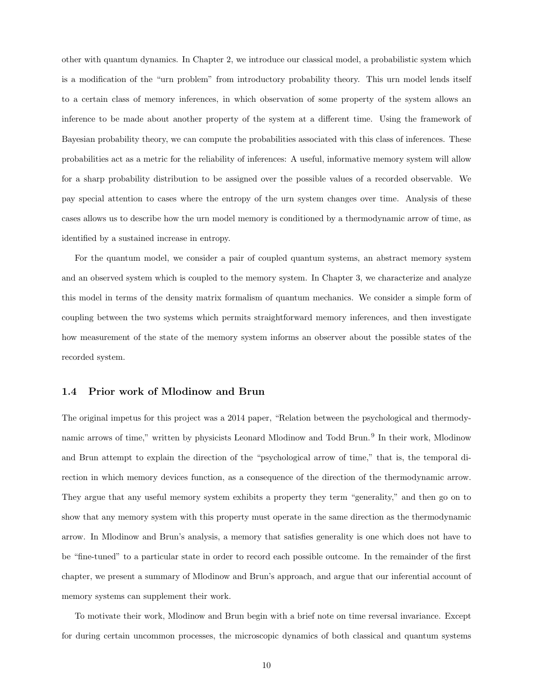other with quantum dynamics. In Chapter 2, we introduce our classical model, a probabilistic system which is a modification of the "urn problem" from introductory probability theory. This urn model lends itself to a certain class of memory inferences, in which observation of some property of the system allows an inference to be made about another property of the system at a different time. Using the framework of Bayesian probability theory, we can compute the probabilities associated with this class of inferences. These probabilities act as a metric for the reliability of inferences: A useful, informative memory system will allow for a sharp probability distribution to be assigned over the possible values of a recorded observable. We pay special attention to cases where the entropy of the urn system changes over time. Analysis of these cases allows us to describe how the urn model memory is conditioned by a thermodynamic arrow of time, as identified by a sustained increase in entropy.

For the quantum model, we consider a pair of coupled quantum systems, an abstract memory system and an observed system which is coupled to the memory system. In Chapter 3, we characterize and analyze this model in terms of the density matrix formalism of quantum mechanics. We consider a simple form of coupling between the two systems which permits straightforward memory inferences, and then investigate how measurement of the state of the memory system informs an observer about the possible states of the recorded system.

#### 1.4 Prior work of Mlodinow and Brun

The original impetus for this project was a 2014 paper, "Relation between the psychological and thermodynamic arrows of time," written by physicists Leonard Mlodinow and Todd Brun.<sup>9</sup> In their work, Mlodinow and Brun attempt to explain the direction of the "psychological arrow of time," that is, the temporal direction in which memory devices function, as a consequence of the direction of the thermodynamic arrow. They argue that any useful memory system exhibits a property they term "generality," and then go on to show that any memory system with this property must operate in the same direction as the thermodynamic arrow. In Mlodinow and Brun's analysis, a memory that satisfies generality is one which does not have to be "fine-tuned" to a particular state in order to record each possible outcome. In the remainder of the first chapter, we present a summary of Mlodinow and Brun's approach, and argue that our inferential account of memory systems can supplement their work.

To motivate their work, Mlodinow and Brun begin with a brief note on time reversal invariance. Except for during certain uncommon processes, the microscopic dynamics of both classical and quantum systems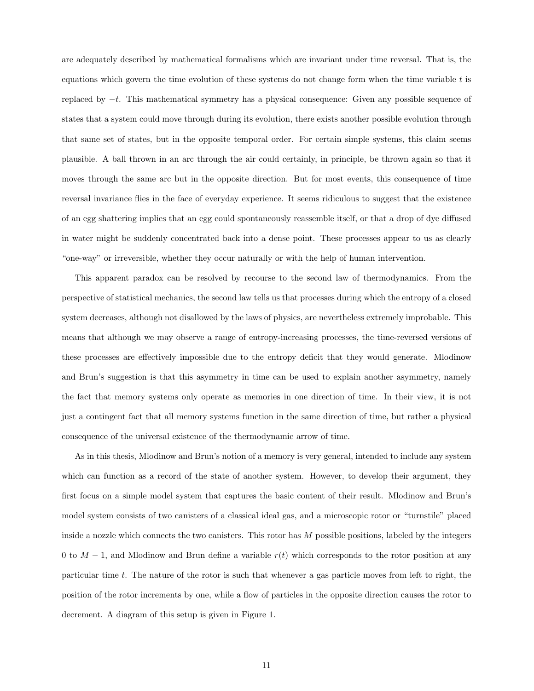are adequately described by mathematical formalisms which are invariant under time reversal. That is, the equations which govern the time evolution of these systems do not change form when the time variable  $t$  is replaced by −t. This mathematical symmetry has a physical consequence: Given any possible sequence of states that a system could move through during its evolution, there exists another possible evolution through that same set of states, but in the opposite temporal order. For certain simple systems, this claim seems plausible. A ball thrown in an arc through the air could certainly, in principle, be thrown again so that it moves through the same arc but in the opposite direction. But for most events, this consequence of time reversal invariance flies in the face of everyday experience. It seems ridiculous to suggest that the existence of an egg shattering implies that an egg could spontaneously reassemble itself, or that a drop of dye diffused in water might be suddenly concentrated back into a dense point. These processes appear to us as clearly "one-way" or irreversible, whether they occur naturally or with the help of human intervention.

This apparent paradox can be resolved by recourse to the second law of thermodynamics. From the perspective of statistical mechanics, the second law tells us that processes during which the entropy of a closed system decreases, although not disallowed by the laws of physics, are nevertheless extremely improbable. This means that although we may observe a range of entropy-increasing processes, the time-reversed versions of these processes are effectively impossible due to the entropy deficit that they would generate. Mlodinow and Brun's suggestion is that this asymmetry in time can be used to explain another asymmetry, namely the fact that memory systems only operate as memories in one direction of time. In their view, it is not just a contingent fact that all memory systems function in the same direction of time, but rather a physical consequence of the universal existence of the thermodynamic arrow of time.

As in this thesis, Mlodinow and Brun's notion of a memory is very general, intended to include any system which can function as a record of the state of another system. However, to develop their argument, they first focus on a simple model system that captures the basic content of their result. Mlodinow and Brun's model system consists of two canisters of a classical ideal gas, and a microscopic rotor or "turnstile" placed inside a nozzle which connects the two canisters. This rotor has M possible positions, labeled by the integers 0 to  $M-1$ , and Mlodinow and Brun define a variable  $r(t)$  which corresponds to the rotor position at any particular time t. The nature of the rotor is such that whenever a gas particle moves from left to right, the position of the rotor increments by one, while a flow of particles in the opposite direction causes the rotor to decrement. A diagram of this setup is given in Figure 1.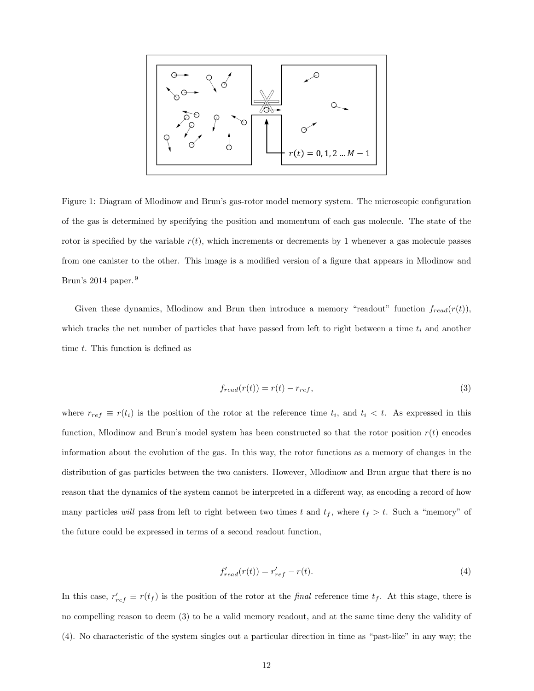$$
\begin{bmatrix}\n\begin{matrix}\n\frac{1}{\sqrt{3}} & \frac{1}{\sqrt{3}} \\
\frac{1}{\sqrt{3}} & \frac{1}{\sqrt{3}} \\
\frac{1}{\sqrt{3}} & \frac{1}{\sqrt{3}}\n\end{matrix} & \begin{matrix}\n\frac{1}{\sqrt{3}} & \frac{1}{\sqrt{3}} \\
\frac{1}{\sqrt{3}} & \frac{1}{\sqrt{3}} \\
\frac{1}{\sqrt{3}} & \frac{1}{\sqrt{3}}\n\end{matrix} & \begin{matrix}\n\frac{1}{\sqrt{3}} & \frac{1}{\sqrt{3}} \\
\frac{1}{\sqrt{3}} & \frac{1}{\sqrt{3}} \\
\frac{1}{\sqrt{3}} & \frac{1}{\sqrt{3}}\n\end{matrix} & \begin{matrix}\n\frac{1}{\sqrt{3}} & \frac{1}{\sqrt{3}} \\
\frac{1}{\sqrt{3}} & \frac{1}{\sqrt{3}} \\
\frac{1}{\sqrt{3}} & \frac{1}{\sqrt{3}}\n\end{matrix} & \begin{matrix}\n\frac{1}{\sqrt{3}} & \frac{1}{\sqrt{3}} \\
\frac{1}{\sqrt{3}} & \frac{1}{\sqrt{3}} \\
\frac{1}{\sqrt{3}} & \frac{1}{\sqrt{3}}\n\end{matrix} & \begin{matrix}\n\frac{1}{\sqrt{3}} & \frac{1}{\sqrt{3}} \\
\frac{1}{\sqrt{3}} & \frac{1}{\sqrt{3}}\n\end{matrix} & \begin{matrix}\n\frac{1}{\sqrt{3}} & \frac{1}{\sqrt{3}} \\
\frac{1}{\sqrt{3}} & \frac{1}{\sqrt{3}}\n\end{matrix} & \begin{matrix}\n\frac{1}{\sqrt{3}} & \frac{1}{\sqrt{3}} \\
\frac{1}{\sqrt{3}} & \frac{1}{\sqrt{3}}\n\end{matrix} & \begin{matrix}\n\frac{1}{\sqrt{3}} & \frac{1}{\sqrt{3}} \\
\frac{1}{\sqrt{3}} & \frac{1}{\sqrt{3}}\n\end{matrix} & \begin{matrix}\n\frac{1}{\sqrt{3}} & \frac{1}{\sqrt{3}} \\
\frac{1}{\sqrt{3}} & \frac{1}{\sqrt{3}}\n\end{matrix} & \begin{matrix}\n\frac{1}{\sqrt{3}} & \frac{1}{\sqrt{3}} \\
\frac{1}{\sqrt{3}} & \frac{1}{\sqrt{3}}\n\end{matrix} & \begin{matrix}\n\frac{1}{\sqrt{3}}
$$

Figure 1: Diagram of Mlodinow and Brun's gas-rotor model memory system. The microscopic configuration of the gas is determined by specifying the position and momentum of each gas molecule. The state of the rotor is specified by the variable  $r(t)$ , which increments or decrements by 1 whenever a gas molecule passes from one canister to the other. This image is a modified version of a figure that appears in Mlodinow and Brun's 2014 paper.<sup>9</sup>

Given these dynamics, Mlodinow and Brun then introduce a memory "readout" function  $f_{read}(r(t))$ , which tracks the net number of particles that have passed from left to right between a time  $t_i$  and another time t. This function is defined as

$$
f_{read}(r(t)) = r(t) - r_{ref},\tag{3}
$$

where  $r_{ref} \equiv r(t_i)$  is the position of the rotor at the reference time  $t_i$ , and  $t_i < t$ . As expressed in this function, Mlodinow and Brun's model system has been constructed so that the rotor position  $r(t)$  encodes information about the evolution of the gas. In this way, the rotor functions as a memory of changes in the distribution of gas particles between the two canisters. However, Mlodinow and Brun argue that there is no reason that the dynamics of the system cannot be interpreted in a different way, as encoding a record of how many particles will pass from left to right between two times t and  $t_f$ , where  $t_f > t$ . Such a "memory" of the future could be expressed in terms of a second readout function,

$$
f'_{read}(r(t)) = r'_{ref} - r(t). \tag{4}
$$

In this case,  $r'_{ref} \equiv r(t_f)$  is the position of the rotor at the *final* reference time  $t_f$ . At this stage, there is no compelling reason to deem (3) to be a valid memory readout, and at the same time deny the validity of (4). No characteristic of the system singles out a particular direction in time as "past-like" in any way; the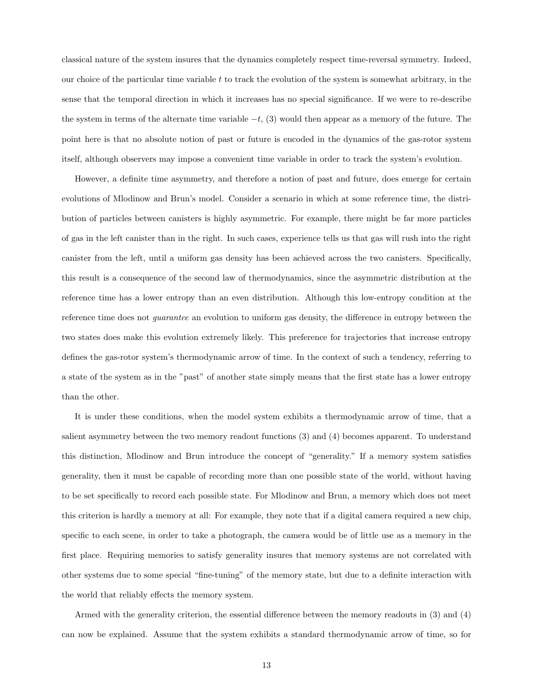classical nature of the system insures that the dynamics completely respect time-reversal symmetry. Indeed, our choice of the particular time variable  $t$  to track the evolution of the system is somewhat arbitrary, in the sense that the temporal direction in which it increases has no special significance. If we were to re-describe the system in terms of the alternate time variable  $-t$ , (3) would then appear as a memory of the future. The point here is that no absolute notion of past or future is encoded in the dynamics of the gas-rotor system itself, although observers may impose a convenient time variable in order to track the system's evolution.

However, a definite time asymmetry, and therefore a notion of past and future, does emerge for certain evolutions of Mlodinow and Brun's model. Consider a scenario in which at some reference time, the distribution of particles between canisters is highly asymmetric. For example, there might be far more particles of gas in the left canister than in the right. In such cases, experience tells us that gas will rush into the right canister from the left, until a uniform gas density has been achieved across the two canisters. Specifically, this result is a consequence of the second law of thermodynamics, since the asymmetric distribution at the reference time has a lower entropy than an even distribution. Although this low-entropy condition at the reference time does not guarantee an evolution to uniform gas density, the difference in entropy between the two states does make this evolution extremely likely. This preference for trajectories that increase entropy defines the gas-rotor system's thermodynamic arrow of time. In the context of such a tendency, referring to a state of the system as in the "past" of another state simply means that the first state has a lower entropy than the other.

It is under these conditions, when the model system exhibits a thermodynamic arrow of time, that a salient asymmetry between the two memory readout functions (3) and (4) becomes apparent. To understand this distinction, Mlodinow and Brun introduce the concept of "generality." If a memory system satisfies generality, then it must be capable of recording more than one possible state of the world, without having to be set specifically to record each possible state. For Mlodinow and Brun, a memory which does not meet this criterion is hardly a memory at all: For example, they note that if a digital camera required a new chip, specific to each scene, in order to take a photograph, the camera would be of little use as a memory in the first place. Requiring memories to satisfy generality insures that memory systems are not correlated with other systems due to some special "fine-tuning" of the memory state, but due to a definite interaction with the world that reliably effects the memory system.

Armed with the generality criterion, the essential difference between the memory readouts in (3) and (4) can now be explained. Assume that the system exhibits a standard thermodynamic arrow of time, so for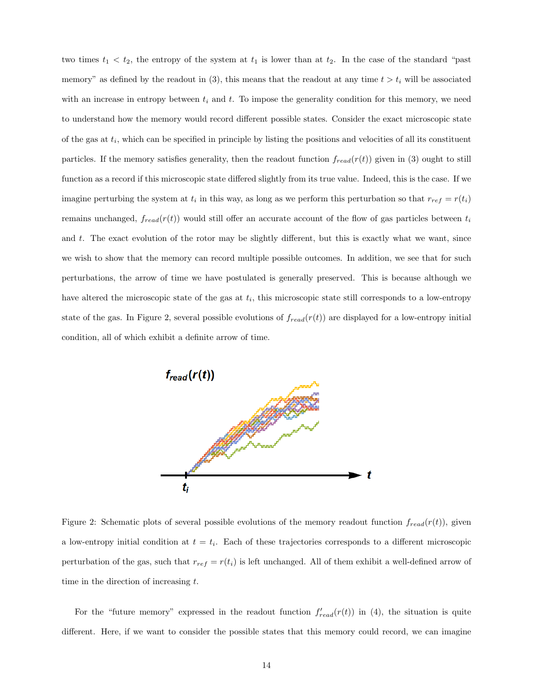two times  $t_1 < t_2$ , the entropy of the system at  $t_1$  is lower than at  $t_2$ . In the case of the standard "past" memory" as defined by the readout in (3), this means that the readout at any time  $t > t_i$  will be associated with an increase in entropy between  $t_i$  and  $t$ . To impose the generality condition for this memory, we need to understand how the memory would record different possible states. Consider the exact microscopic state of the gas at  $t_i$ , which can be specified in principle by listing the positions and velocities of all its constituent particles. If the memory satisfies generality, then the readout function  $f_{read}(r(t))$  given in (3) ought to still function as a record if this microscopic state differed slightly from its true value. Indeed, this is the case. If we imagine perturbing the system at  $t_i$  in this way, as long as we perform this perturbation so that  $r_{ref} = r(t_i)$ remains unchanged,  $f_{read}(r(t))$  would still offer an accurate account of the flow of gas particles between  $t_i$ and t. The exact evolution of the rotor may be slightly different, but this is exactly what we want, since we wish to show that the memory can record multiple possible outcomes. In addition, we see that for such perturbations, the arrow of time we have postulated is generally preserved. This is because although we have altered the microscopic state of the gas at  $t_i$ , this microscopic state still corresponds to a low-entropy state of the gas. In Figure 2, several possible evolutions of  $f_{read}(r(t))$  are displayed for a low-entropy initial condition, all of which exhibit a definite arrow of time.



Figure 2: Schematic plots of several possible evolutions of the memory readout function  $f_{read}(r(t))$ , given a low-entropy initial condition at  $t = t_i$ . Each of these trajectories corresponds to a different microscopic perturbation of the gas, such that  $r_{ref} = r(t_i)$  is left unchanged. All of them exhibit a well-defined arrow of time in the direction of increasing t.

For the "future memory" expressed in the readout function  $f'_{read}(r(t))$  in (4), the situation is quite different. Here, if we want to consider the possible states that this memory could record, we can imagine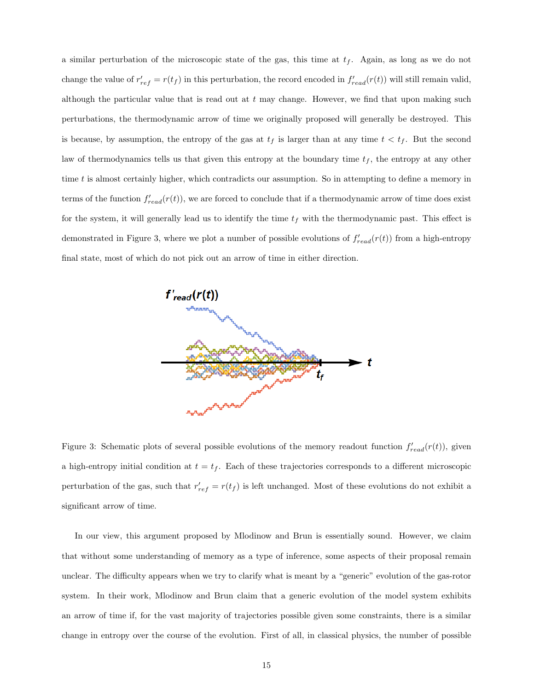a similar perturbation of the microscopic state of the gas, this time at  $t_f$ . Again, as long as we do not change the value of  $r'_{ref} = r(t_f)$  in this perturbation, the record encoded in  $f'_{read}(r(t))$  will still remain valid, although the particular value that is read out at  $t$  may change. However, we find that upon making such perturbations, the thermodynamic arrow of time we originally proposed will generally be destroyed. This is because, by assumption, the entropy of the gas at  $t_f$  is larger than at any time  $t < t_f$ . But the second law of thermodynamics tells us that given this entropy at the boundary time  $t_f$ , the entropy at any other time  $t$  is almost certainly higher, which contradicts our assumption. So in attempting to define a memory in terms of the function  $f'_{read}(r(t))$ , we are forced to conclude that if a thermodynamic arrow of time does exist for the system, it will generally lead us to identify the time  $t_f$  with the thermodynamic past. This effect is demonstrated in Figure 3, where we plot a number of possible evolutions of  $f'_{read}(r(t))$  from a high-entropy final state, most of which do not pick out an arrow of time in either direction.



Figure 3: Schematic plots of several possible evolutions of the memory readout function  $f'_{read}(r(t))$ , given a high-entropy initial condition at  $t = t_f$ . Each of these trajectories corresponds to a different microscopic perturbation of the gas, such that  $r'_{ref} = r(t_f)$  is left unchanged. Most of these evolutions do not exhibit a significant arrow of time.

In our view, this argument proposed by Mlodinow and Brun is essentially sound. However, we claim that without some understanding of memory as a type of inference, some aspects of their proposal remain unclear. The difficulty appears when we try to clarify what is meant by a "generic" evolution of the gas-rotor system. In their work, Mlodinow and Brun claim that a generic evolution of the model system exhibits an arrow of time if, for the vast majority of trajectories possible given some constraints, there is a similar change in entropy over the course of the evolution. First of all, in classical physics, the number of possible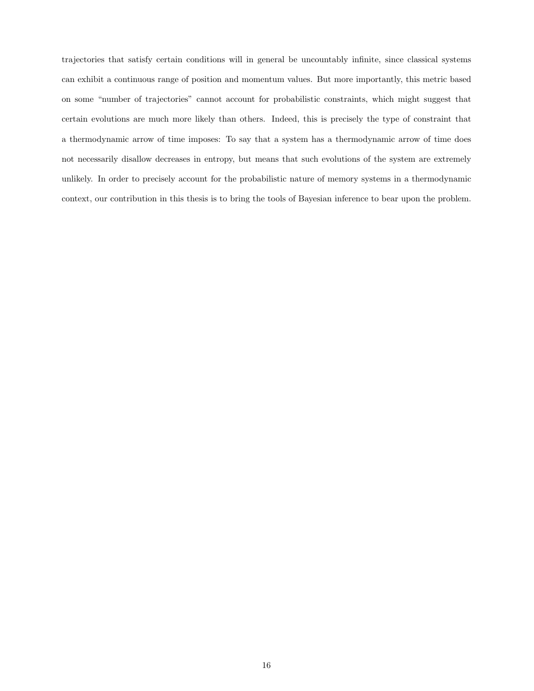trajectories that satisfy certain conditions will in general be uncountably infinite, since classical systems can exhibit a continuous range of position and momentum values. But more importantly, this metric based on some "number of trajectories" cannot account for probabilistic constraints, which might suggest that certain evolutions are much more likely than others. Indeed, this is precisely the type of constraint that a thermodynamic arrow of time imposes: To say that a system has a thermodynamic arrow of time does not necessarily disallow decreases in entropy, but means that such evolutions of the system are extremely unlikely. In order to precisely account for the probabilistic nature of memory systems in a thermodynamic context, our contribution in this thesis is to bring the tools of Bayesian inference to bear upon the problem.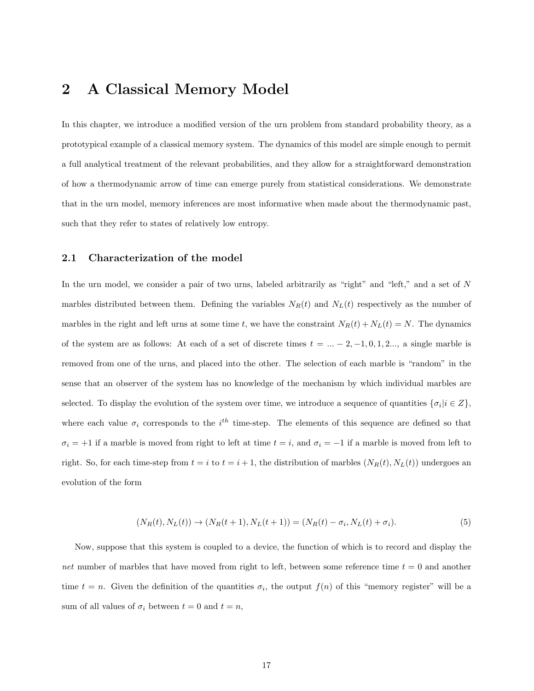## 2 A Classical Memory Model

In this chapter, we introduce a modified version of the urn problem from standard probability theory, as a prototypical example of a classical memory system. The dynamics of this model are simple enough to permit a full analytical treatment of the relevant probabilities, and they allow for a straightforward demonstration of how a thermodynamic arrow of time can emerge purely from statistical considerations. We demonstrate that in the urn model, memory inferences are most informative when made about the thermodynamic past, such that they refer to states of relatively low entropy.

#### 2.1 Characterization of the model

In the urn model, we consider a pair of two urns, labeled arbitrarily as "right" and "left," and a set of N marbles distributed between them. Defining the variables  $N_R(t)$  and  $N_L(t)$  respectively as the number of marbles in the right and left urns at some time t, we have the constraint  $N_R(t) + N_L(t) = N$ . The dynamics of the system are as follows: At each of a set of discrete times  $t = ... - 2, -1, 0, 1, 2...$ , a single marble is removed from one of the urns, and placed into the other. The selection of each marble is "random" in the sense that an observer of the system has no knowledge of the mechanism by which individual marbles are selected. To display the evolution of the system over time, we introduce a sequence of quantities  $\{\sigma_i | i \in Z\}$ , where each value  $\sigma_i$  corresponds to the i<sup>th</sup> time-step. The elements of this sequence are defined so that  $\sigma_i = +1$  if a marble is moved from right to left at time  $t = i$ , and  $\sigma_i = -1$  if a marble is moved from left to right. So, for each time-step from  $t = i$  to  $t = i + 1$ , the distribution of marbles  $(N_R(t), N_L(t))$  undergoes an evolution of the form

$$
(N_R(t), N_L(t)) \to (N_R(t+1), N_L(t+1)) = (N_R(t) - \sigma_i, N_L(t) + \sigma_i). \tag{5}
$$

Now, suppose that this system is coupled to a device, the function of which is to record and display the net number of marbles that have moved from right to left, between some reference time  $t = 0$  and another time  $t = n$ . Given the definition of the quantities  $\sigma_i$ , the output  $f(n)$  of this "memory register" will be a sum of all values of  $\sigma_i$  between  $t = 0$  and  $t = n$ ,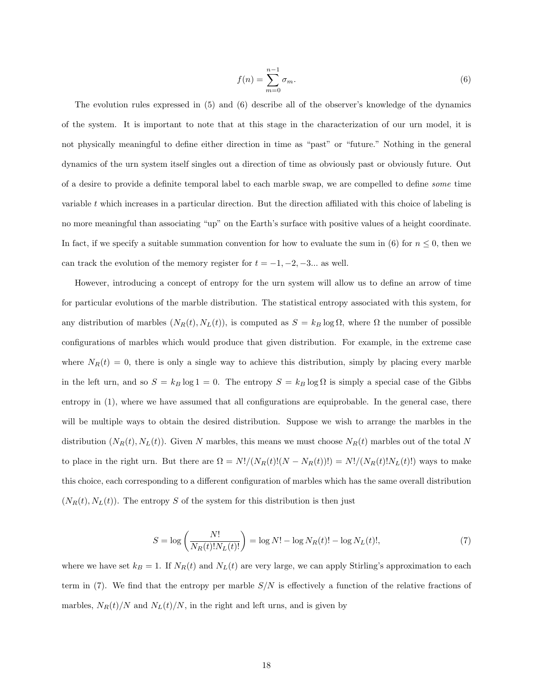$$
f(n) = \sum_{m=0}^{n-1} \sigma_m.
$$
\n
$$
(6)
$$

The evolution rules expressed in (5) and (6) describe all of the observer's knowledge of the dynamics of the system. It is important to note that at this stage in the characterization of our urn model, it is not physically meaningful to define either direction in time as "past" or "future." Nothing in the general dynamics of the urn system itself singles out a direction of time as obviously past or obviously future. Out of a desire to provide a definite temporal label to each marble swap, we are compelled to define some time variable t which increases in a particular direction. But the direction affiliated with this choice of labeling is no more meaningful than associating "up" on the Earth's surface with positive values of a height coordinate. In fact, if we specify a suitable summation convention for how to evaluate the sum in (6) for  $n \leq 0$ , then we can track the evolution of the memory register for  $t = -1, -2, -3...$  as well.

However, introducing a concept of entropy for the urn system will allow us to define an arrow of time for particular evolutions of the marble distribution. The statistical entropy associated with this system, for any distribution of marbles  $(N_R(t), N_L(t))$ , is computed as  $S = k_B \log \Omega$ , where  $\Omega$  the number of possible configurations of marbles which would produce that given distribution. For example, in the extreme case where  $N_R(t) = 0$ , there is only a single way to achieve this distribution, simply by placing every marble in the left urn, and so  $S = k_B \log 1 = 0$ . The entropy  $S = k_B \log \Omega$  is simply a special case of the Gibbs entropy in (1), where we have assumed that all configurations are equiprobable. In the general case, there will be multiple ways to obtain the desired distribution. Suppose we wish to arrange the marbles in the distribution  $(N_R(t), N_L(t))$ . Given N marbles, this means we must choose  $N_R(t)$  marbles out of the total N to place in the right urn. But there are  $\Omega = N!/(N_R(t)!(N - N_R(t))!) = N!/(N_R(t)!N_L(t)!)$  ways to make this choice, each corresponding to a different configuration of marbles which has the same overall distribution  $(N_R(t), N_L(t))$ . The entropy S of the system for this distribution is then just

$$
S = \log\left(\frac{N!}{N_R(t)!N_L(t)!}\right) = \log N! - \log N_R(t)! - \log N_L(t)!,\tag{7}
$$

where we have set  $k_B = 1$ . If  $N_R(t)$  and  $N_L(t)$  are very large, we can apply Stirling's approximation to each term in (7). We find that the entropy per marble  $S/N$  is effectively a function of the relative fractions of marbles,  $N_R(t)/N$  and  $N_L(t)/N$ , in the right and left urns, and is given by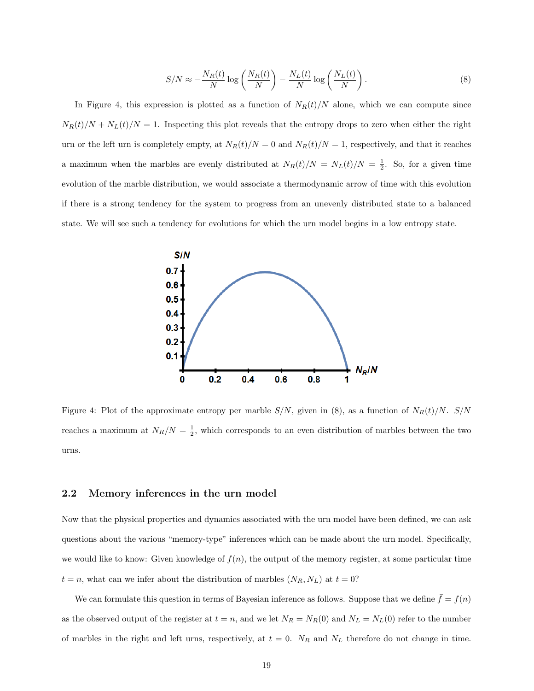$$
S/N \approx -\frac{N_R(t)}{N} \log \left( \frac{N_R(t)}{N} \right) - \frac{N_L(t)}{N} \log \left( \frac{N_L(t)}{N} \right). \tag{8}
$$

In Figure 4, this expression is plotted as a function of  $N_R(t)/N$  alone, which we can compute since  $N_R(t)/N + N_L(t)/N = 1$ . Inspecting this plot reveals that the entropy drops to zero when either the right urn or the left urn is completely empty, at  $N_R(t)/N = 0$  and  $N_R(t)/N = 1$ , respectively, and that it reaches a maximum when the marbles are evenly distributed at  $N_R(t)/N = N_L(t)/N = \frac{1}{2}$ . So, for a given time evolution of the marble distribution, we would associate a thermodynamic arrow of time with this evolution if there is a strong tendency for the system to progress from an unevenly distributed state to a balanced state. We will see such a tendency for evolutions for which the urn model begins in a low entropy state.



Figure 4: Plot of the approximate entropy per marble  $S/N$ , given in (8), as a function of  $N_R(t)/N$ .  $S/N$ reaches a maximum at  $N_R/N = \frac{1}{2}$ , which corresponds to an even distribution of marbles between the two urns.

#### 2.2 Memory inferences in the urn model

Now that the physical properties and dynamics associated with the urn model have been defined, we can ask questions about the various "memory-type" inferences which can be made about the urn model. Specifically, we would like to know: Given knowledge of  $f(n)$ , the output of the memory register, at some particular time  $t = n$ , what can we infer about the distribution of marbles  $(N_R, N_L)$  at  $t = 0$ ?

We can formulate this question in terms of Bayesian inference as follows. Suppose that we define  $\bar{f} = f(n)$ as the observed output of the register at  $t = n$ , and we let  $N_R = N_R(0)$  and  $N_L = N_L(0)$  refer to the number of marbles in the right and left urns, respectively, at  $t = 0$ .  $N_R$  and  $N_L$  therefore do not change in time.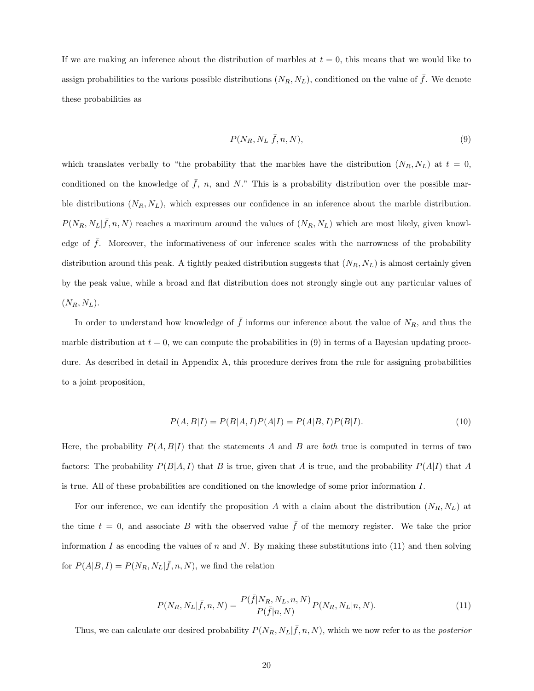If we are making an inference about the distribution of marbles at  $t = 0$ , this means that we would like to assign probabilities to the various possible distributions  $(N_R, N_L)$ , conditioned on the value of  $\bar{f}$ . We denote these probabilities as

$$
P(N_R, N_L | \bar{f}, n, N), \tag{9}
$$

which translates verbally to "the probability that the marbles have the distribution  $(N_R, N_L)$  at  $t = 0$ , conditioned on the knowledge of  $\bar{f}$ , n, and N." This is a probability distribution over the possible marble distributions  $(N_R, N_L)$ , which expresses our confidence in an inference about the marble distribution.  $P(N_R, N_L | \bar{f}, n, N)$  reaches a maximum around the values of  $(N_R, N_L)$  which are most likely, given knowledge of  $\bar{f}$ . Moreover, the informativeness of our inference scales with the narrowness of the probability distribution around this peak. A tightly peaked distribution suggests that  $(N_R, N_L)$  is almost certainly given by the peak value, while a broad and flat distribution does not strongly single out any particular values of  $(N_R, N_L)$ .

In order to understand how knowledge of  $\bar{f}$  informs our inference about the value of  $N_R$ , and thus the marble distribution at  $t = 0$ , we can compute the probabilities in (9) in terms of a Bayesian updating procedure. As described in detail in Appendix A, this procedure derives from the rule for assigning probabilities to a joint proposition,

$$
P(A, B|I) = P(B|A, I)P(A|I) = P(A|B, I)P(B|I).
$$
\n(10)

Here, the probability  $P(A, B|I)$  that the statements A and B are both true is computed in terms of two factors: The probability  $P(B|A, I)$  that B is true, given that A is true, and the probability  $P(A|I)$  that A is true. All of these probabilities are conditioned on the knowledge of some prior information I.

For our inference, we can identify the proposition A with a claim about the distribution  $(N_R, N_L)$  at the time  $t = 0$ , and associate B with the observed value f of the memory register. We take the prior information I as encoding the values of n and N. By making these substitutions into  $(11)$  and then solving for  $P(A|B, I) = P(N_R, N_L | \bar{f}, n, N)$ , we find the relation

$$
P(N_R, N_L | \bar{f}, n, N) = \frac{P(\bar{f}|N_R, N_L, n, N)}{P(\bar{f}|n, N)} P(N_R, N_L | n, N).
$$
\n(11)

Thus, we can calculate our desired probability  $P(N_R, N_L | \bar{f}, n, N)$ , which we now refer to as the *posterior*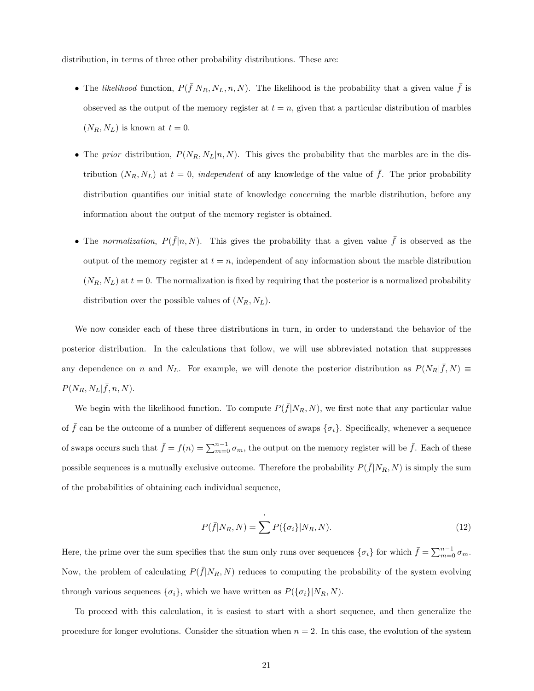distribution, in terms of three other probability distributions. These are:

- The likelihood function,  $P(\bar{f}|N_R, N_L, n, N)$ . The likelihood is the probability that a given value  $\bar{f}$  is observed as the output of the memory register at  $t = n$ , given that a particular distribution of marbles  $(N_R, N_L)$  is known at  $t = 0$ .
- The prior distribution,  $P(N_R, N_L | n, N)$ . This gives the probability that the marbles are in the distribution  $(N_R, N_L)$  at  $t = 0$ , independent of any knowledge of the value of  $\bar{f}$ . The prior probability distribution quantifies our initial state of knowledge concerning the marble distribution, before any information about the output of the memory register is obtained.
- The normalization,  $P(\bar{f}|n, N)$ . This gives the probability that a given value  $\bar{f}$  is observed as the output of the memory register at  $t = n$ , independent of any information about the marble distribution  $(N_R, N_L)$  at  $t = 0$ . The normalization is fixed by requiring that the posterior is a normalized probability distribution over the possible values of  $(N_R, N_L)$ .

We now consider each of these three distributions in turn, in order to understand the behavior of the posterior distribution. In the calculations that follow, we will use abbreviated notation that suppresses any dependence on n and N<sub>L</sub>. For example, we will denote the posterior distribution as  $P(N_R|\bar{f}, N) \equiv$  $P(N_R, N_L | \bar{f}, n, N).$ 

We begin with the likelihood function. To compute  $P(\bar{f}|N_R, N)$ , we first note that any particular value of  $\bar{f}$  can be the outcome of a number of different sequences of swaps  $\{\sigma_i\}$ . Specifically, whenever a sequence of swaps occurs such that  $\bar{f} = f(n) = \sum_{m=0}^{n-1} \sigma_m$ , the output on the memory register will be  $\bar{f}$ . Each of these possible sequences is a mutually exclusive outcome. Therefore the probability  $P(\bar{f}|N_R, N)$  is simply the sum of the probabilities of obtaining each individual sequence,

$$
P(\bar{f}|N_R, N) = \sum' P(\{\sigma_i\}|N_R, N). \tag{12}
$$

Here, the prime over the sum specifies that the sum only runs over sequences  $\{\sigma_i\}$  for which  $\bar{f} = \sum_{m=0}^{n-1} \sigma_m$ . Now, the problem of calculating  $P(\bar{f}|N_R, N)$  reduces to computing the probability of the system evolving through various sequences  $\{\sigma_i\}$ , which we have written as  $P(\{\sigma_i\}|N_R, N)$ .

To proceed with this calculation, it is easiest to start with a short sequence, and then generalize the procedure for longer evolutions. Consider the situation when  $n = 2$ . In this case, the evolution of the system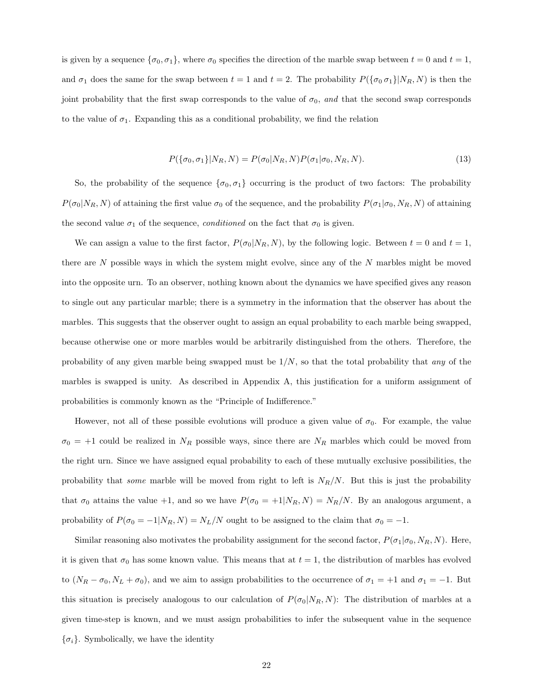is given by a sequence  $\{\sigma_0, \sigma_1\}$ , where  $\sigma_0$  specifies the direction of the marble swap between  $t = 0$  and  $t = 1$ , and  $\sigma_1$  does the same for the swap between  $t = 1$  and  $t = 2$ . The probability  $P(\{\sigma_0 \sigma_1\}|N_R, N)$  is then the joint probability that the first swap corresponds to the value of  $\sigma_0$ , and that the second swap corresponds to the value of  $\sigma_1$ . Expanding this as a conditional probability, we find the relation

$$
P(\{\sigma_0, \sigma_1\}|N_R, N) = P(\sigma_0|N_R, N)P(\sigma_1|\sigma_0, N_R, N). \tag{13}
$$

So, the probability of the sequence  $\{\sigma_0, \sigma_1\}$  occurring is the product of two factors: The probability  $P(\sigma_0|N_R, N)$  of attaining the first value  $\sigma_0$  of the sequence, and the probability  $P(\sigma_1|\sigma_0, N_R, N)$  of attaining the second value  $\sigma_1$  of the sequence, *conditioned* on the fact that  $\sigma_0$  is given.

We can assign a value to the first factor,  $P(\sigma_0|N_R, N)$ , by the following logic. Between  $t = 0$  and  $t = 1$ , there are  $N$  possible ways in which the system might evolve, since any of the  $N$  marbles might be moved into the opposite urn. To an observer, nothing known about the dynamics we have specified gives any reason to single out any particular marble; there is a symmetry in the information that the observer has about the marbles. This suggests that the observer ought to assign an equal probability to each marble being swapped, because otherwise one or more marbles would be arbitrarily distinguished from the others. Therefore, the probability of any given marble being swapped must be  $1/N$ , so that the total probability that any of the marbles is swapped is unity. As described in Appendix A, this justification for a uniform assignment of probabilities is commonly known as the "Principle of Indifference."

However, not all of these possible evolutions will produce a given value of  $\sigma_0$ . For example, the value  $\sigma_0 = +1$  could be realized in  $N_R$  possible ways, since there are  $N_R$  marbles which could be moved from the right urn. Since we have assigned equal probability to each of these mutually exclusive possibilities, the probability that *some* marble will be moved from right to left is  $N_R/N$ . But this is just the probability that  $\sigma_0$  attains the value +1, and so we have  $P(\sigma_0 = +1|N_R, N) = N_R/N$ . By an analogous argument, a probability of  $P(\sigma_0 = -1|N_R, N) = N_L/N$  ought to be assigned to the claim that  $\sigma_0 = -1$ .

Similar reasoning also motivates the probability assignment for the second factor,  $P(\sigma_1|\sigma_0, N_R, N)$ . Here, it is given that  $\sigma_0$  has some known value. This means that at  $t = 1$ , the distribution of marbles has evolved to  $(N_R - \sigma_0, N_L + \sigma_0)$ , and we aim to assign probabilities to the occurrence of  $\sigma_1 = +1$  and  $\sigma_1 = -1$ . But this situation is precisely analogous to our calculation of  $P(\sigma_0|N_R, N)$ : The distribution of marbles at a given time-step is known, and we must assign probabilities to infer the subsequent value in the sequence  $\{\sigma_i\}$ . Symbolically, we have the identity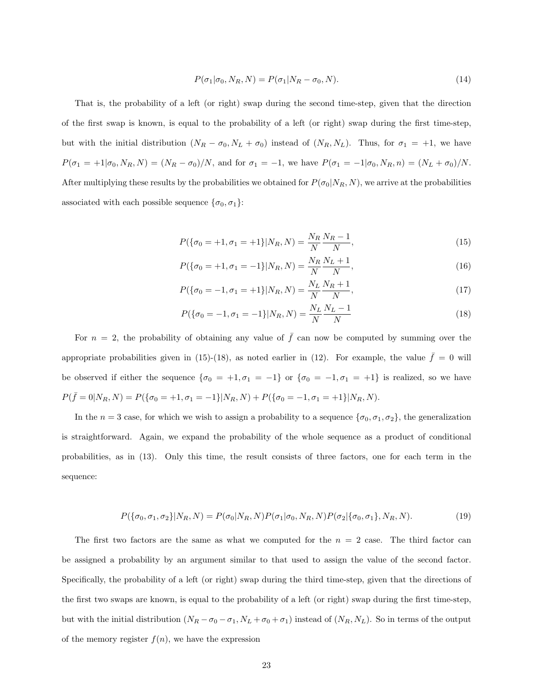$$
P(\sigma_1|\sigma_0, N_R, N) = P(\sigma_1|N_R - \sigma_0, N). \tag{14}
$$

That is, the probability of a left (or right) swap during the second time-step, given that the direction of the first swap is known, is equal to the probability of a left (or right) swap during the first time-step, but with the initial distribution  $(N_R - \sigma_0, N_L + \sigma_0)$  instead of  $(N_R, N_L)$ . Thus, for  $\sigma_1 = +1$ , we have  $P(\sigma_1 = +1|\sigma_0, N_R, N) = (N_R - \sigma_0)/N$ , and for  $\sigma_1 = -1$ , we have  $P(\sigma_1 = -1|\sigma_0, N_R, n) = (N_L + \sigma_0)/N$ . After multiplying these results by the probabilities we obtained for  $P(\sigma_0|N_R, N)$ , we arrive at the probabilities associated with each possible sequence  $\{\sigma_0, \sigma_1\}$ :

$$
P(\{\sigma_0 = +1, \sigma_1 = +1\}|N_R, N) = \frac{N_R}{N} \frac{N_R - 1}{N},
$$
\n(15)

$$
P(\{\sigma_0 = +1, \sigma_1 = -1\}|N_R, N) = \frac{N_R}{N} \frac{N_L + 1}{N},
$$
\n(16)

$$
P(\{\sigma_0 = -1, \sigma_1 = +1\}|N_R, N) = \frac{N_L}{N} \frac{N_R + 1}{N},\tag{17}
$$

$$
P(\{\sigma_0 = -1, \sigma_1 = -1\} | N_R, N) = \frac{N_L}{N} \frac{N_L - 1}{N}
$$
\n(18)

For  $n = 2$ , the probability of obtaining any value of  $\bar{f}$  can now be computed by summing over the appropriate probabilities given in (15)-(18), as noted earlier in (12). For example, the value  $\bar{f} = 0$  will be observed if either the sequence  $\{\sigma_0 = +1, \sigma_1 = -1\}$  or  $\{\sigma_0 = -1, \sigma_1 = +1\}$  is realized, so we have  $P(\bar{f} = 0|N_R, N) = P(\{\sigma_0 = +1, \sigma_1 = -1\}|N_R, N) + P(\{\sigma_0 = -1, \sigma_1 = +1\}|N_R, N).$ 

In the  $n = 3$  case, for which we wish to assign a probability to a sequence  $\{\sigma_0, \sigma_1, \sigma_2\}$ , the generalization is straightforward. Again, we expand the probability of the whole sequence as a product of conditional probabilities, as in (13). Only this time, the result consists of three factors, one for each term in the sequence:

$$
P(\{\sigma_0, \sigma_1, \sigma_2\}|N_R, N) = P(\sigma_0|N_R, N)P(\sigma_1|\sigma_0, N_R, N)P(\sigma_2|\{\sigma_0, \sigma_1\}, N_R, N). \tag{19}
$$

The first two factors are the same as what we computed for the  $n = 2$  case. The third factor can be assigned a probability by an argument similar to that used to assign the value of the second factor. Specifically, the probability of a left (or right) swap during the third time-step, given that the directions of the first two swaps are known, is equal to the probability of a left (or right) swap during the first time-step, but with the initial distribution  $(N_R - \sigma_0 - \sigma_1, N_L + \sigma_0 + \sigma_1)$  instead of  $(N_R, N_L)$ . So in terms of the output of the memory register  $f(n)$ , we have the expression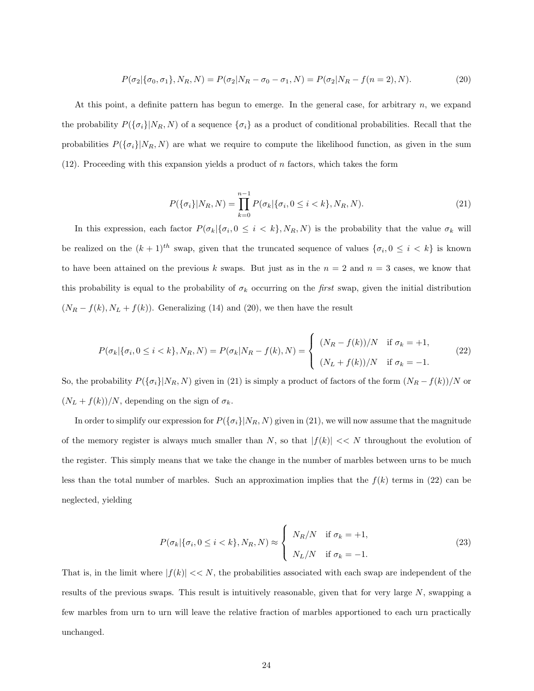$$
P(\sigma_2|\{\sigma_0, \sigma_1\}, N_R, N) = P(\sigma_2|N_R - \sigma_0 - \sigma_1, N) = P(\sigma_2|N_R - f(n=2), N). \tag{20}
$$

At this point, a definite pattern has begun to emerge. In the general case, for arbitrary  $n$ , we expand the probability  $P(\{\sigma_i\}|N_R, N)$  of a sequence  $\{\sigma_i\}$  as a product of conditional probabilities. Recall that the probabilities  $P(\{\sigma_i\}|N_R, N)$  are what we require to compute the likelihood function, as given in the sum  $(12)$ . Proceeding with this expansion yields a product of *n* factors, which takes the form

$$
P(\{\sigma_i\}|N_R, N) = \prod_{k=0}^{n-1} P(\sigma_k|\{\sigma_i, 0 \le i < k\}, N_R, N). \tag{21}
$$

In this expression, each factor  $P(\sigma_k|\{\sigma_i, 0 \leq i < k\}, N_R, N)$  is the probability that the value  $\sigma_k$  will be realized on the  $(k+1)^{th}$  swap, given that the truncated sequence of values  $\{\sigma_i, 0 \leq i \leq k\}$  is known to have been attained on the previous k swaps. But just as in the  $n = 2$  and  $n = 3$  cases, we know that this probability is equal to the probability of  $\sigma_k$  occurring on the *first* swap, given the initial distribution  $(N_R - f(k), N_L + f(k))$ . Generalizing (14) and (20), we then have the result

$$
P(\sigma_k|\{\sigma_i, 0 \le i < k\}, N_R, N) = P(\sigma_k|N_R - f(k), N) = \begin{cases} (N_R - f(k))/N & \text{if } \sigma_k = +1, \\ (N_L + f(k))/N & \text{if } \sigma_k = -1. \end{cases} \tag{22}
$$

So, the probability  $P(\{\sigma_i\}|N_R, N)$  given in (21) is simply a product of factors of the form  $(N_R - f(k))/N$  or  $(N_L + f(k))/N$ , depending on the sign of  $\sigma_k$ .

In order to simplify our expression for  $P(\{\sigma_i\}|N_R, N)$  given in (21), we will now assume that the magnitude of the memory register is always much smaller than  $N$ , so that  $|f(k)| \ll N$  throughout the evolution of the register. This simply means that we take the change in the number of marbles between urns to be much less than the total number of marbles. Such an approximation implies that the  $f(k)$  terms in (22) can be neglected, yielding

$$
P(\sigma_k|\{\sigma_i, 0 \le i < k\}, N_R, N) \approx \begin{cases} N_R/N & \text{if } \sigma_k = +1, \\ N_L/N & \text{if } \sigma_k = -1. \end{cases} \tag{23}
$$

That is, in the limit where  $|f(k)| \ll N$ , the probabilities associated with each swap are independent of the results of the previous swaps. This result is intuitively reasonable, given that for very large N, swapping a few marbles from urn to urn will leave the relative fraction of marbles apportioned to each urn practically unchanged.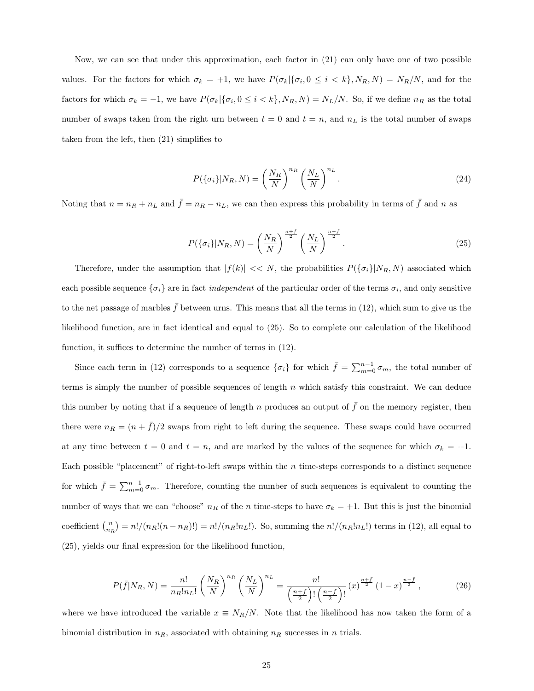Now, we can see that under this approximation, each factor in (21) can only have one of two possible values. For the factors for which  $\sigma_k = +1$ , we have  $P(\sigma_k|\{\sigma_i, 0 \leq i \leq k\}, N_R, N) = N_R/N$ , and for the factors for which  $\sigma_k = -1$ , we have  $P(\sigma_k | {\sigma_i, 0 \le i < k}$ ,  $N_R, N) = N_L/N$ . So, if we define  $n_R$  as the total number of swaps taken from the right urn between  $t = 0$  and  $t = n$ , and  $n<sub>L</sub>$  is the total number of swaps taken from the left, then (21) simplifies to

$$
P(\{\sigma_i\}|N_R, N) = \left(\frac{N_R}{N}\right)^{n_R} \left(\frac{N_L}{N}\right)^{n_L}.
$$
\n(24)

Noting that  $n = n_R + n_L$  and  $\bar{f} = n_R - n_L$ , we can then express this probability in terms of  $\bar{f}$  and n as

$$
P(\{\sigma_i\}|N_R, N) = \left(\frac{N_R}{N}\right)^{\frac{n+\bar{f}}{2}} \left(\frac{N_L}{N}\right)^{\frac{n-\bar{f}}{2}}.\tag{25}
$$

Therefore, under the assumption that  $|f(k)| \ll N$ , the probabilities  $P(\{\sigma_i\}|N_R, N)$  associated which each possible sequence  $\{\sigma_i\}$  are in fact *independent* of the particular order of the terms  $\sigma_i$ , and only sensitive to the net passage of marbles  $\bar{f}$  between urns. This means that all the terms in (12), which sum to give us the likelihood function, are in fact identical and equal to (25). So to complete our calculation of the likelihood function, it suffices to determine the number of terms in (12).

Since each term in (12) corresponds to a sequence  $\{\sigma_i\}$  for which  $\bar{f} = \sum_{m=0}^{n-1} \sigma_m$ , the total number of terms is simply the number of possible sequences of length  $n$  which satisfy this constraint. We can deduce this number by noting that if a sequence of length n produces an output of  $\bar{f}$  on the memory register, then there were  $n_R = (n + \bar{f})/2$  swaps from right to left during the sequence. These swaps could have occurred at any time between  $t = 0$  and  $t = n$ , and are marked by the values of the sequence for which  $\sigma_k = +1$ . Each possible "placement" of right-to-left swaps within the  $n$  time-steps corresponds to a distinct sequence for which  $\bar{f} = \sum_{m=0}^{n-1} \sigma_m$ . Therefore, counting the number of such sequences is equivalent to counting the number of ways that we can "choose"  $n_R$  of the n time-steps to have  $\sigma_k = +1$ . But this is just the binomial coefficient  $\binom{n}{n_R} = n!/(n_R!(n - n_R)!) = n!/(n_R!n_L!)$ . So, summing the  $n!/(n_R!n_L!)$  terms in (12), all equal to (25), yields our final expression for the likelihood function,

$$
P(\bar{f}|N_R, N) = \frac{n!}{n_R! n_L!} \left(\frac{N_R}{N}\right)^{n_R} \left(\frac{N_L}{N}\right)^{n_L} = \frac{n!}{\left(\frac{n+\bar{f}}{2}\right)! \left(\frac{n-\bar{f}}{2}\right)!} (x)^{\frac{n+\bar{f}}{2}} (1-x)^{\frac{n-\bar{f}}{2}},\tag{26}
$$

where we have introduced the variable  $x \equiv N_R/N$ . Note that the likelihood has now taken the form of a binomial distribution in  $n_R$ , associated with obtaining  $n_R$  successes in n trials.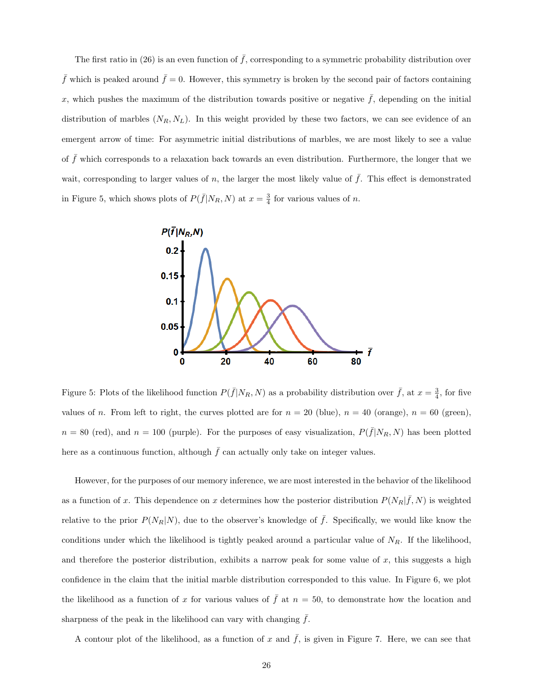The first ratio in (26) is an even function of  $\bar{f}$ , corresponding to a symmetric probability distribution over  $\bar{f}$  which is peaked around  $\bar{f} = 0$ . However, this symmetry is broken by the second pair of factors containing x, which pushes the maximum of the distribution towards positive or negative  $\bar{f}$ , depending on the initial distribution of marbles  $(N_R, N_L)$ . In this weight provided by these two factors, we can see evidence of an emergent arrow of time: For asymmetric initial distributions of marbles, we are most likely to see a value of  $f$  which corresponds to a relaxation back towards an even distribution. Furthermore, the longer that we wait, corresponding to larger values of n, the larger the most likely value of  $\bar{f}$ . This effect is demonstrated in Figure 5, which shows plots of  $P(\bar{f}|N_R, N)$  at  $x = \frac{3}{4}$  for various values of n.



Figure 5: Plots of the likelihood function  $P(\bar{f}|N_R, N)$  as a probability distribution over  $\bar{f}$ , at  $x=\frac{3}{4}$ , for five values of n. From left to right, the curves plotted are for  $n = 20$  (blue),  $n = 40$  (orange),  $n = 60$  (green),  $n = 80$  (red), and  $n = 100$  (purple). For the purposes of easy visualization,  $P(\bar{f}|N_R, N)$  has been plotted here as a continuous function, although  $\bar{f}$  can actually only take on integer values.

However, for the purposes of our memory inference, we are most interested in the behavior of the likelihood as a function of x. This dependence on x determines how the posterior distribution  $P(N_R|\bar{f}, N)$  is weighted relative to the prior  $P(N_R|N)$ , due to the observer's knowledge of  $\bar{f}$ . Specifically, we would like know the conditions under which the likelihood is tightly peaked around a particular value of  $N_R$ . If the likelihood, and therefore the posterior distribution, exhibits a narrow peak for some value of  $x$ , this suggests a high confidence in the claim that the initial marble distribution corresponded to this value. In Figure 6, we plot the likelihood as a function of x for various values of  $\bar{f}$  at  $n = 50$ , to demonstrate how the location and sharpness of the peak in the likelihood can vary with changing  $f$ .

A contour plot of the likelihood, as a function of x and  $\bar{f}$ , is given in Figure 7. Here, we can see that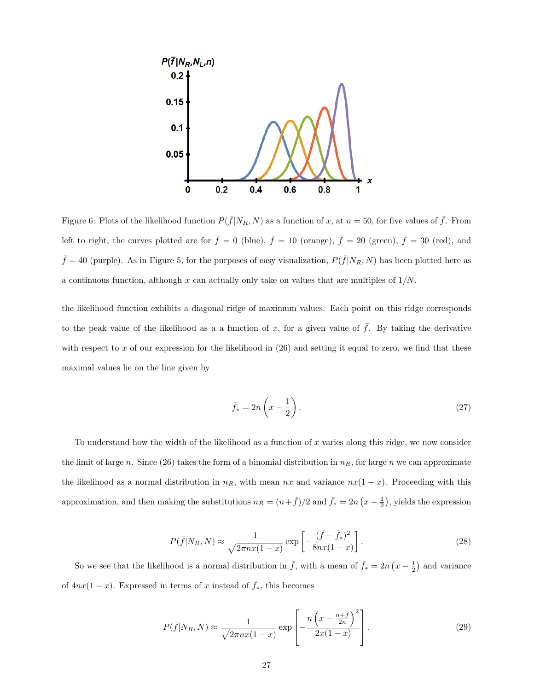

Figure 6: Plots of the likelihood function  $P(\bar{f}|N_R, N)$  as a function of x, at  $n = 50$ , for five values of  $\bar{f}$ . From left to right, the curves plotted are for  $\bar{f} = 0$  (blue),  $\bar{f} = 10$  (orange),  $\bar{f} = 20$  (green),  $\bar{f} = 30$  (red), and  $\bar{f} = 40$  (purple). As in Figure 5, for the purposes of easy visualization,  $P(\bar{f}|N_R, N)$  has been plotted here as a continuous function, although x can actually only take on values that are multiples of  $1/N$ .

the likelihood function exhibits a diagonal ridge of maximum values. Each point on this ridge corresponds to the peak value of the likelihood as a a function of x, for a given value of  $\bar{f}$ . By taking the derivative with respect to x of our expression for the likelihood in  $(26)$  and setting it equal to zero, we find that these maximal values lie on the line given by

$$
\bar{f}_* = 2n\left(x - \frac{1}{2}\right). \tag{27}
$$

To understand how the width of the likelihood as a function of  $x$  varies along this ridge, we now consider the limit of large n. Since (26) takes the form of a binomial distribution in  $n<sub>R</sub>$ , for large n we can approximate the likelihood as a normal distribution in  $n_R$ , with mean nx and variance  $nx(1-x)$ . Proceeding with this approximation, and then making the substitutions  $n_R = (n + \bar{f})/2$  and  $\bar{f}_* = 2n(x - \frac{1}{2})$ , yields the expression

$$
P(\bar{f}|N_R, N) \approx \frac{1}{\sqrt{2\pi nx(1-x)}} \exp\left[-\frac{(\bar{f}-\bar{f}_*)^2}{8nx(1-x)}\right].
$$
 (28)

So we see that the likelihood is a normal distribution in  $\bar{f}$ , with a mean of  $\bar{f}_* = 2n(x - \frac{1}{2})$  and variance of  $4nx(1-x)$ . Expressed in terms of x instead of  $\bar{f}_*$ , this becomes

$$
P(\bar{f}|N_R, N) \approx \frac{1}{\sqrt{2\pi nx(1-x)}} \exp\left[-\frac{n\left(x - \frac{n+\bar{f}}{2n}\right)^2}{2x(1-x)}\right].
$$
 (29)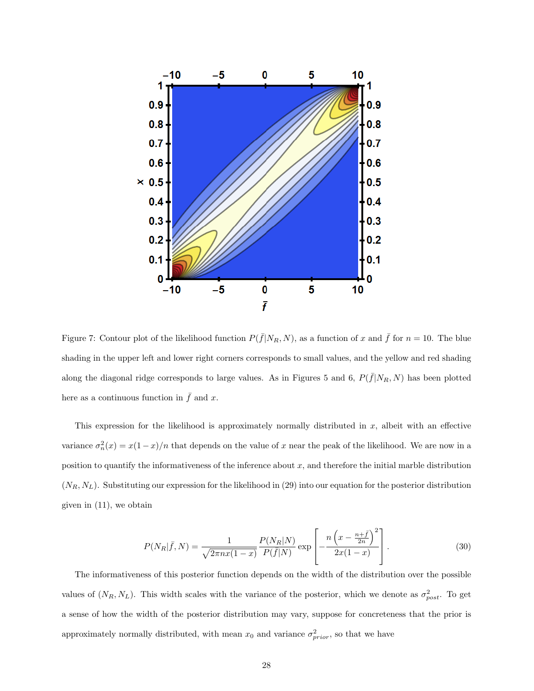

Figure 7: Contour plot of the likelihood function  $P(\bar{f}|N_R, N)$ , as a function of x and  $\bar{f}$  for  $n = 10$ . The blue shading in the upper left and lower right corners corresponds to small values, and the yellow and red shading along the diagonal ridge corresponds to large values. As in Figures 5 and 6,  $P(\bar{f}|N_R, N)$  has been plotted here as a continuous function in  $\bar{f}$  and x.

This expression for the likelihood is approximately normally distributed in  $x$ , albeit with an effective variance  $\sigma_n^2(x) = x(1-x)/n$  that depends on the value of x near the peak of the likelihood. We are now in a position to quantify the informativeness of the inference about  $x$ , and therefore the initial marble distribution  $(N_R, N_L)$ . Substituting our expression for the likelihood in (29) into our equation for the posterior distribution given in (11), we obtain

$$
P(N_R|\bar{f}, N) = \frac{1}{\sqrt{2\pi nx(1-x)}} \frac{P(N_R|N)}{P(\bar{f}|N)} \exp\left[-\frac{n\left(x - \frac{n+\bar{f}}{2n}\right)^2}{2x(1-x)}\right].
$$
 (30)

The informativeness of this posterior function depends on the width of the distribution over the possible values of  $(N_R, N_L)$ . This width scales with the variance of the posterior, which we denote as  $\sigma_{post}^2$ . To get a sense of how the width of the posterior distribution may vary, suppose for concreteness that the prior is approximately normally distributed, with mean  $x_0$  and variance  $\sigma_{prior}^2$ , so that we have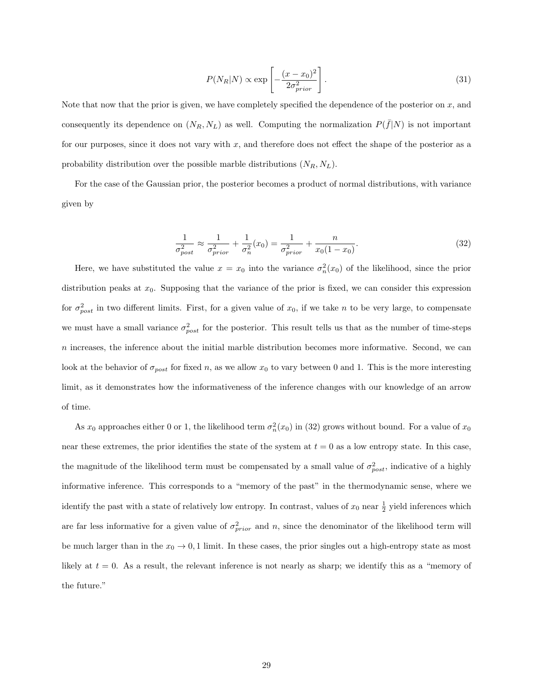$$
P(N_R|N) \propto \exp\left[-\frac{(x-x_0)^2}{2\sigma_{prior}^2}\right].\tag{31}
$$

Note that now that the prior is given, we have completely specified the dependence of the posterior on  $x$ , and consequently its dependence on  $(N_R, N_L)$  as well. Computing the normalization  $P(\bar{f}|N)$  is not important for our purposes, since it does not vary with x, and therefore does not effect the shape of the posterior as a probability distribution over the possible marble distributions  $(N_R, N_L)$ .

For the case of the Gaussian prior, the posterior becomes a product of normal distributions, with variance given by

$$
\frac{1}{\sigma_{post}^2} \approx \frac{1}{\sigma_{prior}^2} + \frac{1}{\sigma_n^2}(x_0) = \frac{1}{\sigma_{prior}^2} + \frac{n}{x_0(1 - x_0)}.
$$
\n(32)

Here, we have substituted the value  $x = x_0$  into the variance  $\sigma_n^2(x_0)$  of the likelihood, since the prior distribution peaks at  $x_0$ . Supposing that the variance of the prior is fixed, we can consider this expression for  $\sigma_{post}^2$  in two different limits. First, for a given value of  $x_0$ , if we take n to be very large, to compensate we must have a small variance  $\sigma_{post}^2$  for the posterior. This result tells us that as the number of time-steps  $n$  increases, the inference about the initial marble distribution becomes more informative. Second, we can look at the behavior of  $\sigma_{post}$  for fixed n, as we allow  $x_0$  to vary between 0 and 1. This is the more interesting limit, as it demonstrates how the informativeness of the inference changes with our knowledge of an arrow of time.

As  $x_0$  approaches either 0 or 1, the likelihood term  $\sigma_n^2(x_0)$  in (32) grows without bound. For a value of  $x_0$ near these extremes, the prior identifies the state of the system at  $t = 0$  as a low entropy state. In this case, the magnitude of the likelihood term must be compensated by a small value of  $\sigma_{post}^2$ , indicative of a highly informative inference. This corresponds to a "memory of the past" in the thermodynamic sense, where we identify the past with a state of relatively low entropy. In contrast, values of  $x_0$  near  $\frac{1}{2}$  yield inferences which are far less informative for a given value of  $\sigma_{prior}^2$  and n, since the denominator of the likelihood term will be much larger than in the  $x_0 \to 0, 1$  limit. In these cases, the prior singles out a high-entropy state as most likely at  $t = 0$ . As a result, the relevant inference is not nearly as sharp; we identify this as a "memory of the future."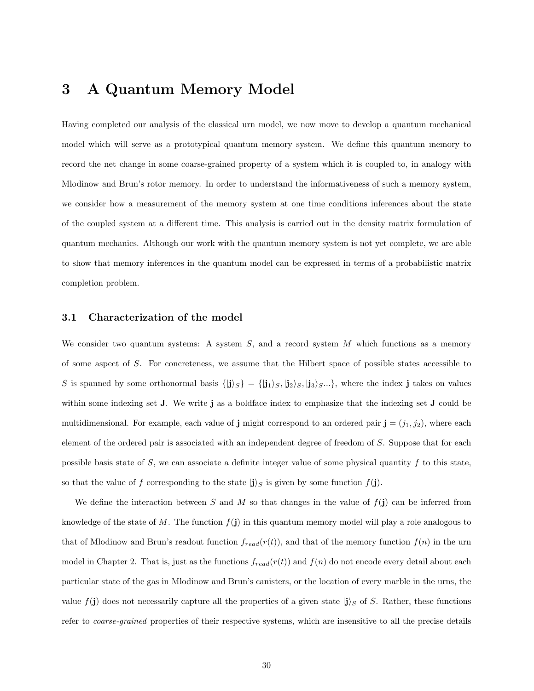## 3 A Quantum Memory Model

Having completed our analysis of the classical urn model, we now move to develop a quantum mechanical model which will serve as a prototypical quantum memory system. We define this quantum memory to record the net change in some coarse-grained property of a system which it is coupled to, in analogy with Mlodinow and Brun's rotor memory. In order to understand the informativeness of such a memory system, we consider how a measurement of the memory system at one time conditions inferences about the state of the coupled system at a different time. This analysis is carried out in the density matrix formulation of quantum mechanics. Although our work with the quantum memory system is not yet complete, we are able to show that memory inferences in the quantum model can be expressed in terms of a probabilistic matrix completion problem.

#### 3.1 Characterization of the model

We consider two quantum systems: A system  $S$ , and a record system  $M$  which functions as a memory of some aspect of S. For concreteness, we assume that the Hilbert space of possible states accessible to S is spanned by some orthonormal basis  $\{|j\rangle_{S}\} = \{|j_1\rangle_{S}, |j_2\rangle_{S}, |j_3\rangle_{S}...\}$ , where the index j takes on values within some indexing set **J**. We write **j** as a boldface index to emphasize that the indexing set **J** could be multidimensional. For example, each value of **j** might correspond to an ordered pair  $\mathbf{j} = (j_1, j_2)$ , where each element of the ordered pair is associated with an independent degree of freedom of S. Suppose that for each possible basis state of  $S$ , we can associate a definite integer value of some physical quantity  $f$  to this state, so that the value of f corresponding to the state  $|j\rangle_S$  is given by some function  $f(\mathbf{j})$ .

We define the interaction between S and M so that changes in the value of  $f(j)$  can be inferred from knowledge of the state of M. The function  $f(j)$  in this quantum memory model will play a role analogous to that of Mlodinow and Brun's readout function  $f_{read}(r(t))$ , and that of the memory function  $f(n)$  in the urn model in Chapter 2. That is, just as the functions  $f_{read}(r(t))$  and  $f(n)$  do not encode every detail about each particular state of the gas in Mlodinow and Brun's canisters, or the location of every marble in the urns, the value  $f(j)$  does not necessarily capture all the properties of a given state  $|j\rangle_S$  of S. Rather, these functions refer to *coarse-grained* properties of their respective systems, which are insensitive to all the precise details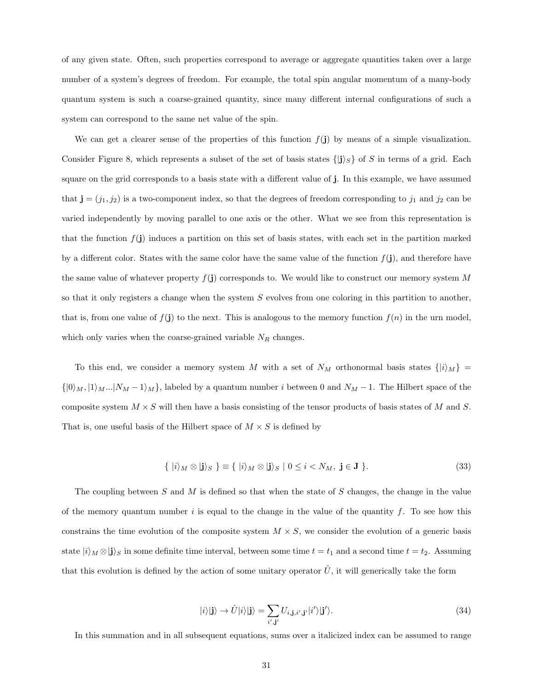of any given state. Often, such properties correspond to average or aggregate quantities taken over a large number of a system's degrees of freedom. For example, the total spin angular momentum of a many-body quantum system is such a coarse-grained quantity, since many different internal configurations of such a system can correspond to the same net value of the spin.

We can get a clearer sense of the properties of this function  $f(j)$  by means of a simple visualization. Consider Figure 8, which represents a subset of the set of basis states  $\{|\mathbf{j}\rangle_S\}$  of S in terms of a grid. Each square on the grid corresponds to a basis state with a different value of j. In this example, we have assumed that  $\mathbf{j} = (j_1, j_2)$  is a two-component index, so that the degrees of freedom corresponding to  $j_1$  and  $j_2$  can be varied independently by moving parallel to one axis or the other. What we see from this representation is that the function  $f(j)$  induces a partition on this set of basis states, with each set in the partition marked by a different color. States with the same color have the same value of the function  $f(j)$ , and therefore have the same value of whatever property  $f(j)$  corresponds to. We would like to construct our memory system M so that it only registers a change when the system  $S$  evolves from one coloring in this partition to another, that is, from one value of  $f(j)$  to the next. This is analogous to the memory function  $f(n)$  in the urn model, which only varies when the coarse-grained variable  $N_R$  changes.

To this end, we consider a memory system M with a set of  $N_M$  orthonormal basis states  $\{|i\rangle_M\}$  =  $\{|0\rangle_M, |1\rangle_M...|N_M - 1\rangle_M\}$ , labeled by a quantum number i between 0 and  $N_M - 1$ . The Hilbert space of the composite system  $M \times S$  will then have a basis consisting of the tensor products of basis states of M and S. That is, one useful basis of the Hilbert space of  $M \times S$  is defined by

$$
\{ |i\rangle_M \otimes |j\rangle_S \} \equiv \{ |i\rangle_M \otimes |j\rangle_S | 0 \le i < N_M, \ j \in J \}.
$$
\n
$$
(33)
$$

The coupling between  $S$  and  $M$  is defined so that when the state of  $S$  changes, the change in the value of the memory quantum number  $i$  is equal to the change in the value of the quantity  $f$ . To see how this constrains the time evolution of the composite system  $M \times S$ , we consider the evolution of a generic basis state  $|i\rangle_M \otimes |j\rangle_S$  in some definite time interval, between some time  $t = t_1$  and a second time  $t = t_2$ . Assuming that this evolution is defined by the action of some unitary operator  $\hat{U}$ , it will generically take the form

$$
|i\rangle|\mathbf{j}\rangle \rightarrow \hat{U}|i\rangle|\mathbf{j}\rangle = \sum_{i',\mathbf{j'}} U_{i,\mathbf{j},i',\mathbf{j'}}|i'\rangle|\mathbf{j'}\rangle. \tag{34}
$$

In this summation and in all subsequent equations, sums over a italicized index can be assumed to range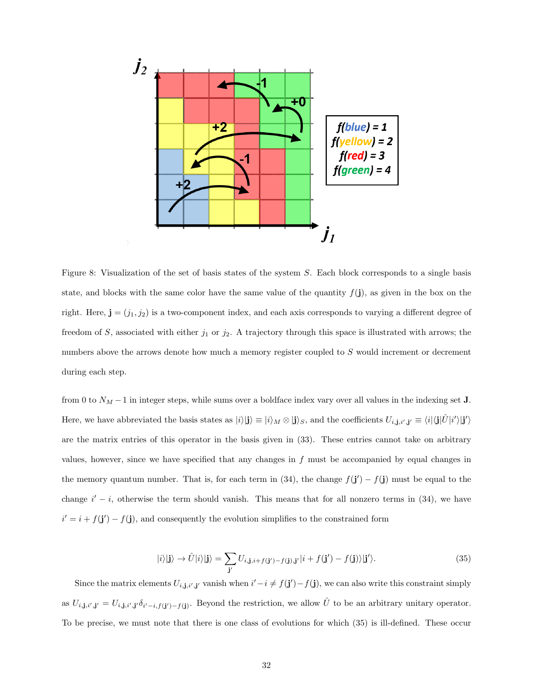

Figure 8: Visualization of the set of basis states of the system S. Each block corresponds to a single basis state, and blocks with the same color have the same value of the quantity  $f(j)$ , as given in the box on the right. Here,  $\mathbf{j} = (j_1, j_2)$  is a two-component index, and each axis corresponds to varying a different degree of freedom of S, associated with either  $j_1$  or  $j_2$ . A trajectory through this space is illustrated with arrows; the numbers above the arrows denote how much a memory register coupled to S would increment or decrement during each step.

from 0 to  $N_M - 1$  in integer steps, while sums over a boldface index vary over all values in the indexing set **J**. Here, we have abbreviated the basis states as  $|i\rangle|\mathbf{j}\rangle \equiv |i\rangle_M \otimes |\mathbf{j}\rangle_S$ , and the coefficients  $U_{i,\mathbf{j},i',\mathbf{j'}} \equiv \langle i|\langle \mathbf{j}|\hat{U}|i'\rangle|\mathbf{j'}\rangle$ are the matrix entries of this operator in the basis given in (33). These entries cannot take on arbitrary values, however, since we have specified that any changes in  $f$  must be accompanied by equal changes in the memory quantum number. That is, for each term in (34), the change  $f(j') - f(j)$  must be equal to the change  $i' - i$ , otherwise the term should vanish. This means that for all nonzero terms in (34), we have  $i' = i + f(j') - f(j)$ , and consequently the evolution simplifies to the constrained form

$$
|i\rangle|\mathbf{j}\rangle \rightarrow \hat{U}|i\rangle|\mathbf{j}\rangle = \sum_{\mathbf{j}'} U_{i,\mathbf{j},i+f(\mathbf{j}')-f(\mathbf{j}),\mathbf{j}'}|i+f(\mathbf{j}')-f(\mathbf{j})\rangle|\mathbf{j}'\rangle. \tag{35}
$$

Since the matrix elements  $U_{i,j,i',j'}$  vanish when  $i'-i \neq f(j')-f(j)$ , we can also write this constraint simply as  $U_{i,j,i',j'} = U_{i,j,i',j'} \delta_{i'-i,f(j')-f(j)}$ . Beyond the restriction, we allow  $\hat{U}$  to be an arbitrary unitary operator. To be precise, we must note that there is one class of evolutions for which (35) is ill-defined. These occur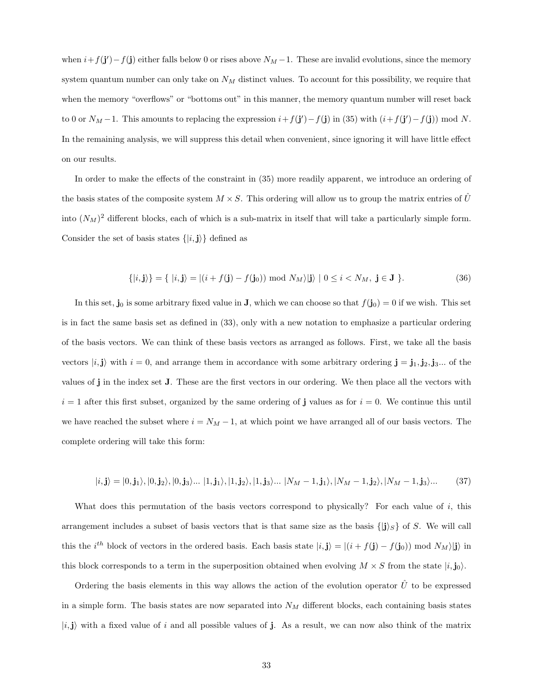when  $i + f(j') - f(j)$  either falls below 0 or rises above  $N_M - 1$ . These are invalid evolutions, since the memory system quantum number can only take on  $N_M$  distinct values. To account for this possibility, we require that when the memory "overflows" or "bottoms out" in this manner, the memory quantum number will reset back to 0 or  $N_M - 1$ . This amounts to replacing the expression  $i + f(\mathbf{j}') - f(\mathbf{j})$  in (35) with  $(i + f(\mathbf{j}') - f(\mathbf{j})) \text{ mod } N$ . In the remaining analysis, we will suppress this detail when convenient, since ignoring it will have little effect on our results.

In order to make the effects of the constraint in (35) more readily apparent, we introduce an ordering of the basis states of the composite system  $M \times S$ . This ordering will allow us to group the matrix entries of U into  $(N_M)^2$  different blocks, each of which is a sub-matrix in itself that will take a particularly simple form. Consider the set of basis states  $\{|i, \mathbf{j}\rangle\}$  defined as

$$
\{|i, \mathbf{j}\rangle\} = \{|i, \mathbf{j}\rangle = |(i + f(\mathbf{j}) - f(\mathbf{j}_0)) \bmod N_M\rangle |\mathbf{j}\rangle \mid 0 \le i < N_M, \mathbf{j} \in \mathbf{J}\}.
$$
\n(36)

In this set,  $\mathbf{j}_0$  is some arbitrary fixed value in **J**, which we can choose so that  $f(\mathbf{j}_0) = 0$  if we wish. This set is in fact the same basis set as defined in (33), only with a new notation to emphasize a particular ordering of the basis vectors. We can think of these basis vectors as arranged as follows. First, we take all the basis vectors  $|i, j\rangle$  with  $i = 0$ , and arrange them in accordance with some arbitrary ordering  $j = j_1, j_2, j_3...$  of the values of j in the index set J. These are the first vectors in our ordering. We then place all the vectors with  $i = 1$  after this first subset, organized by the same ordering of j values as for  $i = 0$ . We continue this until we have reached the subset where  $i = N_M - 1$ , at which point we have arranged all of our basis vectors. The complete ordering will take this form:

$$
|i, \mathbf{j}\rangle = |0, \mathbf{j}_1\rangle, |0, \mathbf{j}_2\rangle, |0, \mathbf{j}_3\rangle \dots |1, \mathbf{j}_1\rangle, |1, \mathbf{j}_2\rangle, |1, \mathbf{j}_3\rangle \dots |N_M - 1, \mathbf{j}_1\rangle, |N_M - 1, \mathbf{j}_2\rangle, |N_M - 1, \mathbf{j}_3\rangle \dots
$$
 (37)

What does this permutation of the basis vectors correspond to physically? For each value of  $i$ , this arrangement includes a subset of basis vectors that is that same size as the basis  $\{|j\rangle_{S}\}$  of S. We will call this the i<sup>th</sup> block of vectors in the ordered basis. Each basis state  $|i, j \rangle = |(i + f(j) - f(j_0)) \text{ mod } N_M\rangle|j\rangle$  in this block corresponds to a term in the superposition obtained when evolving  $M \times S$  from the state  $|i, j_0\rangle$ .

Ordering the basis elements in this way allows the action of the evolution operator  $\hat{U}$  to be expressed in a simple form. The basis states are now separated into  $N_M$  different blocks, each containing basis states  $|i,j\rangle$  with a fixed value of i and all possible values of j. As a result, we can now also think of the matrix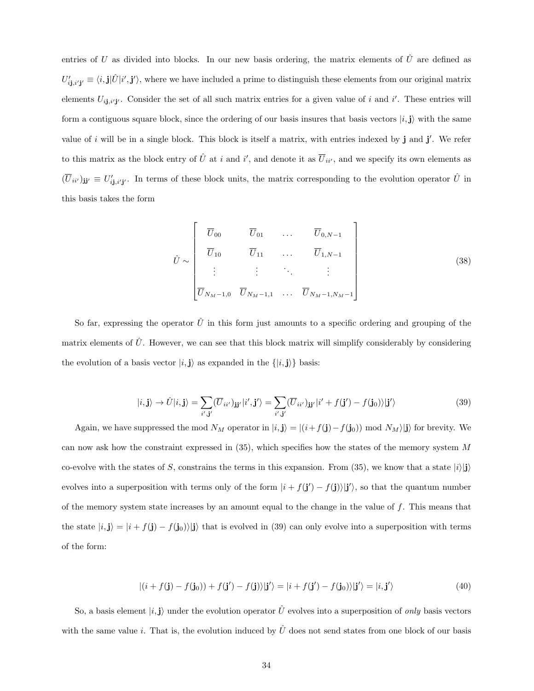entries of U as divided into blocks. In our new basis ordering, the matrix elements of  $\hat{U}$  are defined as  $U'_{i\mathbf{j},i'\mathbf{j'}} \equiv \langle i,\mathbf{j}|\hat{U}|i',\mathbf{j}'\rangle$ , where we have included a prime to distinguish these elements from our original matrix elements  $U_{i,j,i'j'}$ . Consider the set of all such matrix entries for a given value of i and i'. These entries will form a contiguous square block, since the ordering of our basis insures that basis vectors  $|i, j\rangle$  with the same value of i will be in a single block. This block is itself a matrix, with entries indexed by  $\mathbf{j}$  and  $\mathbf{j}'$ . We refer to this matrix as the block entry of  $\hat{U}$  at i and i', and denote it as  $\overline{U}_{ii'}$ , and we specify its own elements as  $(\overline{U}_{ii'})_{jj'} \equiv U'_{ij,i'j'}$ . In terms of these block units, the matrix corresponding to the evolution operator  $\hat{U}$  in this basis takes the form

$$
\hat{U} \sim \begin{bmatrix} \overline{U}_{00} & \overline{U}_{01} & \dots & \overline{U}_{0,N-1} \\ \overline{U}_{10} & \overline{U}_{11} & \dots & \overline{U}_{1,N-1} \\ \vdots & \vdots & \ddots & \vdots \\ \overline{U}_{N_M-1,0} & \overline{U}_{N_M-1,1} & \dots & \overline{U}_{N_M-1,N_M-1} \end{bmatrix}
$$
\n(38)

So far, expressing the operator  $\hat{U}$  in this form just amounts to a specific ordering and grouping of the matrix elements of  $\hat{U}$ . However, we can see that this block matrix will simplify considerably by considering the evolution of a basis vector  $|i, j\rangle$  as expanded in the  $\{|i, j\rangle\}$  basis:

$$
|i, \mathbf{j}\rangle \rightarrow \hat{U}|i, \mathbf{j}\rangle = \sum_{i', \mathbf{j'}} (\overline{U}_{ii'})_{\mathbf{j}\mathbf{j'}} |i', \mathbf{j'}\rangle = \sum_{i', \mathbf{j'}} (\overline{U}_{ii'})_{\mathbf{j}\mathbf{j'}} |i' + f(\mathbf{j'}) - f(\mathbf{j}_0)\rangle |\mathbf{j'}\rangle
$$
(39)

Again, we have suppressed the mod  $N_M$  operator in  $|i, \mathbf{j}\rangle = |(i+f(\mathbf{j})-f(\mathbf{j}_0)) \bmod N_M\rangle| \mathbf{j}\rangle$  for brevity. We can now ask how the constraint expressed in (35), which specifies how the states of the memory system M co-evolve with the states of S, constrains the terms in this expansion. From (35), we know that a state  $|i\rangle|j\rangle$ evolves into a superposition with terms only of the form  $|i + f(j') - f(j)|j'\rangle$ , so that the quantum number of the memory system state increases by an amount equal to the change in the value of  $f$ . This means that the state  $|i, \mathbf{j}\rangle = |i + f(\mathbf{j}) - f(\mathbf{j}_0)\rangle |\mathbf{j}\rangle$  that is evolved in (39) can only evolve into a superposition with terms of the form:

$$
|(i + f(\mathbf{j}) - f(\mathbf{j}_0)) + f(\mathbf{j}') - f(\mathbf{j})\rangle |\mathbf{j}'\rangle = |i + f(\mathbf{j}') - f(\mathbf{j}_0)\rangle |\mathbf{j}'\rangle = |i, \mathbf{j}'\rangle
$$
 (40)

So, a basis element  $|i, j\rangle$  under the evolution operator  $\hat{U}$  evolves into a superposition of *only* basis vectors with the same value i. That is, the evolution induced by  $\hat{U}$  does not send states from one block of our basis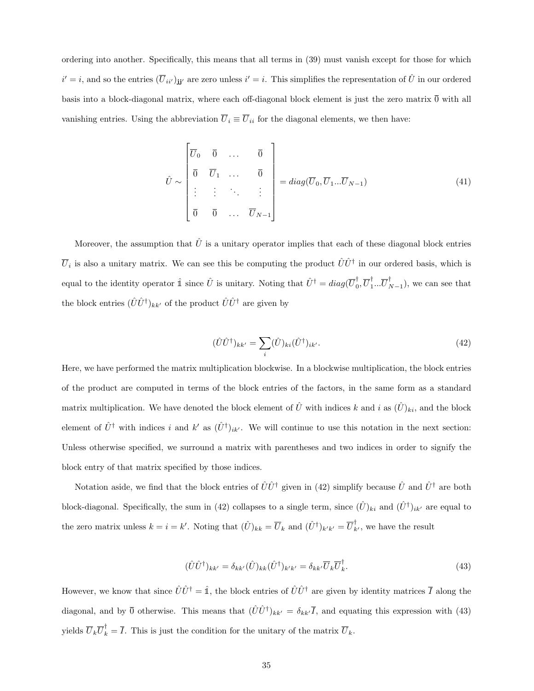ordering into another. Specifically, this means that all terms in (39) must vanish except for those for which  $i' = i$ , and so the entries  $(\overline{U}_{ii'})_{jj'}$  are zero unless  $i' = i$ . This simplifies the representation of  $\hat{U}$  in our ordered basis into a block-diagonal matrix, where each off-diagonal block element is just the zero matrix  $\overline{0}$  with all vanishing entries. Using the abbreviation  $\overline{U}_i \equiv \overline{U}_{ii}$  for the diagonal elements, we then have:

$$
\hat{U} \sim \begin{bmatrix} \overline{U}_0 & \overline{0} & \dots & \overline{0} \\ \overline{0} & \overline{U}_1 & \dots & \overline{0} \\ \vdots & \vdots & \ddots & \vdots \\ \overline{0} & \overline{0} & \dots & \overline{U}_{N-1} \end{bmatrix} = diag(\overline{U}_0, \overline{U}_1 \dots \overline{U}_{N-1})
$$
\n(41)

Moreover, the assumption that  $\hat{U}$  is a unitary operator implies that each of these diagonal block entries  $\overline{U}_i$  is also a unitary matrix. We can see this be computing the product  $\hat{U}\hat{U}^{\dagger}$  in our ordered basis, which is equal to the identity operator  $\hat{\mathbb{I}}$  since  $\hat{U}$  is unitary. Noting that  $\hat{U}^{\dagger} = diag(\overline{U}_{0}^{\dagger})$  $_{0}^{\dagger},\overline{U}_{1}^{\dagger}$  $_{1}^{\dagger}...\overline{U}_{I}^{\dagger}$  $_{N-1}^{'}$ ), we can see that the block entries  $(\hat{U}\hat{U}^{\dagger})_{kk'}$  of the product  $\hat{U}\hat{U}^{\dagger}$  are given by

$$
(\hat{U}\hat{U}^{\dagger})_{kk'} = \sum_{i} (\hat{U})_{ki} (\hat{U}^{\dagger})_{ik'}.
$$
\n(42)

Here, we have performed the matrix multiplication blockwise. In a blockwise multiplication, the block entries of the product are computed in terms of the block entries of the factors, in the same form as a standard matrix multiplication. We have denoted the block element of  $\hat{U}$  with indices k and i as  $(\hat{U})_{ki}$ , and the block element of  $\hat{U}^{\dagger}$  with indices i and k' as  $(\hat{U}^{\dagger})_{ik'}$ . We will continue to use this notation in the next section: Unless otherwise specified, we surround a matrix with parentheses and two indices in order to signify the block entry of that matrix specified by those indices.

Notation aside, we find that the block entries of  $\hat{U}\hat{U}^{\dagger}$  given in (42) simplify because  $\hat{U}$  and  $\hat{U}^{\dagger}$  are both block-diagonal. Specifically, the sum in (42) collapses to a single term, since  $(\hat{U})_{ki}$  and  $(\hat{U}^{\dagger})_{ik'}$  are equal to the zero matrix unless  $k = i = k'$ . Noting that  $(\hat{U})_{kk} = \overline{U}_k$  and  $(\hat{U}^{\dagger})_{k'k'} = \overline{U}_{k'}^{\dagger}$ , we have the result

$$
(\hat{U}\hat{U}^{\dagger})_{kk'} = \delta_{kk'}(\hat{U})_{kk}(\hat{U}^{\dagger})_{k'k'} = \delta_{kk'}\overline{U}_k\overline{U}_k^{\dagger}.
$$
\n(43)

However, we know that since  $\hat{U}\hat{U}^{\dagger}=\hat{\mathbb{1}}$ , the block entries of  $\hat{U}\hat{U}^{\dagger}$  are given by identity matrices  $\bar{I}$  along the diagonal, and by  $\overline{0}$  otherwise. This means that  $(\hat{U}\hat{U}^{\dagger})_{kk'} = \delta_{kk'}\overline{I}$ , and equating this expression with (43) yields  $\overline{U}_k \overline{U}_k^{\dagger} = \overline{I}$ . This is just the condition for the unitary of the matrix  $\overline{U}_k$ .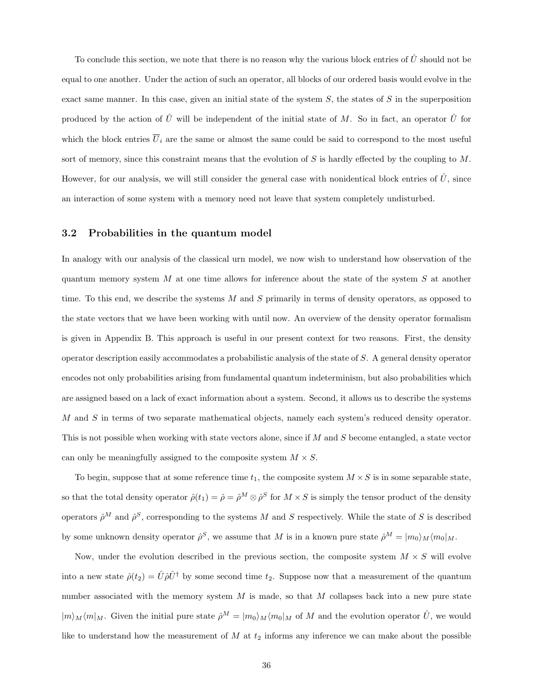To conclude this section, we note that there is no reason why the various block entries of  $\hat{U}$  should not be equal to one another. Under the action of such an operator, all blocks of our ordered basis would evolve in the exact same manner. In this case, given an initial state of the system  $S$ , the states of  $S$  in the superposition produced by the action of  $\hat{U}$  will be independent of the initial state of M. So in fact, an operator  $\hat{U}$  for which the block entries  $\overline{U}_i$  are the same or almost the same could be said to correspond to the most useful sort of memory, since this constraint means that the evolution of  $S$  is hardly effected by the coupling to  $M$ . However, for our analysis, we will still consider the general case with nonidentical block entries of  $\hat{U}$ , since an interaction of some system with a memory need not leave that system completely undisturbed.

#### 3.2 Probabilities in the quantum model

In analogy with our analysis of the classical urn model, we now wish to understand how observation of the quantum memory system M at one time allows for inference about the state of the system  $S$  at another time. To this end, we describe the systems  $M$  and  $S$  primarily in terms of density operators, as opposed to the state vectors that we have been working with until now. An overview of the density operator formalism is given in Appendix B. This approach is useful in our present context for two reasons. First, the density operator description easily accommodates a probabilistic analysis of the state of S. A general density operator encodes not only probabilities arising from fundamental quantum indeterminism, but also probabilities which are assigned based on a lack of exact information about a system. Second, it allows us to describe the systems M and S in terms of two separate mathematical objects, namely each system's reduced density operator. This is not possible when working with state vectors alone, since if M and S become entangled, a state vector can only be meaningfully assigned to the composite system  $M \times S$ .

To begin, suppose that at some reference time  $t_1$ , the composite system  $M \times S$  is in some separable state, so that the total density operator  $\hat{\rho}(t_1) = \hat{\rho} = \hat{\rho}^M \otimes \hat{\rho}^S$  for  $M \times S$  is simply the tensor product of the density operators  $\hat{\rho}^M$  and  $\hat{\rho}^S$ , corresponding to the systems M and S respectively. While the state of S is described by some unknown density operator  $\hat{\rho}^S$ , we assume that M is in a known pure state  $\hat{\rho}^M = |m_0\rangle_M \langle m_0|_M$ .

Now, under the evolution described in the previous section, the composite system  $M \times S$  will evolve into a new state  $\hat{\rho}(t_2) = \hat{U}\hat{\rho}\hat{U}^{\dagger}$  by some second time  $t_2$ . Suppose now that a measurement of the quantum number associated with the memory system  $M$  is made, so that  $M$  collapses back into a new pure state  $|m\rangle_M\langle m|_M$ . Given the initial pure state  $\hat{\rho}^M = |m_0\rangle_M\langle m_0|_M$  of M and the evolution operator  $\hat{U}$ , we would like to understand how the measurement of  $M$  at  $t_2$  informs any inference we can make about the possible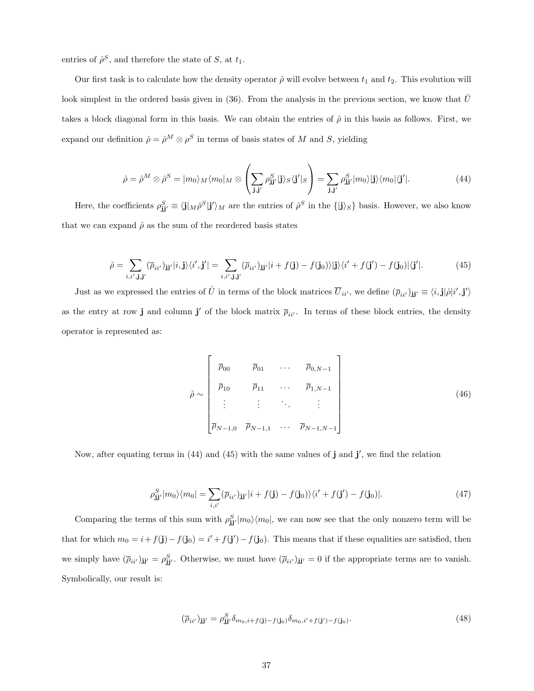entries of  $\hat{\rho}^S$ , and therefore the state of S, at  $t_1$ .

Our first task is to calculate how the density operator  $\hat{\rho}$  will evolve between  $t_1$  and  $t_2$ . This evolution will look simplest in the ordered basis given in (36). From the analysis in the previous section, we know that  $\hat{U}$ takes a block diagonal form in this basis. We can obtain the entries of  $\hat{\rho}$  in this basis as follows. First, we expand our definition  $\hat{\rho} = \hat{\rho}^M \otimes \rho^S$  in terms of basis states of M and S, yielding

$$
\hat{\rho} = \hat{\rho}^M \otimes \hat{\rho}^S = |m_0\rangle_M \langle m_0|_M \otimes \left(\sum_{\mathbf{j}, \mathbf{j'}} \rho_{\mathbf{j}\mathbf{j'}}^S |\mathbf{j}\rangle_S \langle \mathbf{j'}|_S \right) = \sum_{\mathbf{j}, \mathbf{j'}} \rho_{\mathbf{j}\mathbf{j'}}^S |m_0\rangle |\mathbf{j}\rangle \langle m_0| \langle \mathbf{j'}|.
$$
\n(44)

Here, the coefficients  $\rho_{jj'}^S \equiv \langle j |_M \hat{\rho}^S | j' \rangle_M$  are the entries of  $\hat{\rho}^S$  in the  $\{|j\rangle_S\}$  basis. However, we also know that we can expand  $\hat{\rho}$  as the sum of the reordered basis states

$$
\hat{\rho} = \sum_{i,i',\mathbf{j},\mathbf{j'}} (\overline{\rho}_{ii'})_{\mathbf{j}\mathbf{j'}} |i,\mathbf{j}\rangle \langle i',\mathbf{j'}| = \sum_{i,i',\mathbf{j},\mathbf{j'}} (\overline{\rho}_{ii'})_{\mathbf{j}\mathbf{j'}} |i+f(\mathbf{j})-f(\mathbf{j}_0)\rangle |\mathbf{j}\rangle \langle i'+f(\mathbf{j'})-f(\mathbf{j}_0)|\langle \mathbf{j'}|.
$$
 (45)

Just as we expressed the entries of  $\hat{U}$  in terms of the block matrices  $\overline{U}_{ii'}$ , we define  $(\overline{\rho}_{ii'})_{jj'} \equiv \langle i, j | \hat{\rho} | i', j' \rangle$ as the entry at row j and column j' of the block matrix  $\bar{p}_{ii'}$ . In terms of these block entries, the density operator is represented as:

$$
\hat{\rho} \sim \begin{bmatrix} \bar{p}_{00} & \bar{p}_{01} & \cdots & \bar{p}_{0,N-1} \\ \bar{p}_{10} & \bar{p}_{11} & \cdots & \bar{p}_{1,N-1} \\ \vdots & \vdots & \ddots & \vdots \\ \bar{p}_{N-1,0} & \bar{p}_{N-1,1} & \cdots & \bar{p}_{N-1,N-1} \end{bmatrix}
$$
\n(46)

Now, after equating terms in  $(44)$  and  $(45)$  with the same values of j and j', we find the relation

$$
\rho_{\mathbf{j}\mathbf{j}'}^{S}|m_{0}\rangle\langle m_{0}| = \sum_{i,i'} (\overline{\rho}_{ii'})_{\mathbf{j}\mathbf{j}'}|i+f(\mathbf{j})-f(\mathbf{j}_{0})\rangle\langle i'+f(\mathbf{j}')-f(\mathbf{j}_{0})|.
$$
\n(47)

Comparing the terms of this sum with  $\rho_{\mathbf{j}j'}^S|m_0\rangle\langle m_0|$ , we can now see that the only nonzero term will be that for which  $m_0 = i + f(j) - f(j_0) = i' + f(j') - f(j_0)$ . This means that if these equalities are satisfied, then we simply have  $(\bar{\rho}_{ii'})_{jj'} = \rho_{jj'}^S$ . Otherwise, we must have  $(\bar{\rho}_{ii'})_{jj'} = 0$  if the appropriate terms are to vanish. Symbolically, our result is:

$$
(\overline{\rho}_{ii'})_{\mathbf{j}\mathbf{j'}} = \rho_{\mathbf{j}\mathbf{j'}}^S \delta_{m_0, i+f(\mathbf{j})-f(\mathbf{j}_0)} \delta_{m_0, i'+f(\mathbf{j'})-f(\mathbf{j}_0)}.\tag{48}
$$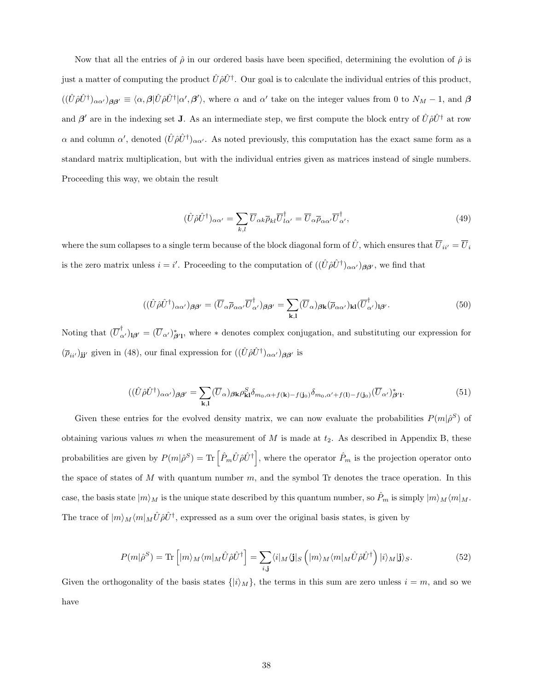Now that all the entries of  $\hat{\rho}$  in our ordered basis have been specified, determining the evolution of  $\hat{\rho}$  is just a matter of computing the product  $\hat{U}\hat{\rho}\hat{U}^{\dagger}$ . Our goal is to calculate the individual entries of this product,  $((\hat{U}\hat{\rho}\hat{U}^{\dagger})_{\alpha\alpha'})_{\beta\beta'} \equiv \langle \alpha, \beta | \hat{U}\hat{\rho}\hat{U}^{\dagger} | \alpha', \beta' \rangle$ , where  $\alpha$  and  $\alpha'$  take on the integer values from 0 to  $N_M - 1$ , and  $\beta$ and  $\beta'$  are in the indexing set J. As an intermediate step, we first compute the block entry of  $\hat{U}\hat{\rho}\hat{U}^{\dagger}$  at row  $\alpha$  and column  $\alpha'$ , denoted  $(\hat{U}\hat{\rho}\hat{U}^{\dagger})_{\alpha\alpha'}$ . As noted previously, this computation has the exact same form as a standard matrix multiplication, but with the individual entries given as matrices instead of single numbers. Proceeding this way, we obtain the result

$$
(\hat{U}\hat{\rho}\hat{U}^{\dagger})_{\alpha\alpha'} = \sum_{k,l} \overline{U}_{\alpha k} \overline{\rho}_{kl} \overline{U}_{l\alpha'}^{\dagger} = \overline{U}_{\alpha} \overline{\rho}_{\alpha\alpha'} \overline{U}_{\alpha'}^{\dagger},\tag{49}
$$

where the sum collapses to a single term because of the block diagonal form of  $\hat{U}$ , which ensures that  $\overline{U}_{ii'} = \overline{U}_i$ is the zero matrix unless  $i = i'$ . Proceeding to the computation of  $((\hat{U}\hat{\rho}\hat{U}^{\dagger})_{\alpha\alpha'})_{\beta\beta'}$ , we find that

$$
((\hat{U}\hat{\rho}\hat{U}^{\dagger})_{\alpha\alpha'})_{\beta\beta'} = (\overline{U}_{\alpha}\overline{\rho}_{\alpha\alpha'}\overline{U}_{\alpha'}^{\dagger})_{\beta\beta'} = \sum_{\mathbf{k},\mathbf{l}} (\overline{U}_{\alpha})_{\beta\mathbf{k}} (\overline{\rho}_{\alpha\alpha'})_{\mathbf{k}\mathbf{l}} (\overline{U}_{\alpha'}^{\dagger})_{\mathbf{l}\beta'}.
$$
\n(50)

Noting that  $(\overline{U}_{\alpha'}^{\dagger})_{\beta'} = (\overline{U}_{\alpha'})_{\beta'1}^*$ , where  $*$  denotes complex conjugation, and substituting our expression for  $(\bar{\rho}_{ii'})_{jj'}$  given in (48), our final expression for  $((\hat{U}\hat{\rho}\hat{U}^{\dagger})_{\alpha\alpha'})_{\beta\beta'}$  is

$$
((\hat{U}\hat{\rho}\hat{U}^{\dagger})_{\alpha\alpha'})_{\beta\beta'} = \sum_{\mathbf{k},\mathbf{l}} (\overline{U}_{\alpha})_{\beta\mathbf{k}} \rho_{\mathbf{k}\mathbf{l}}^{S} \delta_{m_0,\alpha+f(\mathbf{k})-f(\mathbf{j}_0)} \delta_{m_0,\alpha'+f(\mathbf{l})-f(\mathbf{j}_0)} (\overline{U}_{\alpha'})_{\beta'\mathbf{l}}^{*}.
$$
\n(51)

Given these entries for the evolved density matrix, we can now evaluate the probabilities  $P(m|\hat{\rho}^S)$  of obtaining various values m when the measurement of  $M$  is made at  $t_2$ . As described in Appendix B, these probabilities are given by  $P(m|\hat{\rho}^S) = \text{Tr} \left[ \hat{P}_m \hat{U} \hat{\rho} \hat{U}^{\dagger} \right]$ , where the operator  $\hat{P}_m$  is the projection operator onto the space of states of  $M$  with quantum number  $m$ , and the symbol Tr denotes the trace operation. In this case, the basis state  $|m\rangle_M$  is the unique state described by this quantum number, so  $\hat{P}_m$  is simply  $|m\rangle_M\langle m|_M$ . The trace of  $|m\rangle_M\langle m|_M\hat{U}\hat{\rho}\hat{U}^{\dagger}$ , expressed as a sum over the original basis states, is given by

$$
P(m|\hat{\rho}^S) = \text{Tr}\left[ |m\rangle_M \langle m|_M \hat{U} \hat{\rho} \hat{U}^{\dagger} \right] = \sum_{i,j} \langle i|_M \langle \mathbf{j}|_S \left( |m\rangle_M \langle m|_M \hat{U} \hat{\rho} \hat{U}^{\dagger} \right) |i\rangle_M |\mathbf{j}\rangle_S. \tag{52}
$$

Given the orthogonality of the basis states  $\{|i\rangle_M\}$ , the terms in this sum are zero unless  $i = m$ , and so we have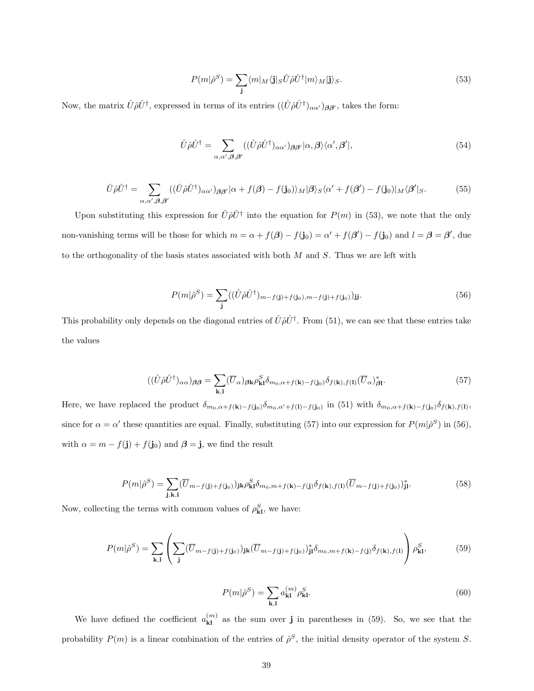$$
P(m|\hat{\rho}^S) = \sum_{\mathbf{j}} \langle m|_M \langle \mathbf{j}|_S \hat{U} \hat{\rho} \hat{U}^{\dagger} |m \rangle_M |\mathbf{j} \rangle_S. \tag{53}
$$

Now, the matrix  $\hat{U}\hat{\rho}\hat{U}^{\dagger}$ , expressed in terms of its entries  $((\hat{U}\hat{\rho}\hat{U}^{\dagger})_{\alpha\alpha'})_{\beta\beta'}$ , takes the form:

$$
\hat{U}\hat{\rho}\hat{U}^{\dagger} = \sum_{\alpha,\alpha',\beta,\beta'} ((\hat{U}\hat{\rho}\hat{U}^{\dagger})_{\alpha\alpha'})_{\beta\beta'}|\alpha,\beta\rangle\langle\alpha',\beta'|,
$$
\n(54)

$$
\hat{U}\hat{\rho}\hat{U}^{\dagger} = \sum_{\alpha,\alpha',\beta,\beta'} ((\hat{U}\hat{\rho}\hat{U}^{\dagger})_{\alpha\alpha'})_{\beta\beta'}|\alpha + f(\beta) - f(\mathbf{j}_0)\rangle_M|\beta\rangle_S\langle\alpha' + f(\beta') - f(\mathbf{j}_0)|_M\langle\beta'|_S. \tag{55}
$$

Upon substituting this expression for  $\hat{U}\hat{\rho}\hat{U}^{\dagger}$  into the equation for  $P(m)$  in (53), we note that the only non-vanishing terms will be those for which  $m = \alpha + f(\beta) - f(j_0) = \alpha' + f(\beta') - f(j_0)$  and  $l = \beta = \beta'$ , due to the orthogonality of the basis states associated with both  $M$  and  $S$ . Thus we are left with

$$
P(m|\hat{\rho}^S) = \sum_{\mathbf{j}} ((\hat{U}\hat{\rho}\hat{U}^{\dagger})_{m-f(\mathbf{j})+f(\mathbf{j}_0),m-f(\mathbf{j})+f(\mathbf{j}_0)})_{\mathbf{j}\mathbf{j}}.
$$
\n(56)

This probability only depends on the diagonal entries of  $\hat{U}\hat{\rho}\hat{U}^{\dagger}$ . From (51), we can see that these entries take the values

$$
((\hat{U}\hat{\rho}\hat{U}^{\dagger})_{\alpha\alpha})_{\beta\beta} = \sum_{\mathbf{k},\mathbf{l}} (\overline{U}_{\alpha})_{\beta\mathbf{k}} \rho_{\mathbf{k}\mathbf{l}}^{S} \delta_{m_{0},\alpha+f(\mathbf{k})-f(\mathbf{j}_{0})} \delta_{f(\mathbf{k}),f(\mathbf{l})} (\overline{U}_{\alpha})_{\beta\mathbf{l}}^{*}.
$$
\n(57)

Here, we have replaced the product  $\delta_{m_0,\alpha+f(k)-f(j_0)}\delta_{m_0,\alpha'+f(l)-f(j_0)}$  in (51) with  $\delta_{m_0,\alpha+f(k)-f(j_0)}\delta_{f(k),f(l)},$ since for  $\alpha = \alpha'$  these quantities are equal. Finally, substituting (57) into our expression for  $P(m|\hat{\rho}^S)$  in (56), with  $\alpha = m - f(\mathbf{j}) + f(\mathbf{j}_0)$  and  $\beta = \mathbf{j}$ , we find the result

$$
P(m|\hat{\rho}^S) = \sum_{\mathbf{j},\mathbf{k},\mathbf{l}} (\overline{U}_{m-f(\mathbf{j})+f(\mathbf{j}_0)})_{\mathbf{j}\mathbf{k}} \rho^S_{\mathbf{k}\mathbf{l}} \delta_{m_0,m+f(\mathbf{k})-f(\mathbf{j})} \delta_{f(\mathbf{k}),f(\mathbf{l})} (\overline{U}_{m-f(\mathbf{j})+f(\mathbf{j}_0)})^*_{\mathbf{j}\mathbf{l}}.
$$
 (58)

Now, collecting the terms with common values of  $\rho_{\bf kl}^S$ , we have:

$$
P(m|\hat{\rho}^S) = \sum_{\mathbf{k},\mathbf{l}} \left( \sum_{\mathbf{j}} (\overline{U}_{m-f(\mathbf{j})+f(\mathbf{j}_0)})_{\mathbf{j}\mathbf{k}} (\overline{U}_{m-f(\mathbf{j})+f(\mathbf{j}_0)})_{\mathbf{j}\mathbf{l}}^* \delta_{m_0, m+f(\mathbf{k})-f(\mathbf{j})} \delta_{f(\mathbf{k}),f(\mathbf{l})} \right) \rho^S_{\mathbf{k}\mathbf{l}},\tag{59}
$$

$$
P(m|\hat{\rho}^S) = \sum_{\mathbf{k},\mathbf{l}} a_{\mathbf{k}\mathbf{l}}^{(m)} \rho_{\mathbf{k}\mathbf{l}}^S.
$$
 (60)

We have defined the coefficient  $a_{kl}^{(m)}$  as the sum over j in parentheses in (59). So, we see that the probability  $P(m)$  is a linear combination of the entries of  $\hat{\rho}^S$ , the initial density operator of the system S.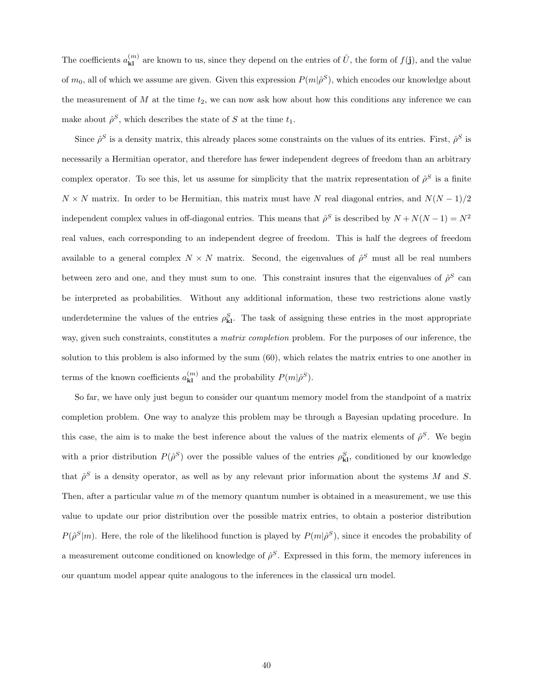The coefficients  $a_{kl}^{(m)}$  are known to us, since they depend on the entries of  $\hat{U}$ , the form of  $f(\mathbf{j})$ , and the value of  $m_0$ , all of which we assume are given. Given this expression  $P(m|\hat{\rho}^S)$ , which encodes our knowledge about the measurement of  $M$  at the time  $t_2$ , we can now ask how about how this conditions any inference we can make about  $\hat{\rho}^S$ , which describes the state of S at the time  $t_1$ .

Since  $\rho^S$  is a density matrix, this already places some constraints on the values of its entries. First,  $\rho^S$  is necessarily a Hermitian operator, and therefore has fewer independent degrees of freedom than an arbitrary complex operator. To see this, let us assume for simplicity that the matrix representation of  $\hat{\rho}^S$  is a finite  $N \times N$  matrix. In order to be Hermitian, this matrix must have N real diagonal entries, and  $N(N-1)/2$ independent complex values in off-diagonal entries. This means that  $\hat{\rho}^S$  is described by  $N + N(N-1) = N^2$ real values, each corresponding to an independent degree of freedom. This is half the degrees of freedom available to a general complex  $N \times N$  matrix. Second, the eigenvalues of  $\hat{\rho}^S$  must all be real numbers between zero and one, and they must sum to one. This constraint insures that the eigenvalues of  $\hat{\rho}^S$  can be interpreted as probabilities. Without any additional information, these two restrictions alone vastly underdetermine the values of the entries  $\rho_{kl}^S$ . The task of assigning these entries in the most appropriate way, given such constraints, constitutes a *matrix completion* problem. For the purposes of our inference, the solution to this problem is also informed by the sum (60), which relates the matrix entries to one another in terms of the known coefficients  $a_{kl}^{(m)}$  and the probability  $P(m|\hat{\rho}^S)$ .

So far, we have only just begun to consider our quantum memory model from the standpoint of a matrix completion problem. One way to analyze this problem may be through a Bayesian updating procedure. In this case, the aim is to make the best inference about the values of the matrix elements of  $\hat{\rho}^S$ . We begin with a prior distribution  $P(\hat{\rho}^S)$  over the possible values of the entries  $\rho_{\bf kl}^S$ , conditioned by our knowledge that  $\hat{\rho}^S$  is a density operator, as well as by any relevant prior information about the systems M and S. Then, after a particular value  $m$  of the memory quantum number is obtained in a measurement, we use this value to update our prior distribution over the possible matrix entries, to obtain a posterior distribution  $P(\hat{\rho}^S|m)$ . Here, the role of the likelihood function is played by  $P(m|\hat{\rho}^S)$ , since it encodes the probability of a measurement outcome conditioned on knowledge of  $\hat{\rho}^S$ . Expressed in this form, the memory inferences in our quantum model appear quite analogous to the inferences in the classical urn model.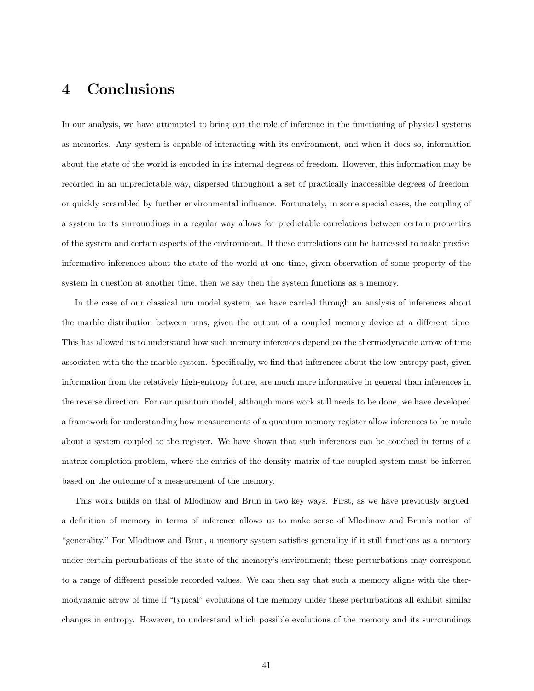## 4 Conclusions

In our analysis, we have attempted to bring out the role of inference in the functioning of physical systems as memories. Any system is capable of interacting with its environment, and when it does so, information about the state of the world is encoded in its internal degrees of freedom. However, this information may be recorded in an unpredictable way, dispersed throughout a set of practically inaccessible degrees of freedom, or quickly scrambled by further environmental influence. Fortunately, in some special cases, the coupling of a system to its surroundings in a regular way allows for predictable correlations between certain properties of the system and certain aspects of the environment. If these correlations can be harnessed to make precise, informative inferences about the state of the world at one time, given observation of some property of the system in question at another time, then we say then the system functions as a memory.

In the case of our classical urn model system, we have carried through an analysis of inferences about the marble distribution between urns, given the output of a coupled memory device at a different time. This has allowed us to understand how such memory inferences depend on the thermodynamic arrow of time associated with the the marble system. Specifically, we find that inferences about the low-entropy past, given information from the relatively high-entropy future, are much more informative in general than inferences in the reverse direction. For our quantum model, although more work still needs to be done, we have developed a framework for understanding how measurements of a quantum memory register allow inferences to be made about a system coupled to the register. We have shown that such inferences can be couched in terms of a matrix completion problem, where the entries of the density matrix of the coupled system must be inferred based on the outcome of a measurement of the memory.

This work builds on that of Mlodinow and Brun in two key ways. First, as we have previously argued, a definition of memory in terms of inference allows us to make sense of Mlodinow and Brun's notion of "generality." For Mlodinow and Brun, a memory system satisfies generality if it still functions as a memory under certain perturbations of the state of the memory's environment; these perturbations may correspond to a range of different possible recorded values. We can then say that such a memory aligns with the thermodynamic arrow of time if "typical" evolutions of the memory under these perturbations all exhibit similar changes in entropy. However, to understand which possible evolutions of the memory and its surroundings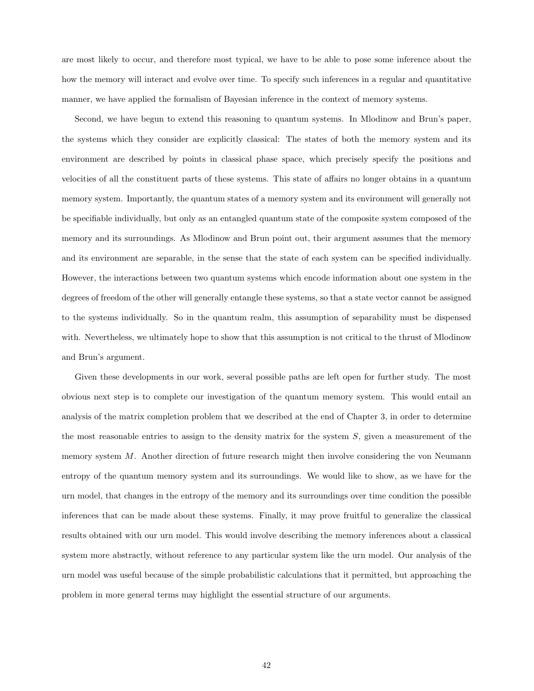are most likely to occur, and therefore most typical, we have to be able to pose some inference about the how the memory will interact and evolve over time. To specify such inferences in a regular and quantitative manner, we have applied the formalism of Bayesian inference in the context of memory systems.

Second, we have begun to extend this reasoning to quantum systems. In Mlodinow and Brun's paper, the systems which they consider are explicitly classical: The states of both the memory system and its environment are described by points in classical phase space, which precisely specify the positions and velocities of all the constituent parts of these systems. This state of affairs no longer obtains in a quantum memory system. Importantly, the quantum states of a memory system and its environment will generally not be specifiable individually, but only as an entangled quantum state of the composite system composed of the memory and its surroundings. As Mlodinow and Brun point out, their argument assumes that the memory and its environment are separable, in the sense that the state of each system can be specified individually. However, the interactions between two quantum systems which encode information about one system in the degrees of freedom of the other will generally entangle these systems, so that a state vector cannot be assigned to the systems individually. So in the quantum realm, this assumption of separability must be dispensed with. Nevertheless, we ultimately hope to show that this assumption is not critical to the thrust of Mlodinow and Brun's argument.

Given these developments in our work, several possible paths are left open for further study. The most obvious next step is to complete our investigation of the quantum memory system. This would entail an analysis of the matrix completion problem that we described at the end of Chapter 3, in order to determine the most reasonable entries to assign to the density matrix for the system  $S$ , given a measurement of the memory system  $M$ . Another direction of future research might then involve considering the von Neumann entropy of the quantum memory system and its surroundings. We would like to show, as we have for the urn model, that changes in the entropy of the memory and its surroundings over time condition the possible inferences that can be made about these systems. Finally, it may prove fruitful to generalize the classical results obtained with our urn model. This would involve describing the memory inferences about a classical system more abstractly, without reference to any particular system like the urn model. Our analysis of the urn model was useful because of the simple probabilistic calculations that it permitted, but approaching the problem in more general terms may highlight the essential structure of our arguments.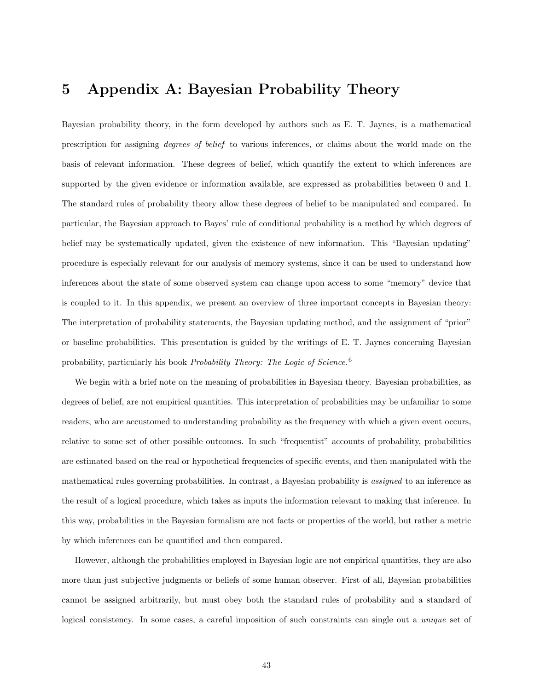## 5 Appendix A: Bayesian Probability Theory

Bayesian probability theory, in the form developed by authors such as E. T. Jaynes, is a mathematical prescription for assigning degrees of belief to various inferences, or claims about the world made on the basis of relevant information. These degrees of belief, which quantify the extent to which inferences are supported by the given evidence or information available, are expressed as probabilities between 0 and 1. The standard rules of probability theory allow these degrees of belief to be manipulated and compared. In particular, the Bayesian approach to Bayes' rule of conditional probability is a method by which degrees of belief may be systematically updated, given the existence of new information. This "Bayesian updating" procedure is especially relevant for our analysis of memory systems, since it can be used to understand how inferences about the state of some observed system can change upon access to some "memory" device that is coupled to it. In this appendix, we present an overview of three important concepts in Bayesian theory: The interpretation of probability statements, the Bayesian updating method, and the assignment of "prior" or baseline probabilities. This presentation is guided by the writings of E. T. Jaynes concerning Bayesian probability, particularly his book Probability Theory: The Logic of Science.<sup>6</sup>

We begin with a brief note on the meaning of probabilities in Bayesian theory. Bayesian probabilities, as degrees of belief, are not empirical quantities. This interpretation of probabilities may be unfamiliar to some readers, who are accustomed to understanding probability as the frequency with which a given event occurs, relative to some set of other possible outcomes. In such "frequentist" accounts of probability, probabilities are estimated based on the real or hypothetical frequencies of specific events, and then manipulated with the mathematical rules governing probabilities. In contrast, a Bayesian probability is assigned to an inference as the result of a logical procedure, which takes as inputs the information relevant to making that inference. In this way, probabilities in the Bayesian formalism are not facts or properties of the world, but rather a metric by which inferences can be quantified and then compared.

However, although the probabilities employed in Bayesian logic are not empirical quantities, they are also more than just subjective judgments or beliefs of some human observer. First of all, Bayesian probabilities cannot be assigned arbitrarily, but must obey both the standard rules of probability and a standard of logical consistency. In some cases, a careful imposition of such constraints can single out a unique set of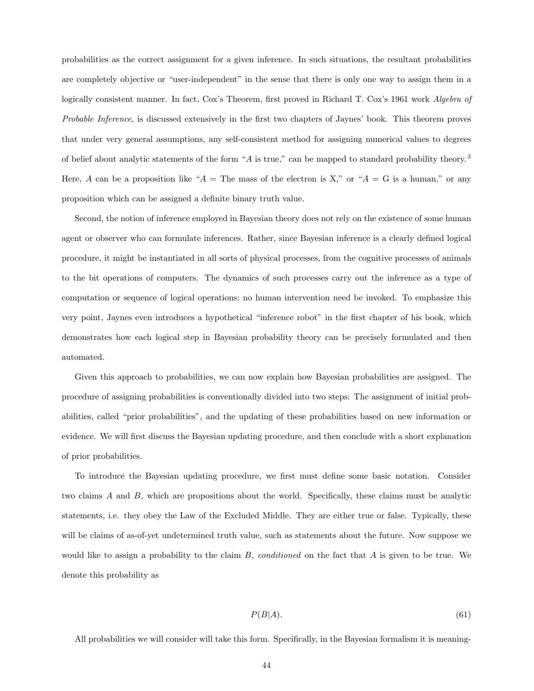probabilities as the correct assignment for a given inference. In such situations, the resultant probabilities are completely objective or "user-independent" in the sense that there is only one way to assign them in a logically consistent manner. In fact, Cox's Theorem, first proved in Richard T. Cox's 1961 work *Algebra of* Probable Inference, is discussed extensively in the first two chapters of Jaynes' book. This theorem proves that under very general assumptions, any self-consistent method for assigning numerical values to degrees of belief about analytic statements of the form "A is true," can be mapped to standard probability theory. <sup>3</sup> Here, A can be a proposition like " $A =$ The mass of the electron is X," or " $A = G$  is a human," or any proposition which can be assigned a definite binary truth value.

Second, the notion of inference employed in Bayesian theory does not rely on the existence of some human agent or observer who can formulate inferences. Rather, since Bayesian inference is a clearly defined logical procedure, it might be instantiated in all sorts of physical processes, from the cognitive processes of animals to the bit operations of computers. The dynamics of such processes carry out the inference as a type of computation or sequence of logical operations; no human intervention need be invoked. To emphasize this very point, Jaynes even introduces a hypothetical "inference robot" in the first chapter of his book, which demonstrates how each logical step in Bayesian probability theory can be precisely formulated and then automated.

Given this approach to probabilities, we can now explain how Bayesian probabilities are assigned. The procedure of assigning probabilities is conventionally divided into two steps: The assignment of initial probabilities, called "prior probabilities", and the updating of these probabilities based on new information or evidence. We will first discuss the Bayesian updating procedure, and then conclude with a short explanation of prior probabilities.

To introduce the Bayesian updating procedure, we first must define some basic notation. Consider two claims A and B, which are propositions about the world. Specifically, these claims must be analytic statements, i.e. they obey the Law of the Excluded Middle. They are either true or false. Typically, these will be claims of as-of-yet undetermined truth value, such as statements about the future. Now suppose we would like to assign a probability to the claim  $B$ , *conditioned* on the fact that  $A$  is given to be true. We denote this probability as

$$
P(B|A). \t\t(61)
$$

All probabilities we will consider will take this form. Specifically, in the Bayesian formalism it is meaning-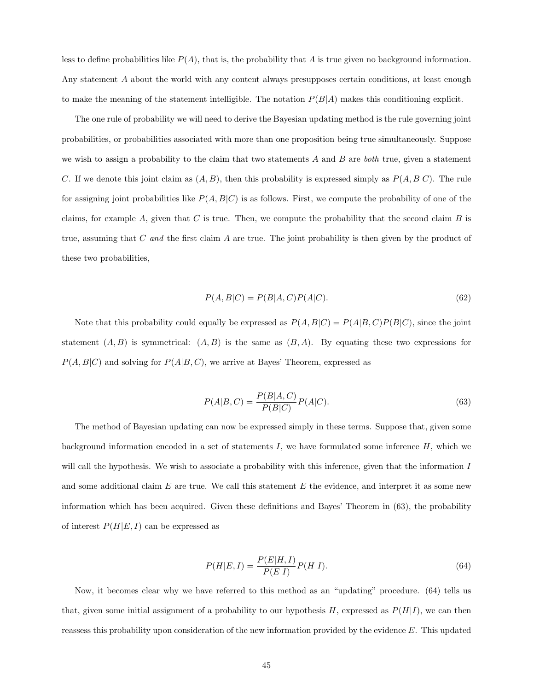less to define probabilities like  $P(A)$ , that is, the probability that A is true given no background information. Any statement A about the world with any content always presupposes certain conditions, at least enough to make the meaning of the statement intelligible. The notation  $P(B|A)$  makes this conditioning explicit.

The one rule of probability we will need to derive the Bayesian updating method is the rule governing joint probabilities, or probabilities associated with more than one proposition being true simultaneously. Suppose we wish to assign a probability to the claim that two statements  $A$  and  $B$  are both true, given a statement C. If we denote this joint claim as  $(A, B)$ , then this probability is expressed simply as  $P(A, B|C)$ . The rule for assigning joint probabilities like  $P(A, B|C)$  is as follows. First, we compute the probability of one of the claims, for example A, given that C is true. Then, we compute the probability that the second claim B is true, assuming that  $C$  and the first claim  $A$  are true. The joint probability is then given by the product of these two probabilities,

$$
P(A,B|C) = P(B|A,C)P(A|C).
$$
\n
$$
(62)
$$

Note that this probability could equally be expressed as  $P(A, B|C) = P(A|B, C)P(B|C)$ , since the joint statement  $(A, B)$  is symmetrical:  $(A, B)$  is the same as  $(B, A)$ . By equating these two expressions for  $P(A, B|C)$  and solving for  $P(A|B, C)$ , we arrive at Bayes' Theorem, expressed as

$$
P(A|B,C) = \frac{P(B|A,C)}{P(B|C)}P(A|C).
$$
\n(63)

The method of Bayesian updating can now be expressed simply in these terms. Suppose that, given some background information encoded in a set of statements  $I$ , we have formulated some inference  $H$ , which we will call the hypothesis. We wish to associate a probability with this inference, given that the information I and some additional claim  $E$  are true. We call this statement  $E$  the evidence, and interpret it as some new information which has been acquired. Given these definitions and Bayes' Theorem in (63), the probability of interest  $P(H|E, I)$  can be expressed as

$$
P(H|E, I) = \frac{P(E|H, I)}{P(E|I)} P(H|I).
$$
\n(64)

Now, it becomes clear why we have referred to this method as an "updating" procedure. (64) tells us that, given some initial assignment of a probability to our hypothesis  $H$ , expressed as  $P(H|I)$ , we can then reassess this probability upon consideration of the new information provided by the evidence E. This updated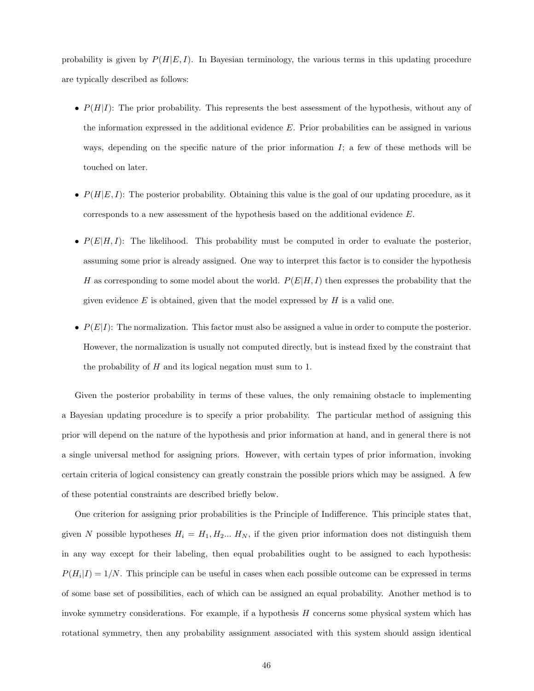probability is given by  $P(H|E, I)$ . In Bayesian terminology, the various terms in this updating procedure are typically described as follows:

- $P(H|I)$ : The prior probability. This represents the best assessment of the hypothesis, without any of the information expressed in the additional evidence  $E$ . Prior probabilities can be assigned in various ways, depending on the specific nature of the prior information  $I$ ; a few of these methods will be touched on later.
- $P(H|E, I)$ : The posterior probability. Obtaining this value is the goal of our updating procedure, as it corresponds to a new assessment of the hypothesis based on the additional evidence E.
- $P(E|H, I)$ : The likelihood. This probability must be computed in order to evaluate the posterior, assuming some prior is already assigned. One way to interpret this factor is to consider the hypothesis H as corresponding to some model about the world.  $P(E|H, I)$  then expresses the probability that the given evidence  $E$  is obtained, given that the model expressed by  $H$  is a valid one.
- $P(E|I)$ : The normalization. This factor must also be assigned a value in order to compute the posterior. However, the normalization is usually not computed directly, but is instead fixed by the constraint that the probability of H and its logical negation must sum to 1.

Given the posterior probability in terms of these values, the only remaining obstacle to implementing a Bayesian updating procedure is to specify a prior probability. The particular method of assigning this prior will depend on the nature of the hypothesis and prior information at hand, and in general there is not a single universal method for assigning priors. However, with certain types of prior information, invoking certain criteria of logical consistency can greatly constrain the possible priors which may be assigned. A few of these potential constraints are described briefly below.

One criterion for assigning prior probabilities is the Principle of Indifference. This principle states that, given N possible hypotheses  $H_i = H_1, H_2... H_N$ , if the given prior information does not distinguish them in any way except for their labeling, then equal probabilities ought to be assigned to each hypothesis:  $P(H_i|I) = 1/N$ . This principle can be useful in cases when each possible outcome can be expressed in terms of some base set of possibilities, each of which can be assigned an equal probability. Another method is to invoke symmetry considerations. For example, if a hypothesis H concerns some physical system which has rotational symmetry, then any probability assignment associated with this system should assign identical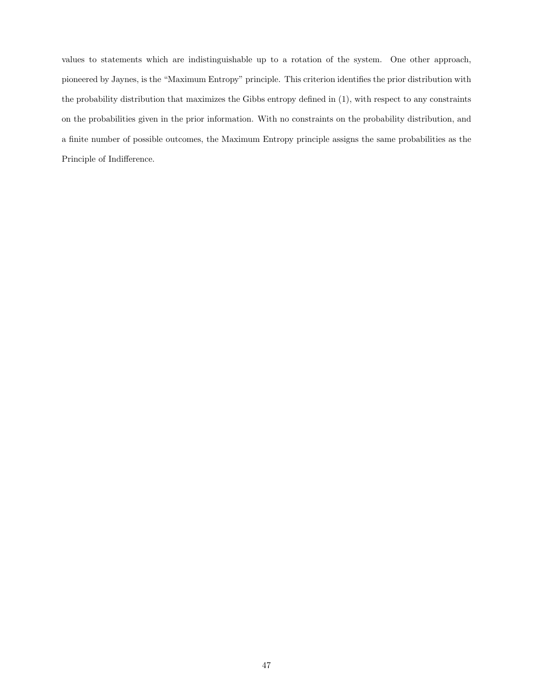values to statements which are indistinguishable up to a rotation of the system. One other approach, pioneered by Jaynes, is the "Maximum Entropy" principle. This criterion identifies the prior distribution with the probability distribution that maximizes the Gibbs entropy defined in (1), with respect to any constraints on the probabilities given in the prior information. With no constraints on the probability distribution, and a finite number of possible outcomes, the Maximum Entropy principle assigns the same probabilities as the Principle of Indifference.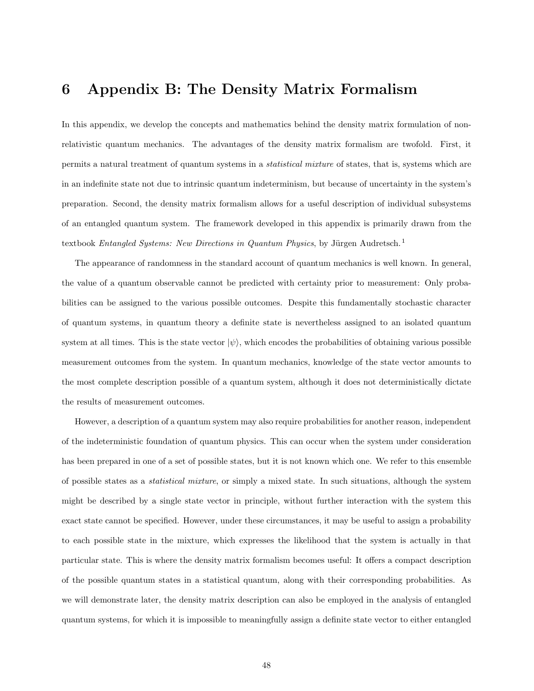## 6 Appendix B: The Density Matrix Formalism

In this appendix, we develop the concepts and mathematics behind the density matrix formulation of nonrelativistic quantum mechanics. The advantages of the density matrix formalism are twofold. First, it permits a natural treatment of quantum systems in a statistical mixture of states, that is, systems which are in an indefinite state not due to intrinsic quantum indeterminism, but because of uncertainty in the system's preparation. Second, the density matrix formalism allows for a useful description of individual subsystems of an entangled quantum system. The framework developed in this appendix is primarily drawn from the textbook Entangled Systems: New Directions in Quantum Physics, by Jürgen Audretsch.<sup>1</sup>

The appearance of randomness in the standard account of quantum mechanics is well known. In general, the value of a quantum observable cannot be predicted with certainty prior to measurement: Only probabilities can be assigned to the various possible outcomes. Despite this fundamentally stochastic character of quantum systems, in quantum theory a definite state is nevertheless assigned to an isolated quantum system at all times. This is the state vector  $|\psi\rangle$ , which encodes the probabilities of obtaining various possible measurement outcomes from the system. In quantum mechanics, knowledge of the state vector amounts to the most complete description possible of a quantum system, although it does not deterministically dictate the results of measurement outcomes.

However, a description of a quantum system may also require probabilities for another reason, independent of the indeterministic foundation of quantum physics. This can occur when the system under consideration has been prepared in one of a set of possible states, but it is not known which one. We refer to this ensemble of possible states as a statistical mixture, or simply a mixed state. In such situations, although the system might be described by a single state vector in principle, without further interaction with the system this exact state cannot be specified. However, under these circumstances, it may be useful to assign a probability to each possible state in the mixture, which expresses the likelihood that the system is actually in that particular state. This is where the density matrix formalism becomes useful: It offers a compact description of the possible quantum states in a statistical quantum, along with their corresponding probabilities. As we will demonstrate later, the density matrix description can also be employed in the analysis of entangled quantum systems, for which it is impossible to meaningfully assign a definite state vector to either entangled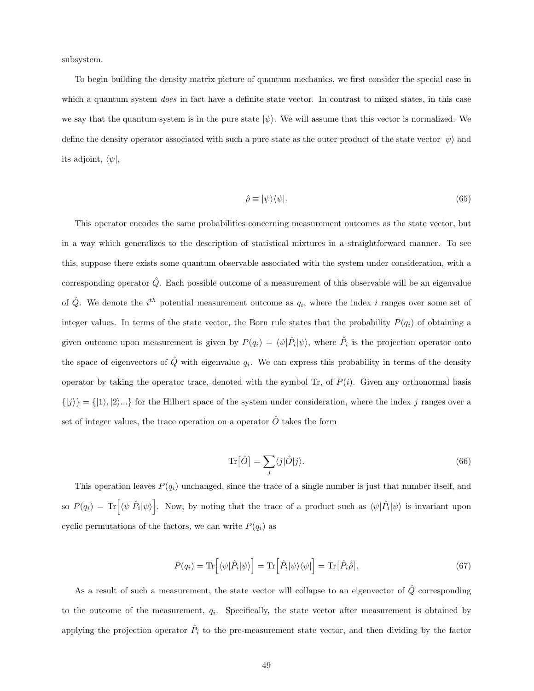subsystem.

To begin building the density matrix picture of quantum mechanics, we first consider the special case in which a quantum system *does* in fact have a definite state vector. In contrast to mixed states, in this case we say that the quantum system is in the pure state  $|\psi\rangle$ . We will assume that this vector is normalized. We define the density operator associated with such a pure state as the outer product of the state vector  $|\psi\rangle$  and its adjoint,  $\langle \psi |,$ 

$$
\hat{\rho} \equiv |\psi\rangle\langle\psi|.\tag{65}
$$

This operator encodes the same probabilities concerning measurement outcomes as the state vector, but in a way which generalizes to the description of statistical mixtures in a straightforward manner. To see this, suppose there exists some quantum observable associated with the system under consideration, with a corresponding operator  $\hat{Q}$ . Each possible outcome of a measurement of this observable will be an eigenvalue of  $\hat{Q}$ . We denote the *i*<sup>th</sup> potential measurement outcome as  $q_i$ , where the index *i* ranges over some set of integer values. In terms of the state vector, the Born rule states that the probability  $P(q_i)$  of obtaining a given outcome upon measurement is given by  $P(q_i) = \langle \psi | \hat{P}_i | \psi \rangle$ , where  $\hat{P}_i$  is the projection operator onto the space of eigenvectors of  $\hat{Q}$  with eigenvalue  $q_i$ . We can express this probability in terms of the density operator by taking the operator trace, denoted with the symbol Tr, of  $P(i)$ . Given any orthonormal basis  $\{|j\rangle\} = \{|1\rangle, |2\rangle...\}$  for the Hilbert space of the system under consideration, where the index j ranges over a set of integer values, the trace operation on a operator  $\hat{O}$  takes the form

$$
\operatorname{Tr}\left[\hat{O}\right] = \sum_{j} \langle j|\hat{O}|j\rangle. \tag{66}
$$

This operation leaves  $P(q_i)$  unchanged, since the trace of a single number is just that number itself, and so  $P(q_i) = \text{Tr} \left[ \langle \psi | \hat{P}_i | \psi \rangle \right]$ . Now, by noting that the trace of a product such as  $\langle \psi | \hat{P}_i | \psi \rangle$  is invariant upon cyclic permutations of the factors, we can write  $P(q_i)$  as

$$
P(q_i) = \text{Tr}\left[\langle \psi | \hat{P}_i | \psi \rangle\right] = \text{Tr}\left[\hat{P}_i | \psi \rangle \langle \psi | \right] = \text{Tr}\left[\hat{P}_i \hat{\rho}\right].\tag{67}
$$

As a result of such a measurement, the state vector will collapse to an eigenvector of  $\hat{Q}$  corresponding to the outcome of the measurement,  $q_i$ . Specifically, the state vector after measurement is obtained by applying the projection operator  $\hat{P}_i$  to the pre-measurement state vector, and then dividing by the factor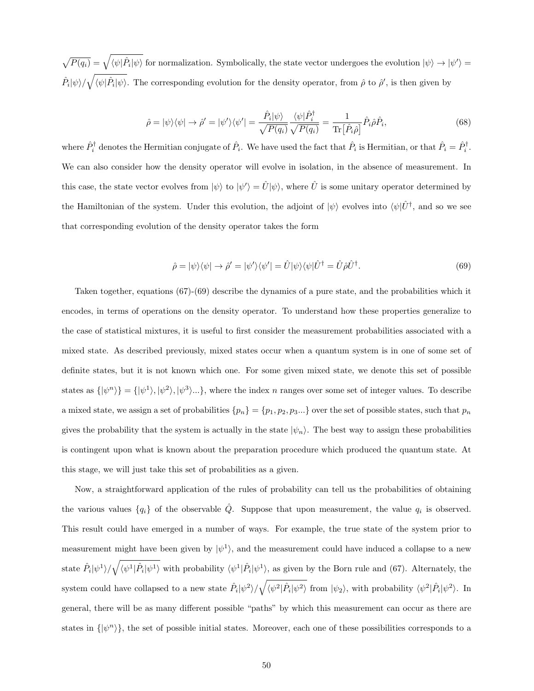$\sqrt{P(q_i)} = \sqrt{\langle \psi | \hat{P}_i | \psi \rangle}$  for normalization. Symbolically, the state vector undergoes the evolution  $|\psi\rangle \rightarrow |\psi'\rangle =$  $\hat{P}_i|\psi\rangle/\sqrt{\langle\psi|\hat{P}_i|\psi\rangle}$ . The corresponding evolution for the density operator, from  $\hat{\rho}$  to  $\hat{\rho}'$ , is then given by

$$
\hat{\rho} = |\psi\rangle\langle\psi| \to \hat{\rho}' = |\psi'\rangle\langle\psi'| = \frac{\hat{P}_i|\psi\rangle}{\sqrt{P(q_i)}} \frac{\langle\psi|\hat{P}_i^{\dagger}}{\sqrt{P(q_i)}} = \frac{1}{\text{Tr}[\hat{P}_i\hat{\rho}]} \hat{P}_i\hat{\rho}\hat{P}_i,\tag{68}
$$

where  $\hat{P}_i^{\dagger}$  denotes the Hermitian conjugate of  $\hat{P}_i$ . We have used the fact that  $\hat{P}_i$  is Hermitian, or that  $\hat{P}_i = \hat{P}_i^{\dagger}$ . We can also consider how the density operator will evolve in isolation, in the absence of measurement. In this case, the state vector evolves from  $|\psi\rangle$  to  $|\psi'\rangle = \hat{U}|\psi\rangle$ , where  $\hat{U}$  is some unitary operator determined by the Hamiltonian of the system. Under this evolution, the adjoint of  $|\psi\rangle$  evolves into  $\langle \psi | \hat{U}^{\dagger}$ , and so we see that corresponding evolution of the density operator takes the form

$$
\hat{\rho} = |\psi\rangle\langle\psi| \to \hat{\rho}' = |\psi'\rangle\langle\psi'| = \hat{U}|\psi\rangle\langle\psi|\hat{U}^{\dagger} = \hat{U}\hat{\rho}\hat{U}^{\dagger}.
$$
\n(69)

Taken together, equations (67)-(69) describe the dynamics of a pure state, and the probabilities which it encodes, in terms of operations on the density operator. To understand how these properties generalize to the case of statistical mixtures, it is useful to first consider the measurement probabilities associated with a mixed state. As described previously, mixed states occur when a quantum system is in one of some set of definite states, but it is not known which one. For some given mixed state, we denote this set of possible states as  $\{|\psi^n\rangle\} = \{|\psi^1\rangle, |\psi^2\rangle, |\psi^3\rangle...\}$ , where the index *n* ranges over some set of integer values. To describe a mixed state, we assign a set of probabilities  $\{p_n\} = \{p_1, p_2, p_3...\}$  over the set of possible states, such that  $p_n$ gives the probability that the system is actually in the state  $|\psi_n\rangle$ . The best way to assign these probabilities is contingent upon what is known about the preparation procedure which produced the quantum state. At this stage, we will just take this set of probabilities as a given.

Now, a straightforward application of the rules of probability can tell us the probabilities of obtaining the various values  $\{q_i\}$  of the observable  $\hat{Q}$ . Suppose that upon measurement, the value  $q_i$  is observed. This result could have emerged in a number of ways. For example, the true state of the system prior to measurement might have been given by  $|\psi^1\rangle$ , and the measurement could have induced a collapse to a new state  $\hat{P}_i|\psi^1\rangle/\sqrt{\langle\psi^1|\hat{P}_i|\psi^1\rangle}$  with probability  $\langle\psi^1|\hat{P}_i|\psi^1\rangle$ , as given by the Born rule and (67). Alternately, the system could have collapsed to a new state  $\hat{P}_i|\psi^2\rangle/\sqrt{\langle\psi^2|\hat{P}_i|\psi^2\rangle}$  from  $|\psi_2\rangle$ , with probability  $\langle\psi^2|\hat{P}_i|\psi^2\rangle$ . In general, there will be as many different possible "paths" by which this measurement can occur as there are states in  $\{\psi^n\}$ , the set of possible initial states. Moreover, each one of these possibilities corresponds to a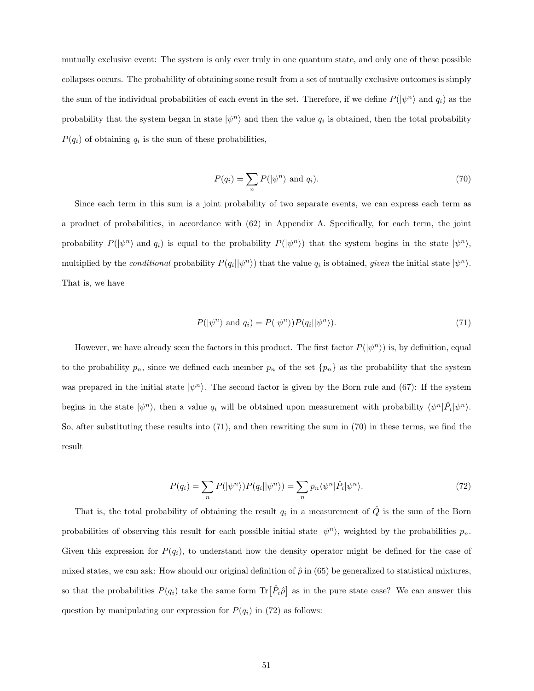mutually exclusive event: The system is only ever truly in one quantum state, and only one of these possible collapses occurs. The probability of obtaining some result from a set of mutually exclusive outcomes is simply the sum of the individual probabilities of each event in the set. Therefore, if we define  $P(|\psi^n\rangle)$  and  $q_i$  as the probability that the system began in state  $|\psi^n\rangle$  and then the value  $q_i$  is obtained, then the total probability  $P(q_i)$  of obtaining  $q_i$  is the sum of these probabilities,

$$
P(q_i) = \sum_{n} P(|\psi^n\rangle \text{ and } q_i).
$$
 (70)

Since each term in this sum is a joint probability of two separate events, we can express each term as a product of probabilities, in accordance with (62) in Appendix A. Specifically, for each term, the joint probability  $P(|\psi^n\rangle)$  and  $q_i$  is equal to the probability  $P(|\psi^n\rangle)$  that the system begins in the state  $|\psi^n\rangle$ , multiplied by the *conditional* probability  $P(q_i || \psi^n)$  that the value  $q_i$  is obtained, *given* the initial state  $|\psi^n\rangle$ . That is, we have

$$
P(|\psi^n\rangle \text{ and } q_i) = P(|\psi^n\rangle)P(q_i||\psi^n\rangle). \tag{71}
$$

However, we have already seen the factors in this product. The first factor  $P(|\psi^n\rangle)$  is, by definition, equal to the probability  $p_n$ , since we defined each member  $p_n$  of the set  $\{p_n\}$  as the probability that the system was prepared in the initial state  $|\psi^n\rangle$ . The second factor is given by the Born rule and (67): If the system begins in the state  $|\psi^n\rangle$ , then a value  $q_i$  will be obtained upon measurement with probability  $\langle \psi^n | \hat{P}_i | \psi^n \rangle$ . So, after substituting these results into (71), and then rewriting the sum in (70) in these terms, we find the result

$$
P(q_i) = \sum_{n} P(|\psi^n\rangle) P(q_i || \psi^n\rangle) = \sum_{n} p_n \langle \psi^n | \hat{P}_i | \psi^n \rangle. \tag{72}
$$

That is, the total probability of obtaining the result  $q_i$  in a measurement of  $\hat{Q}$  is the sum of the Born probabilities of observing this result for each possible initial state  $|\psi^n\rangle$ , weighted by the probabilities  $p_n$ . Given this expression for  $P(q_i)$ , to understand how the density operator might be defined for the case of mixed states, we can ask: How should our original definition of  $\hat{\rho}$  in (65) be generalized to statistical mixtures, so that the probabilities  $P(q_i)$  take the same form  $\text{Tr}[\hat{P}_i \hat{\rho}]$  as in the pure state case? We can answer this question by manipulating our expression for  $P(q_i)$  in (72) as follows: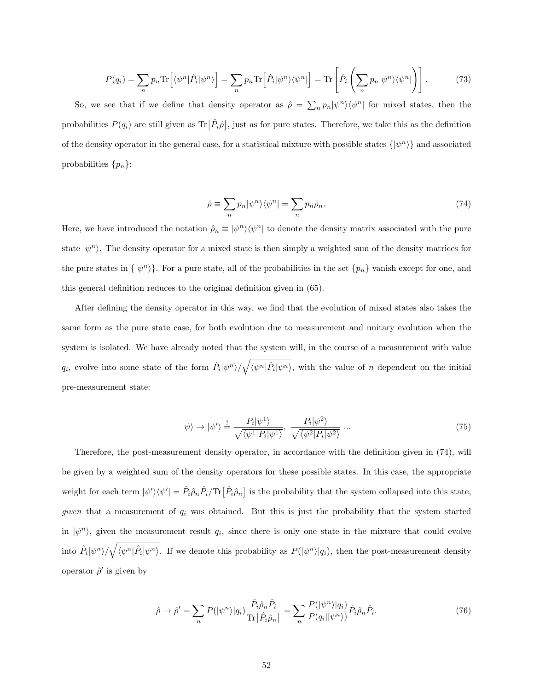$$
P(q_i) = \sum_{n} p_n \text{Tr} \left[ \langle \psi^n | \hat{P}_i | \psi^n \rangle \right] = \sum_{n} p_n \text{Tr} \left[ \hat{P}_i | \psi^n \rangle \langle \psi^n | \right] = \text{Tr} \left[ \hat{P}_i \left( \sum_{n} p_n | \psi^n \rangle \langle \psi^n | \right) \right]. \tag{73}
$$

So, we see that if we define that density operator as  $\hat{\rho} = \sum_n p_n |\psi^n\rangle\langle\psi^n|$  for mixed states, then the probabilities  $P(q_i)$  are still given as  $\text{Tr}[\hat{P}_i\hat{\rho}],$  just as for pure states. Therefore, we take this as the definition of the density operator in the general case, for a statistical mixture with possible states  $\{|\psi^n\rangle\}$  and associated probabilities  $\{p_n\}$ :

$$
\hat{\rho} \equiv \sum_{n} p_n |\psi^n\rangle\langle\psi^n| = \sum_{n} p_n \hat{\rho}_n. \tag{74}
$$

Here, we have introduced the notation  $\hat{\rho}_n \equiv |\psi^n\rangle\langle\psi^n|$  to denote the density matrix associated with the pure state  $|\psi^n\rangle$ . The density operator for a mixed state is then simply a weighted sum of the density matrices for the pure states in  $\{\ket{\psi^n}\}.$  For a pure state, all of the probabilities in the set  $\{p_n\}$  vanish except for one, and this general definition reduces to the original definition given in (65).

After defining the density operator in this way, we find that the evolution of mixed states also takes the same form as the pure state case, for both evolution due to measurement and unitary evolution when the system is isolated. We have already noted that the system will, in the course of a measurement with value  $q_i$ , evolve into some state of the form  $\hat{P}_i|\psi^n\rangle/\sqrt{\langle\psi^n|\hat{P}_i|\psi^n\rangle}$ , with the value of n dependent on the initial pre-measurement state:

$$
|\psi\rangle \to |\psi'\rangle \stackrel{?}{=} \frac{P_i|\psi^1\rangle}{\sqrt{\langle\psi^1|P_i|\psi^1\rangle}}, \frac{P_i|\psi^2\rangle}{\sqrt{\langle\psi^2|P_i|\psi^2\rangle}} \dots \tag{75}
$$

Therefore, the post-measurement density operator, in accordance with the definition given in (74), will be given by a weighted sum of the density operators for these possible states. In this case, the appropriate weight for each term  $|\psi'\rangle\langle\psi'| = \hat{P}_i\hat{\rho}_n\hat{P}_i/\text{Tr}\left[\hat{P}_i\hat{\rho}_n\right]$  is the probability that the system collapsed into this state, given that a measurement of  $q_i$  was obtained. But this is just the probability that the system started in  $|\psi^n\rangle$ , given the measurement result  $q_i$ , since there is only one state in the mixture that could evolve into  $\hat{P}_i|\psi^n\rangle/\sqrt{\langle\psi^n|\hat{P}_i|\psi^n\rangle}$ . If we denote this probability as  $P(|\psi^n\rangle|q_i)$ , then the post-measurement density operator  $\hat{\rho}'$  is given by

$$
\hat{\rho} \to \hat{\rho}' = \sum_{n} P(|\psi^n\rangle|q_i) \frac{\hat{P}_i \hat{\rho}_n \hat{P}_i}{\text{Tr}[\hat{P}_i \hat{\rho}_n]} = \sum_{n} \frac{P(|\psi^n\rangle|q_i)}{P(q_i||\psi^n\rangle)} \hat{P}_i \hat{\rho}_n \hat{P}_i. \tag{76}
$$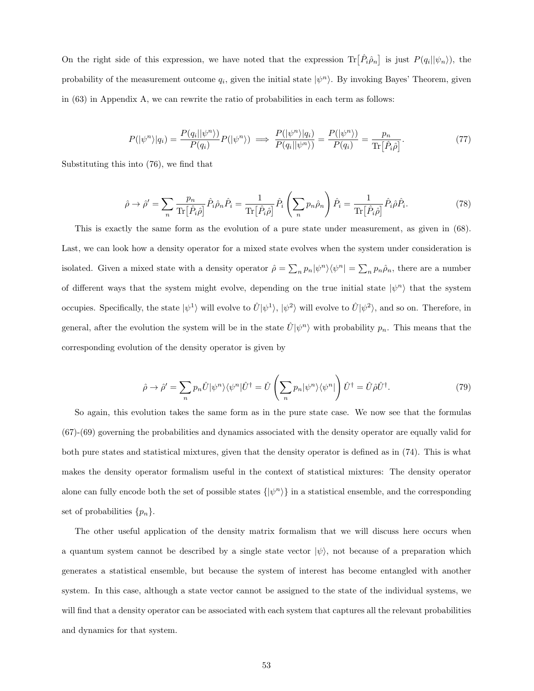On the right side of this expression, we have noted that the expression  $\text{Tr}\left[\hat{P}_i\hat{\rho}_n\right]$  is just  $P(q_i||\psi_n)$ , the probability of the measurement outcome  $q_i$ , given the initial state  $|\psi^n\rangle$ . By invoking Bayes' Theorem, given in (63) in Appendix A, we can rewrite the ratio of probabilities in each term as follows:

$$
P(|\psi^n\rangle|q_i) = \frac{P(q_i||\psi^n\rangle)}{P(q_i)}P(|\psi^n\rangle) \implies \frac{P(|\psi^n\rangle|q_i)}{P(q_i||\psi^n\rangle)} = \frac{P(|\psi^n\rangle)}{P(q_i)} = \frac{p_n}{\text{Tr}[\hat{P}_i\hat{\rho}]}.\tag{77}
$$

Substituting this into (76), we find that

$$
\hat{\rho} \to \hat{\rho}' = \sum_{n} \frac{p_n}{\text{Tr}[\hat{P}_i \hat{\rho}]} \hat{P}_i \hat{\rho}_n \hat{P}_i = \frac{1}{\text{Tr}[\hat{P}_i \hat{\rho}]} \hat{P}_i \left( \sum_{n} p_n \hat{\rho}_n \right) \hat{P}_i = \frac{1}{\text{Tr}[\hat{P}_i \hat{\rho}]} \hat{P}_i \hat{\rho} \hat{P}_i.
$$
\n(78)

This is exactly the same form as the evolution of a pure state under measurement, as given in (68). Last, we can look how a density operator for a mixed state evolves when the system under consideration is isolated. Given a mixed state with a density operator  $\hat{\rho} = \sum_n p_n |\psi^n\rangle\langle\psi^n| = \sum_n p_n \hat{\rho}_n$ , there are a number of different ways that the system might evolve, depending on the true initial state  $|\psi^n\rangle$  that the system occupies. Specifically, the state  $|\psi^1\rangle$  will evolve to  $\hat{U}|\psi^1\rangle$ ,  $|\psi^2\rangle$  will evolve to  $\hat{U}|\psi^2\rangle$ , and so on. Therefore, in general, after the evolution the system will be in the state  $\hat{U}|\psi^n\rangle$  with probability  $p_n$ . This means that the corresponding evolution of the density operator is given by

$$
\hat{\rho} \to \hat{\rho}' = \sum_{n} p_n \hat{U} |\psi^n\rangle \langle \psi^n | \hat{U}^\dagger = \hat{U} \left( \sum_{n} p_n |\psi^n\rangle \langle \psi^n | \right) \hat{U}^\dagger = \hat{U} \hat{\rho} \hat{U}^\dagger. \tag{79}
$$

So again, this evolution takes the same form as in the pure state case. We now see that the formulas (67)-(69) governing the probabilities and dynamics associated with the density operator are equally valid for both pure states and statistical mixtures, given that the density operator is defined as in (74). This is what makes the density operator formalism useful in the context of statistical mixtures: The density operator alone can fully encode both the set of possible states  $\{|\psi^n\rangle\}$  in a statistical ensemble, and the corresponding set of probabilities  $\{p_n\}.$ 

The other useful application of the density matrix formalism that we will discuss here occurs when a quantum system cannot be described by a single state vector  $|\psi\rangle$ , not because of a preparation which generates a statistical ensemble, but because the system of interest has become entangled with another system. In this case, although a state vector cannot be assigned to the state of the individual systems, we will find that a density operator can be associated with each system that captures all the relevant probabilities and dynamics for that system.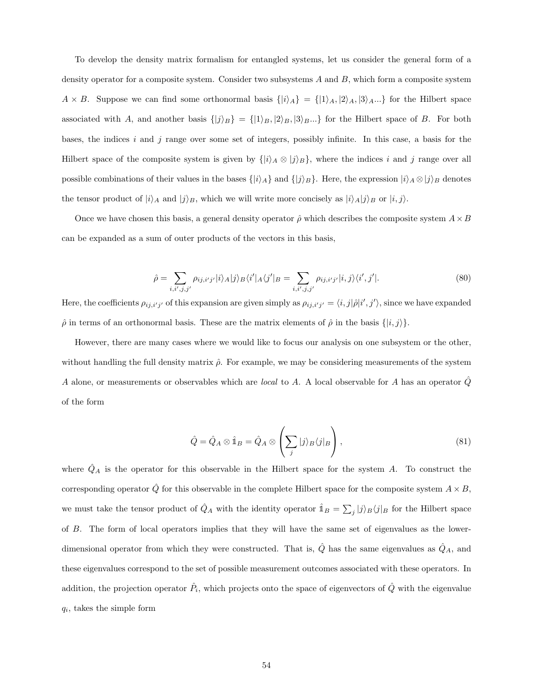To develop the density matrix formalism for entangled systems, let us consider the general form of a density operator for a composite system. Consider two subsystems  $A$  and  $B$ , which form a composite system  $A \times B$ . Suppose we can find some orthonormal basis  $\{|i\rangle_A\} = \{|1\rangle_A, |2\rangle_A, |3\rangle_A...\}$  for the Hilbert space associated with A, and another basis  $\{|j\rangle_B\} = \{|1\rangle_B, |2\rangle_B, |3\rangle_B...\}$  for the Hilbert space of B. For both bases, the indices  $i$  and  $j$  range over some set of integers, possibly infinite. In this case, a basis for the Hilbert space of the composite system is given by  $\{|i\rangle_A \otimes |j\rangle_B\}$ , where the indices i and j range over all possible combinations of their values in the bases  $\{|i\rangle_A\}$  and  $\{|j\rangle_B\}$ . Here, the expression  $|i\rangle_A \otimes |j\rangle_B$  denotes the tensor product of  $|i\rangle_A$  and  $|j\rangle_B$ , which we will write more concisely as  $|i\rangle_A|j\rangle_B$  or  $|i, j\rangle$ .

Once we have chosen this basis, a general density operator  $\hat{\rho}$  which describes the composite system  $A \times B$ can be expanded as a sum of outer products of the vectors in this basis,

$$
\hat{\rho} = \sum_{i,i',j,j'} \rho_{ij,i'j'} |i\rangle_A |j\rangle_B \langle i'|_A \langle j'|_B = \sum_{i,i',j,j'} \rho_{ij,i'j'} |i,j\rangle \langle i',j'|.
$$
\n(80)

Here, the coefficients  $\rho_{ij,i'j'}$  of this expansion are given simply as  $\rho_{ij,i'j'} = \langle i, j | \hat{\rho} | i', j' \rangle$ , since we have expanded  $\hat{\rho}$  in terms of an orthonormal basis. These are the matrix elements of  $\hat{\rho}$  in the basis  $\{|i, j\rangle\}$ .

However, there are many cases where we would like to focus our analysis on one subsystem or the other, without handling the full density matrix  $\hat{\rho}$ . For example, we may be considering measurements of the system A alone, or measurements or observables which are *local* to A. A local observable for A has an operator  $Q$ of the form

$$
\hat{Q} = \hat{Q}_A \otimes \hat{\mathbb{1}}_B = \hat{Q}_A \otimes \left(\sum_j |j\rangle_B \langle j|_B\right),\tag{81}
$$

where  $\hat{Q}_A$  is the operator for this observable in the Hilbert space for the system A. To construct the corresponding operator  $\hat{Q}$  for this observable in the complete Hilbert space for the composite system  $A \times B$ , we must take the tensor product of  $\hat{Q}_A$  with the identity operator  $\hat{\mathbb{1}}_B = \sum_j |j\rangle_B \langle j|_B$  for the Hilbert space of B. The form of local operators implies that they will have the same set of eigenvalues as the lowerdimensional operator from which they were constructed. That is,  $\hat{Q}$  has the same eigenvalues as  $\hat{Q}_A$ , and these eigenvalues correspond to the set of possible measurement outcomes associated with these operators. In addition, the projection operator  $\hat{P}_i$ , which projects onto the space of eigenvectors of  $\hat{Q}$  with the eigenvalue  $q_i$ , takes the simple form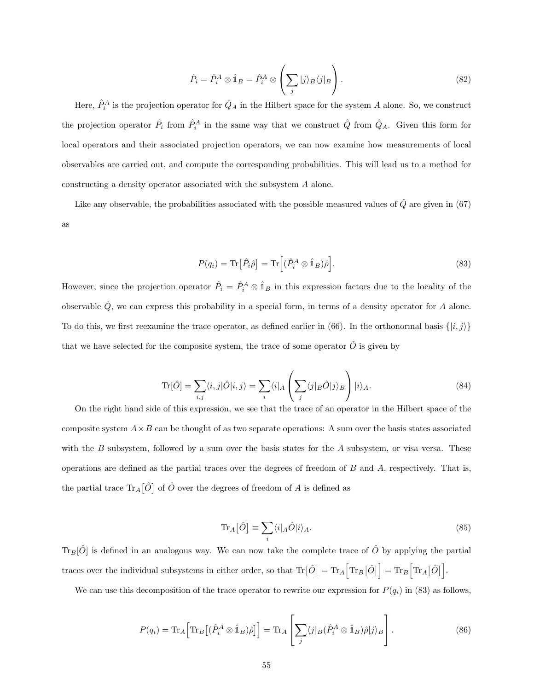$$
\hat{P}_i = \hat{P}_i^A \otimes \hat{\mathbb{1}}_B = \hat{P}_i^A \otimes \left(\sum_j |j\rangle_B \langle j|_B\right). \tag{82}
$$

Here,  $\hat{P}_i^A$  is the projection operator for  $\hat{Q}_A$  in the Hilbert space for the system A alone. So, we construct the projection operator  $\hat{P}_i$  from  $\hat{P}_i^A$  in the same way that we construct  $\hat{Q}$  from  $\hat{Q}_A$ . Given this form for local operators and their associated projection operators, we can now examine how measurements of local observables are carried out, and compute the corresponding probabilities. This will lead us to a method for constructing a density operator associated with the subsystem A alone.

Like any observable, the probabilities associated with the possible measured values of  $\hat{Q}$  are given in (67) as

$$
P(q_i) = \text{Tr} \left[ \hat{P}_i \hat{\rho} \right] = \text{Tr} \left[ \left( \hat{P}_i^A \otimes \hat{\mathbb{1}}_B \right) \hat{\rho} \right]. \tag{83}
$$

However, since the projection operator  $\hat{P}_i = \hat{P}_i^A \otimes \hat{1}_B$  in this expression factors due to the locality of the observable  $\hat{Q}$ , we can express this probability in a special form, in terms of a density operator for A alone. To do this, we first reexamine the trace operator, as defined earlier in (66). In the orthonormal basis  $\{|i, j\rangle\}$ that we have selected for the composite system, the trace of some operator  $\hat{O}$  is given by

$$
\text{Tr}[\hat{O}] = \sum_{i,j} \langle i,j|\hat{O}|i,j\rangle = \sum_{i} \langle i|_A \left(\sum_{j} \langle j|_B \hat{O}|j\rangle_B\right) |i\rangle_A. \tag{84}
$$

On the right hand side of this expression, we see that the trace of an operator in the Hilbert space of the composite system  $A \times B$  can be thought of as two separate operations: A sum over the basis states associated with the B subsystem, followed by a sum over the basis states for the A subsystem, or visa versa. These operations are defined as the partial traces over the degrees of freedom of  $B$  and  $A$ , respectively. That is, the partial trace  $\text{Tr}_A[\hat{O}]$  of  $\hat{O}$  over the degrees of freedom of A is defined as

$$
\text{Tr}_A[\hat{O}] \equiv \sum_i \langle i |_A \hat{O} | i \rangle_A. \tag{85}
$$

 $\text{Tr}_B[\hat{O}]$  is defined in an analogous way. We can now take the complete trace of  $\hat{O}$  by applying the partial traces over the individual subsystems in either order, so that  $\text{Tr}\big[\hat{O}\big] = \text{Tr}_A \big[\text{Tr}_B \big[\hat{O}\big]\big] = \text{Tr}_B \big[\text{Tr}_A \big[\hat{O}\big]\big]$ .

We can use this decomposition of the trace operator to rewrite our expression for  $P(q_i)$  in (83) as follows,

$$
P(q_i) = \text{Tr}_A \Big[ \text{Tr}_B \big[ (\hat{P}_i^A \otimes \hat{\mathbb{1}}_B) \hat{\rho} \big] \Big] = \text{Tr}_A \left[ \sum_j \langle j |_B (\hat{P}_i^A \otimes \hat{\mathbb{1}}_B) \hat{\rho} | j \rangle_B \right]. \tag{86}
$$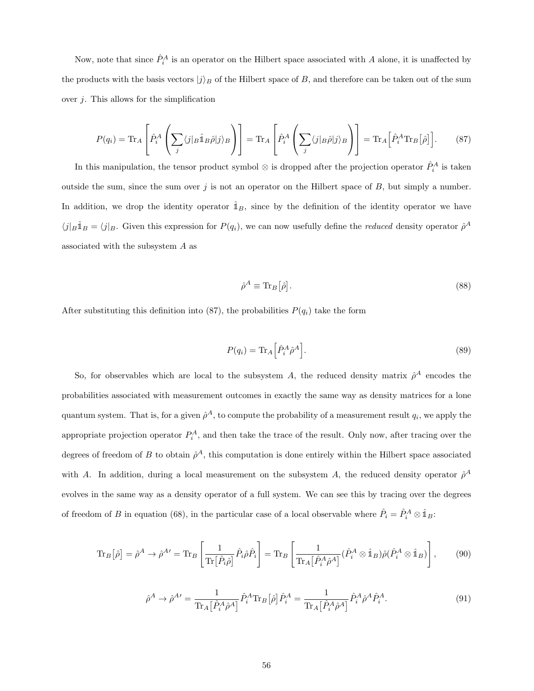Now, note that since  $\hat{P}_i^A$  is an operator on the Hilbert space associated with A alone, it is unaffected by the products with the basis vectors  $|j\rangle_B$  of the Hilbert space of B, and therefore can be taken out of the sum over  $j$ . This allows for the simplification

$$
P(q_i) = \text{Tr}_A \left[ \hat{P}_i^A \left( \sum_j \langle j |_B \hat{\mathbb{1}}_B \hat{\rho} | j \rangle_B \right) \right] = \text{Tr}_A \left[ \hat{P}_i^A \left( \sum_j \langle j |_B \hat{\rho} | j \rangle_B \right) \right] = \text{Tr}_A \left[ \hat{P}_i^A \text{Tr}_B \left[ \hat{\rho} \right] \right]. \tag{87}
$$

In this manipulation, the tensor product symbol  $\otimes$  is dropped after the projection operator  $\hat{P}^A_i$  is taken outside the sum, since the sum over  $j$  is not an operator on the Hilbert space of  $B$ , but simply a number. In addition, we drop the identity operator  $\hat{\mathbb{1}}_B$ , since by the definition of the identity operator we have  $\langle j|_B \hat{\mathbb{1}}_B = \langle j|_B$ . Given this expression for  $P(q_i)$ , we can now usefully define the *reduced* density operator  $\hat{\rho}^A$ associated with the subsystem A as

$$
\hat{\rho}^A \equiv \text{Tr}_B[\hat{\rho}].\tag{88}
$$

After substituting this definition into (87), the probabilities  $P(q_i)$  take the form

$$
P(q_i) = \text{Tr}_A \left[ \hat{P}_i^A \hat{\rho}^A \right]. \tag{89}
$$

So, for observables which are local to the subsystem A, the reduced density matrix  $\hat{\rho}^A$  encodes the probabilities associated with measurement outcomes in exactly the same way as density matrices for a lone quantum system. That is, for a given  $\hat{\rho}^A$ , to compute the probability of a measurement result  $q_i$ , we apply the appropriate projection operator  $P_i^A$ , and then take the trace of the result. Only now, after tracing over the degrees of freedom of B to obtain  $\hat{\rho}^A$ , this computation is done entirely within the Hilbert space associated with A. In addition, during a local measurement on the subsystem A, the reduced density operator  $\hat{\rho}^A$ evolves in the same way as a density operator of a full system. We can see this by tracing over the degrees of freedom of B in equation (68), in the particular case of a local observable where  $\hat{P}_i = \hat{P}_i^A \otimes \hat{1}_B$ :

$$
\operatorname{Tr}_{B}\left[\hat{\rho}\right] = \hat{\rho}^{A} \to \hat{\rho}^{A\prime} = \operatorname{Tr}_{B}\left[\frac{1}{\operatorname{Tr}\left[\hat{P}_{i}\hat{\rho}\right]} \hat{P}_{i}\hat{\rho}\hat{P}_{i}\right] = \operatorname{Tr}_{B}\left[\frac{1}{\operatorname{Tr}_{A}\left[\hat{P}_{i}^{A}\hat{\rho}^{A}\right]} (\hat{P}_{i}^{A} \otimes \hat{\mathbb{1}}_{B})\hat{\rho}(\hat{P}_{i}^{A} \otimes \hat{\mathbb{1}}_{B})\right],\tag{90}
$$

$$
\hat{\rho}^A \to \hat{\rho}^{A'} = \frac{1}{\text{Tr}_A \left[ \hat{P}_i^A \hat{\rho}^A \right]} \hat{P}_i^A \text{Tr}_B \left[ \hat{\rho} \right] \hat{P}_i^A = \frac{1}{\text{Tr}_A \left[ \hat{P}_i^A \hat{\rho}^A \right]} \hat{P}_i^A \hat{\rho}^A \hat{P}_i^A. \tag{91}
$$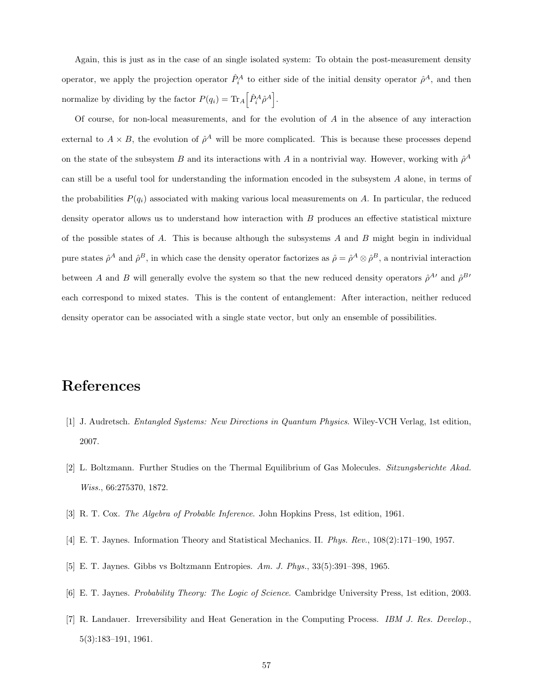Again, this is just as in the case of an single isolated system: To obtain the post-measurement density operator, we apply the projection operator  $\hat{P}_i^A$  to either side of the initial density operator  $\hat{\rho}^A$ , and then normalize by dividing by the factor  $P(q_i) = \text{Tr}_A \left[ \hat{P}_i^A \hat{\rho}^A \right]$ .

Of course, for non-local measurements, and for the evolution of A in the absence of any interaction external to  $A \times B$ , the evolution of  $\hat{\rho}^A$  will be more complicated. This is because these processes depend on the state of the subsystem B and its interactions with A in a nontrivial way. However, working with  $\hat{\rho}^A$ can still be a useful tool for understanding the information encoded in the subsystem A alone, in terms of the probabilities  $P(q_i)$  associated with making various local measurements on A. In particular, the reduced density operator allows us to understand how interaction with  $B$  produces an effective statistical mixture of the possible states of  $A$ . This is because although the subsystems  $A$  and  $B$  might begin in individual pure states  $\hat{\rho}^A$  and  $\hat{\rho}^B$ , in which case the density operator factorizes as  $\hat{\rho} = \hat{\rho}^A \otimes \hat{\rho}^B$ , a nontrivial interaction between A and B will generally evolve the system so that the new reduced density operators  $\hat{\rho}^{A}{}'$  and  $\hat{\rho}^{B}{}'$ each correspond to mixed states. This is the content of entanglement: After interaction, neither reduced density operator can be associated with a single state vector, but only an ensemble of possibilities.

## References

- [1] J. Audretsch. Entangled Systems: New Directions in Quantum Physics. Wiley-VCH Verlag, 1st edition, 2007.
- [2] L. Boltzmann. Further Studies on the Thermal Equilibrium of Gas Molecules. Sitzungsberichte Akad. Wiss., 66:275370, 1872.
- [3] R. T. Cox. The Algebra of Probable Inference. John Hopkins Press, 1st edition, 1961.
- [4] E. T. Jaynes. Information Theory and Statistical Mechanics. II. Phys. Rev., 108(2):171–190, 1957.
- [5] E. T. Jaynes. Gibbs vs Boltzmann Entropies. Am. J. Phys., 33(5):391–398, 1965.
- [6] E. T. Jaynes. Probability Theory: The Logic of Science. Cambridge University Press, 1st edition, 2003.
- [7] R. Landauer. Irreversibility and Heat Generation in the Computing Process. IBM J. Res. Develop., 5(3):183–191, 1961.